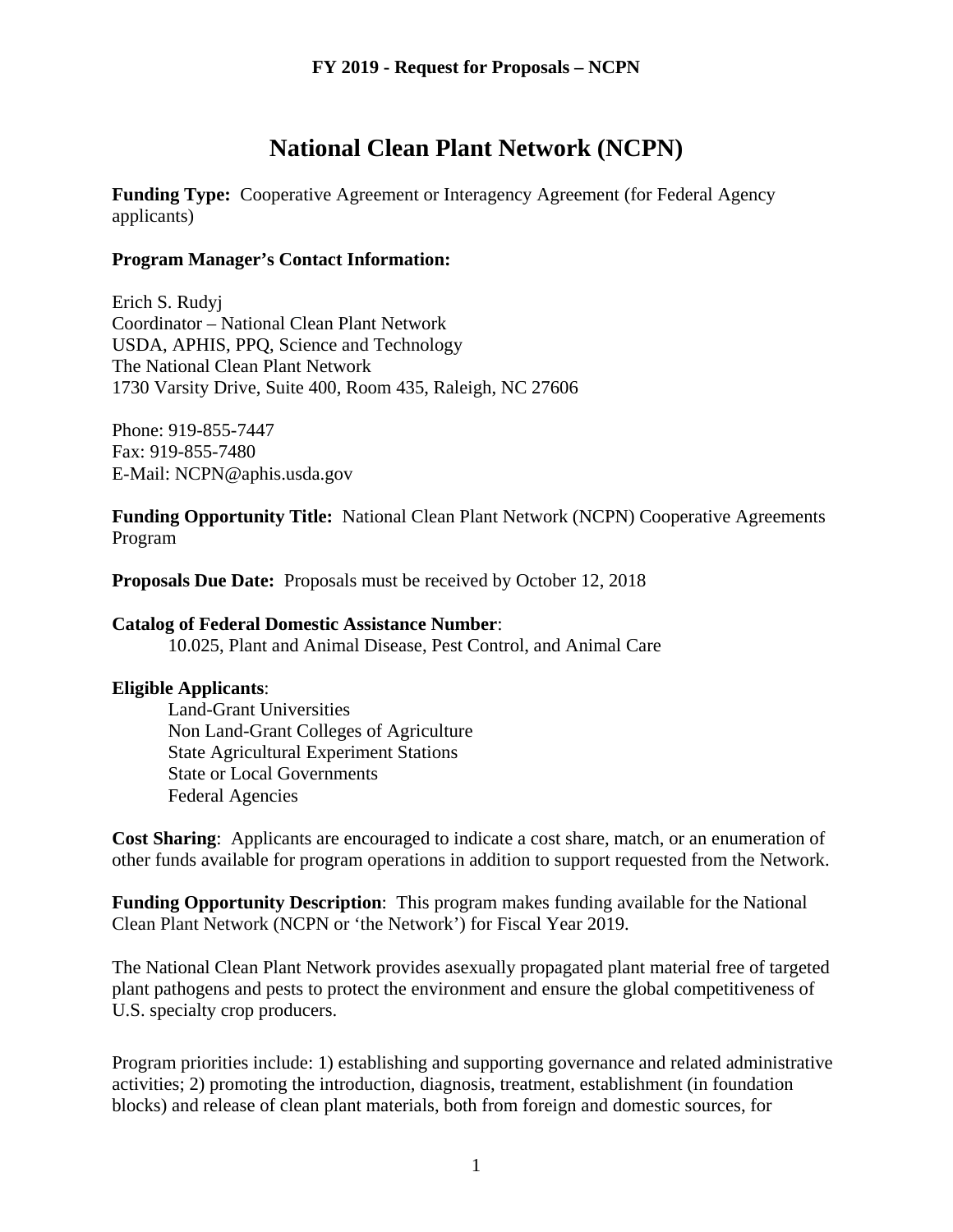# **National Clean Plant Network (NCPN)**

**Funding Type:** Cooperative Agreement or Interagency Agreement (for Federal Agency applicants)

#### **Program Manager's Contact Information:**

Erich S. Rudyj Coordinator – National Clean Plant Network USDA, APHIS, PPQ, Science and Technology The National Clean Plant Network 1730 Varsity Drive, Suite 400, Room 435, Raleigh, NC 27606

Phone: 919-855-7447 Fax: 919-855-7480 E-Mail: NCPN@aphis.usda.gov

**Funding Opportunity Title:** National Clean Plant Network (NCPN) Cooperative Agreements Program

**Proposals Due Date:** Proposals must be received by October 12, 2018

#### **Catalog of Federal Domestic Assistance Number**:

10.025, Plant and Animal Disease, Pest Control, and Animal Care

#### **Eligible Applicants**:

Land-Grant Universities Non Land-Grant Colleges of Agriculture State Agricultural Experiment Stations State or Local Governments Federal Agencies

**Cost Sharing**: Applicants are encouraged to indicate a cost share, match, or an enumeration of other funds available for program operations in addition to support requested from the Network.

**Funding Opportunity Description**: This program makes funding available for the National Clean Plant Network (NCPN or 'the Network') for Fiscal Year 2019.

The National Clean Plant Network provides asexually propagated plant material free of targeted plant pathogens and pests to protect the environment and ensure the global competitiveness of U.S. specialty crop producers.

Program priorities include: 1) establishing and supporting governance and related administrative activities; 2) promoting the introduction, diagnosis, treatment, establishment (in foundation blocks) and release of clean plant materials, both from foreign and domestic sources, for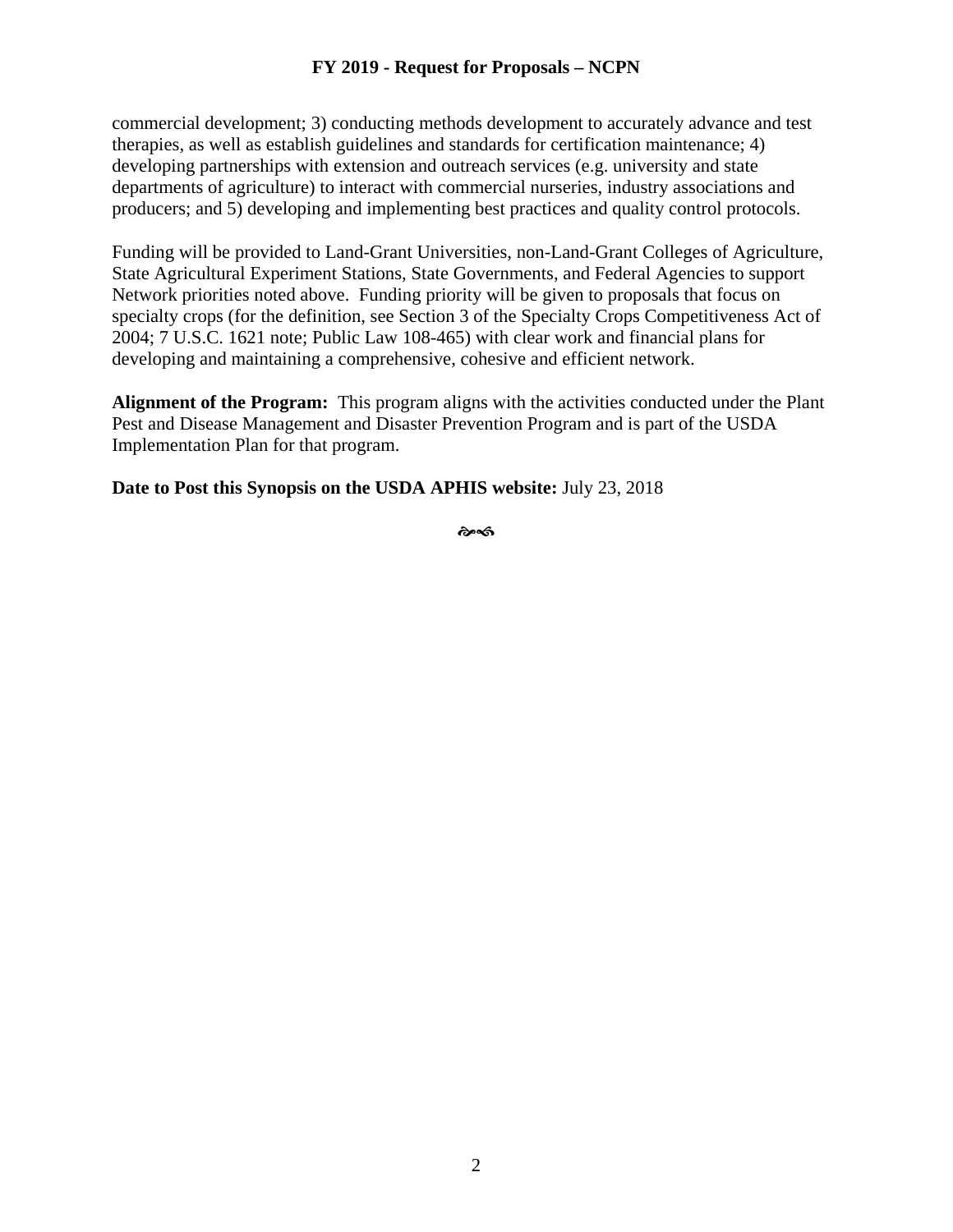commercial development; 3) conducting methods development to accurately advance and test therapies, as well as establish guidelines and standards for certification maintenance; 4) developing partnerships with extension and outreach services (e.g. university and state departments of agriculture) to interact with commercial nurseries, industry associations and producers; and 5) developing and implementing best practices and quality control protocols.

Funding will be provided to Land-Grant Universities, non-Land-Grant Colleges of Agriculture, State Agricultural Experiment Stations, State Governments, and Federal Agencies to support Network priorities noted above. Funding priority will be given to proposals that focus on specialty crops (for the definition, see Section 3 of the Specialty Crops Competitiveness Act of 2004; 7 U.S.C. 1621 note; Public Law 108-465) with clear work and financial plans for developing and maintaining a comprehensive, cohesive and efficient network.

**Alignment of the Program:** This program aligns with the activities conducted under the Plant Pest and Disease Management and Disaster Prevention Program and is part of the USDA Implementation Plan for that program.

**Date to Post this Synopsis on the USDA APHIS website:** July 23, 2018

స్ట్రెండ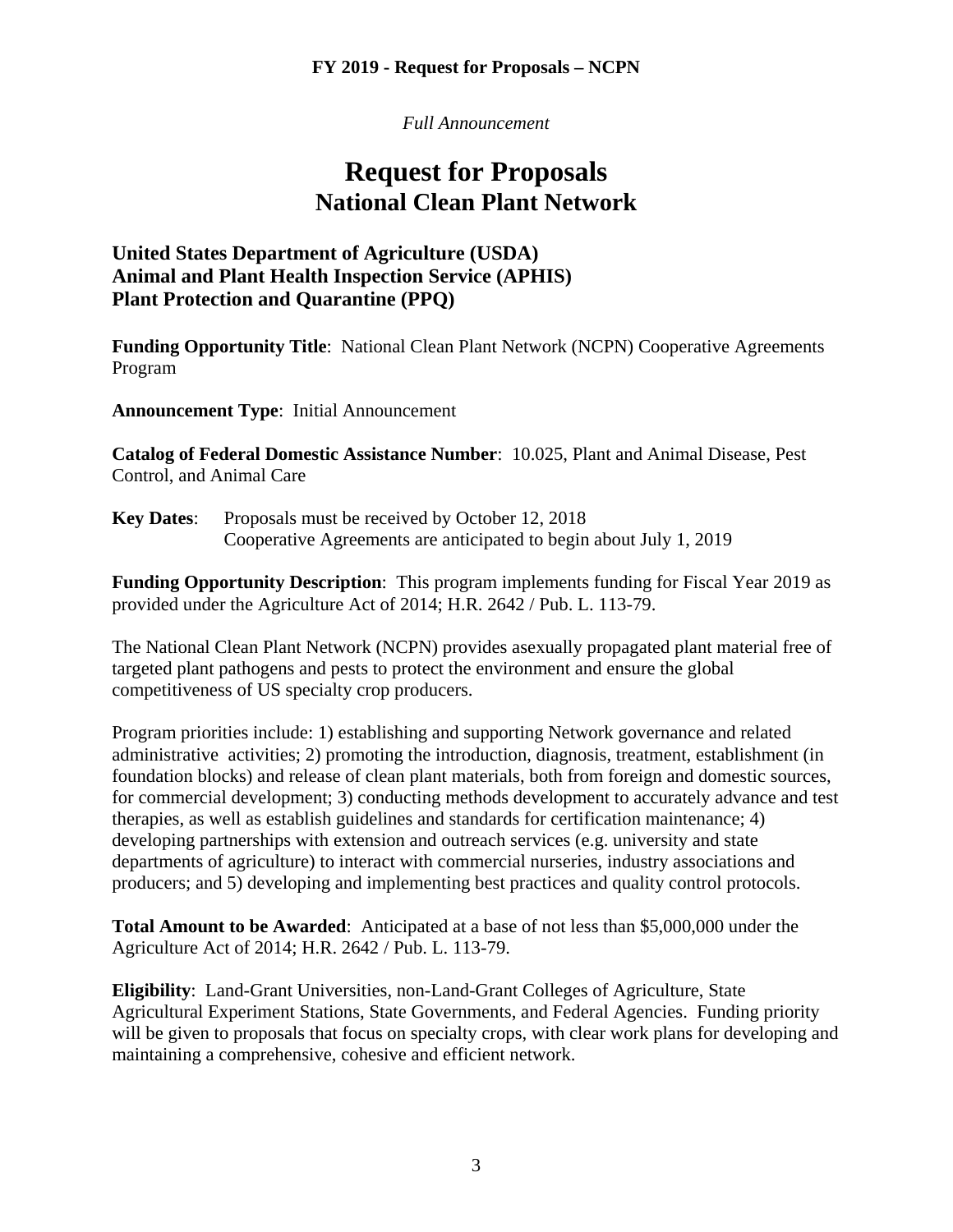*Full Announcement*

# **Request for Proposals National Clean Plant Network**

# **United States Department of Agriculture (USDA) Animal and Plant Health Inspection Service (APHIS) Plant Protection and Quarantine (PPQ)**

**Funding Opportunity Title**: National Clean Plant Network (NCPN) Cooperative Agreements Program

**Announcement Type**: Initial Announcement

**Catalog of Federal Domestic Assistance Number**: 10.025, Plant and Animal Disease, Pest Control, and Animal Care

**Key Dates:** Proposals must be received by October 12, 2018 Cooperative Agreements are anticipated to begin about July 1, 2019

**Funding Opportunity Description**: This program implements funding for Fiscal Year 2019 as provided under the Agriculture Act of 2014; H.R. 2642 / Pub. L. 113-79.

The National Clean Plant Network (NCPN) provides asexually propagated plant material free of targeted plant pathogens and pests to protect the environment and ensure the global competitiveness of US specialty crop producers.

Program priorities include: 1) establishing and supporting Network governance and related administrative activities; 2) promoting the introduction, diagnosis, treatment, establishment (in foundation blocks) and release of clean plant materials, both from foreign and domestic sources, for commercial development; 3) conducting methods development to accurately advance and test therapies, as well as establish guidelines and standards for certification maintenance; 4) developing partnerships with extension and outreach services (e.g. university and state departments of agriculture) to interact with commercial nurseries, industry associations and producers; and 5) developing and implementing best practices and quality control protocols.

**Total Amount to be Awarded**: Anticipated at a base of not less than \$5,000,000 under the Agriculture Act of 2014; H.R. 2642 / Pub. L. 113-79.

**Eligibility**: Land-Grant Universities, non-Land-Grant Colleges of Agriculture, State Agricultural Experiment Stations, State Governments, and Federal Agencies. Funding priority will be given to proposals that focus on specialty crops, with clear work plans for developing and maintaining a comprehensive, cohesive and efficient network.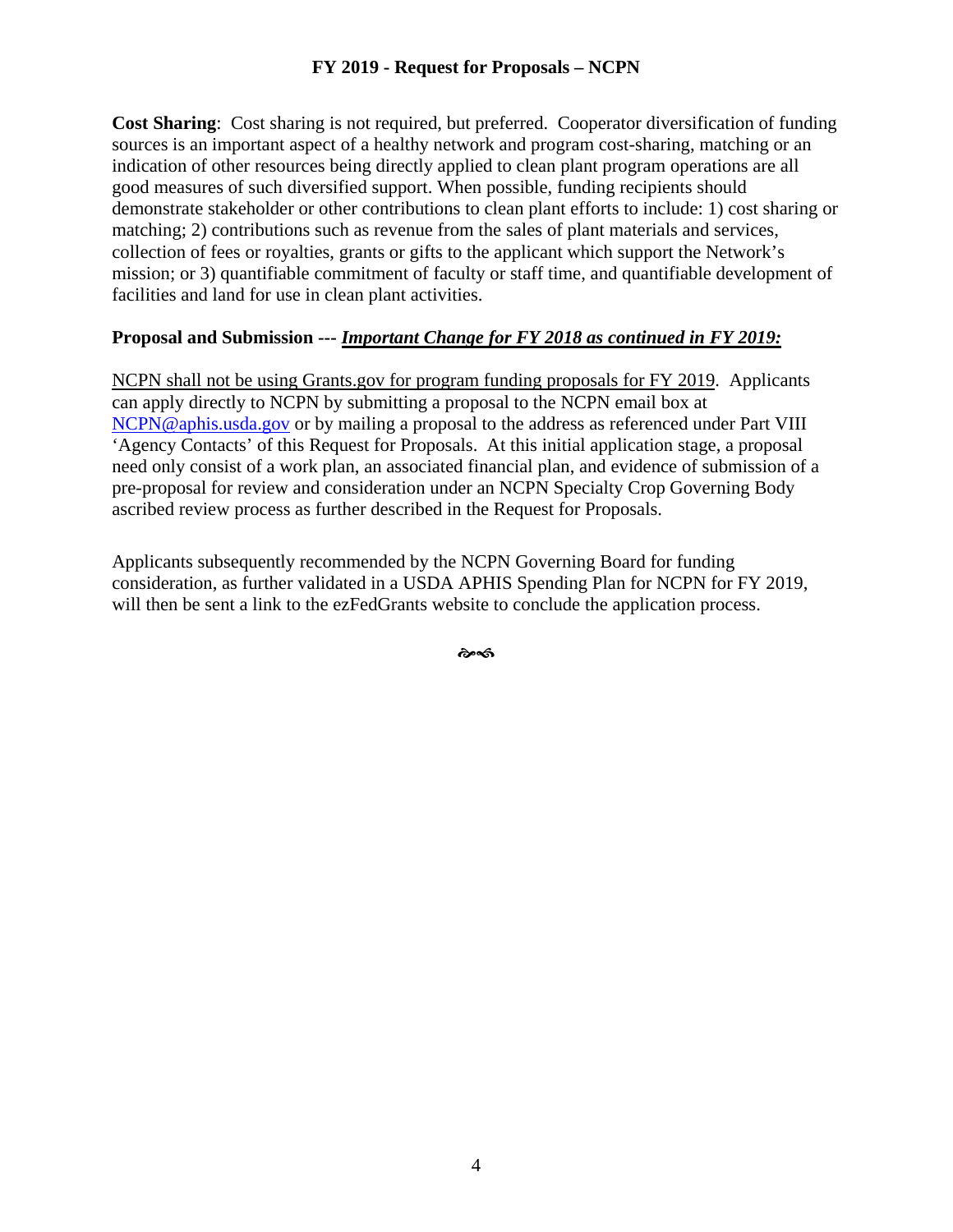**Cost Sharing**: Cost sharing is not required, but preferred. Cooperator diversification of funding sources is an important aspect of a healthy network and program cost-sharing, matching or an indication of other resources being directly applied to clean plant program operations are all good measures of such diversified support. When possible, funding recipients should demonstrate stakeholder or other contributions to clean plant efforts to include: 1) cost sharing or matching; 2) contributions such as revenue from the sales of plant materials and services, collection of fees or royalties, grants or gifts to the applicant which support the Network's mission; or 3) quantifiable commitment of faculty or staff time, and quantifiable development of facilities and land for use in clean plant activities.

#### **Proposal and Submission ---** *Important Change for FY 2018 as continued in FY 2019:*

NCPN shall not be using Grants.gov for program funding proposals for FY 2019. Applicants can apply directly to NCPN by submitting a proposal to the NCPN email box at [NCPN@aphis.usda.gov](mailto:NCPN@aphis.usda.gov) or by mailing a proposal to the address as referenced under Part VIII 'Agency Contacts' of this Request for Proposals. At this initial application stage, a proposal need only consist of a work plan, an associated financial plan, and evidence of submission of a pre-proposal for review and consideration under an NCPN Specialty Crop Governing Body ascribed review process as further described in the Request for Proposals.

Applicants subsequently recommended by the NCPN Governing Board for funding consideration, as further validated in a USDA APHIS Spending Plan for NCPN for FY 2019, will then be sent a link to the ezFedGrants website to conclude the application process.

��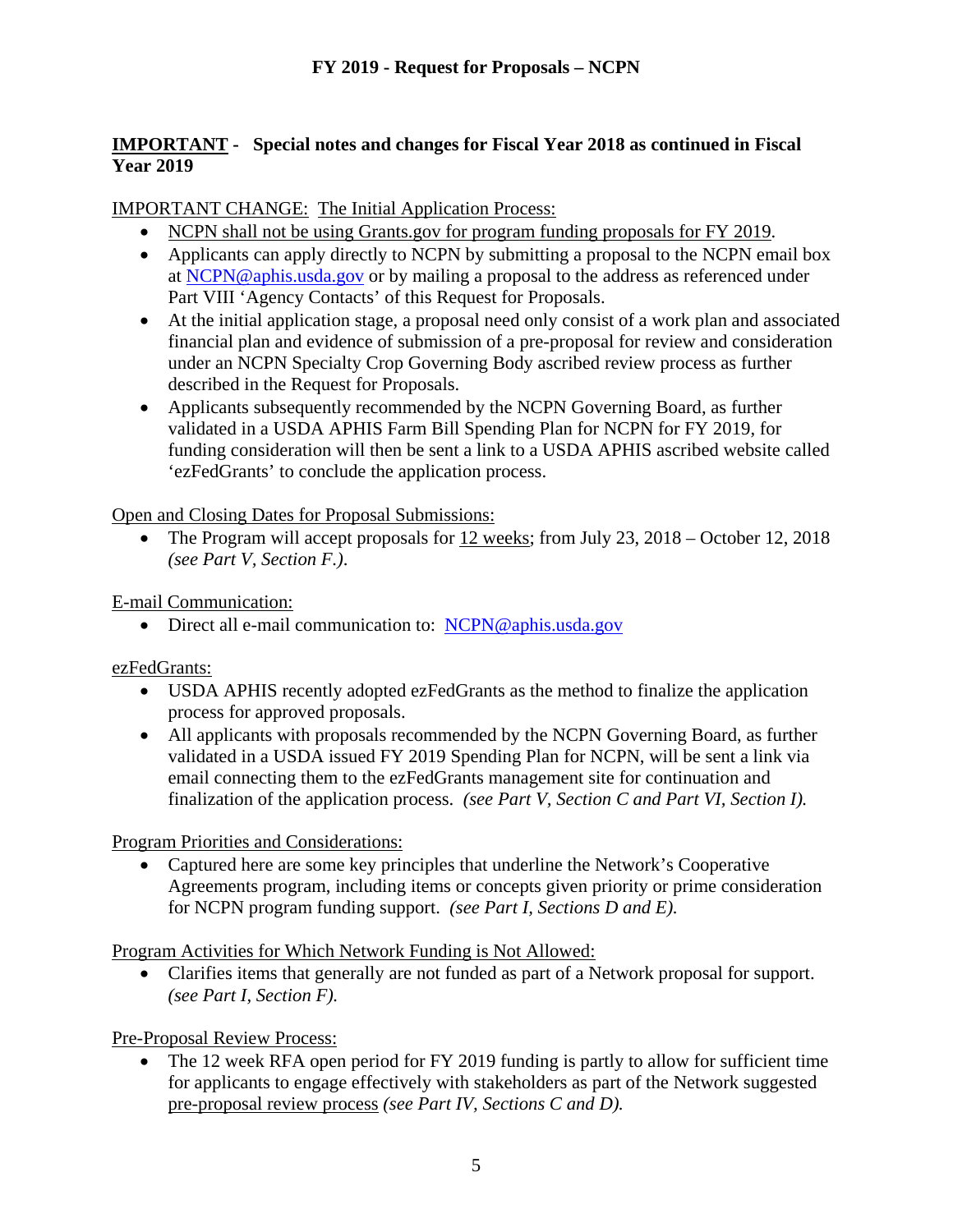# **IMPORTANT - Special notes and changes for Fiscal Year 2018 as continued in Fiscal Year 2019**

# IMPORTANT CHANGE: The Initial Application Process:

- NCPN shall not be using Grants.gov for program funding proposals for FY 2019.
- Applicants can apply directly to NCPN by submitting a proposal to the NCPN email box at [NCPN@aphis.usda.gov](mailto:NCPN@aphis.usda.gov) or by mailing a proposal to the address as referenced under Part VIII 'Agency Contacts' of this Request for Proposals.
- At the initial application stage, a proposal need only consist of a work plan and associated financial plan and evidence of submission of a pre-proposal for review and consideration under an NCPN Specialty Crop Governing Body ascribed review process as further described in the Request for Proposals.
- Applicants subsequently recommended by the NCPN Governing Board, as further validated in a USDA APHIS Farm Bill Spending Plan for NCPN for FY 2019, for funding consideration will then be sent a link to a USDA APHIS ascribed website called 'ezFedGrants' to conclude the application process.

Open and Closing Dates for Proposal Submissions:

• The Program will accept proposals for 12 weeks; from July 23, 2018 – October 12, 2018 *(see Part V, Section F.)*.

E-mail Communication:

• Direct all e-mail communication to: [NCPN@aphis.usda.gov](mailto:NCPN@aphis.usda.gov)

ezFedGrants:

- USDA APHIS recently adopted ezFedGrants as the method to finalize the application process for approved proposals.
- All applicants with proposals recommended by the NCPN Governing Board, as further validated in a USDA issued FY 2019 Spending Plan for NCPN, will be sent a link via email connecting them to the ezFedGrants management site for continuation and finalization of the application process. *(see Part V, Section C and Part VI, Section I).*

Program Priorities and Considerations:

• Captured here are some key principles that underline the Network's Cooperative Agreements program, including items or concepts given priority or prime consideration for NCPN program funding support. *(see Part I, Sections D and E).*

Program Activities for Which Network Funding is Not Allowed:

• Clarifies items that generally are not funded as part of a Network proposal for support. *(see Part I, Section F).*

Pre-Proposal Review Process:

The 12 week RFA open period for FY 2019 funding is partly to allow for sufficient time for applicants to engage effectively with stakeholders as part of the Network suggested pre-proposal review process *(see Part IV, Sections C and D).*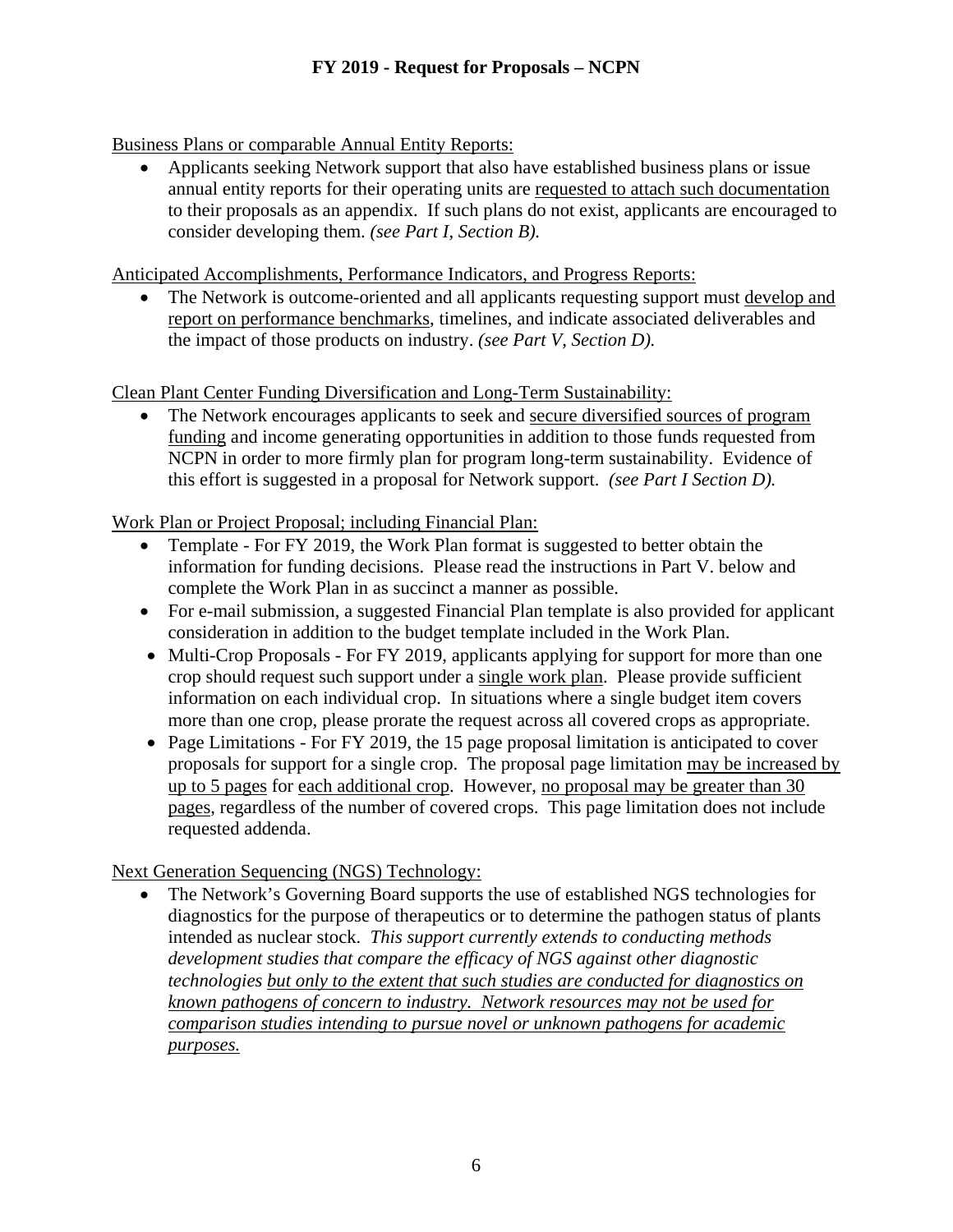Business Plans or comparable Annual Entity Reports:

• Applicants seeking Network support that also have established business plans or issue annual entity reports for their operating units are requested to attach such documentation to their proposals as an appendix. If such plans do not exist, applicants are encouraged to consider developing them. *(see Part I, Section B).*

Anticipated Accomplishments, Performance Indicators, and Progress Reports:

• The Network is outcome-oriented and all applicants requesting support must develop and report on performance benchmarks, timelines, and indicate associated deliverables and the impact of those products on industry. *(see Part V, Section D).*

Clean Plant Center Funding Diversification and Long-Term Sustainability:

• The Network encourages applicants to seek and secure diversified sources of program funding and income generating opportunities in addition to those funds requested from NCPN in order to more firmly plan for program long-term sustainability. Evidence of this effort is suggested in a proposal for Network support. *(see Part I Section D).*

Work Plan or Project Proposal; including Financial Plan:

- Template For FY 2019, the Work Plan format is suggested to better obtain the information for funding decisions. Please read the instructions in Part V. below and complete the Work Plan in as succinct a manner as possible.
- For e-mail submission, a suggested Financial Plan template is also provided for applicant consideration in addition to the budget template included in the Work Plan.
- Multi-Crop Proposals For FY 2019, applicants applying for support for more than one crop should request such support under a single work plan. Please provide sufficient information on each individual crop. In situations where a single budget item covers more than one crop, please prorate the request across all covered crops as appropriate.
- Page Limitations For FY 2019, the 15 page proposal limitation is anticipated to cover proposals for support for a single crop. The proposal page limitation may be increased by up to 5 pages for each additional crop. However, no proposal may be greater than 30 pages, regardless of the number of covered crops. This page limitation does not include requested addenda.

Next Generation Sequencing (NGS) Technology:

• The Network's Governing Board supports the use of established NGS technologies for diagnostics for the purpose of therapeutics or to determine the pathogen status of plants intended as nuclear stock. *This support currently extends to conducting methods development studies that compare the efficacy of NGS against other diagnostic technologies but only to the extent that such studies are conducted for diagnostics on known pathogens of concern to industry. Network resources may not be used for comparison studies intending to pursue novel or unknown pathogens for academic purposes.*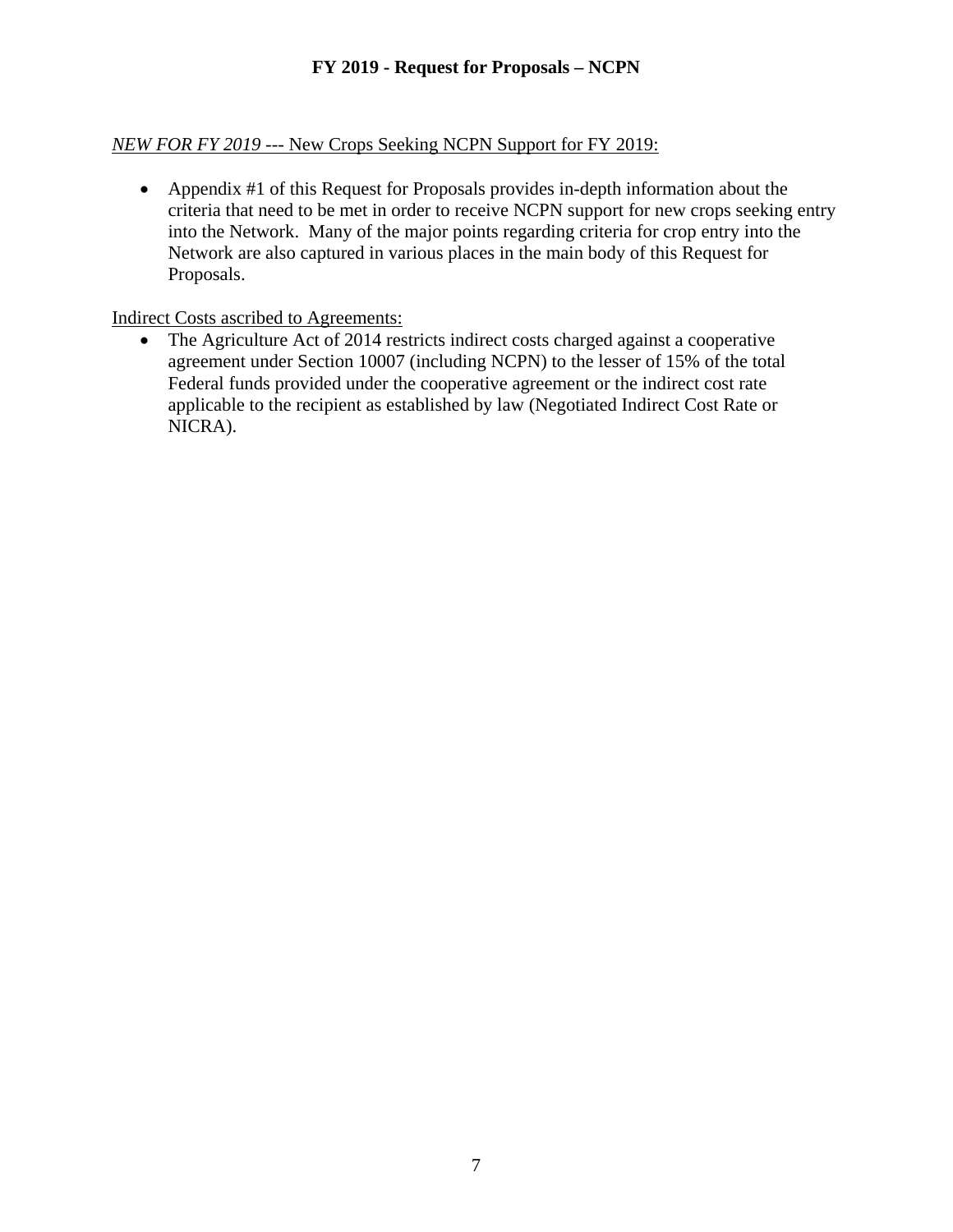# *NEW FOR FY 2019* --- New Crops Seeking NCPN Support for FY 2019:

• Appendix #1 of this Request for Proposals provides in-depth information about the criteria that need to be met in order to receive NCPN support for new crops seeking entry into the Network. Many of the major points regarding criteria for crop entry into the Network are also captured in various places in the main body of this Request for Proposals.

Indirect Costs ascribed to Agreements:

• The Agriculture Act of 2014 restricts indirect costs charged against a cooperative agreement under Section 10007 (including NCPN) to the lesser of 15% of the total Federal funds provided under the cooperative agreement or the indirect cost rate applicable to the recipient as established by law (Negotiated Indirect Cost Rate or NICRA).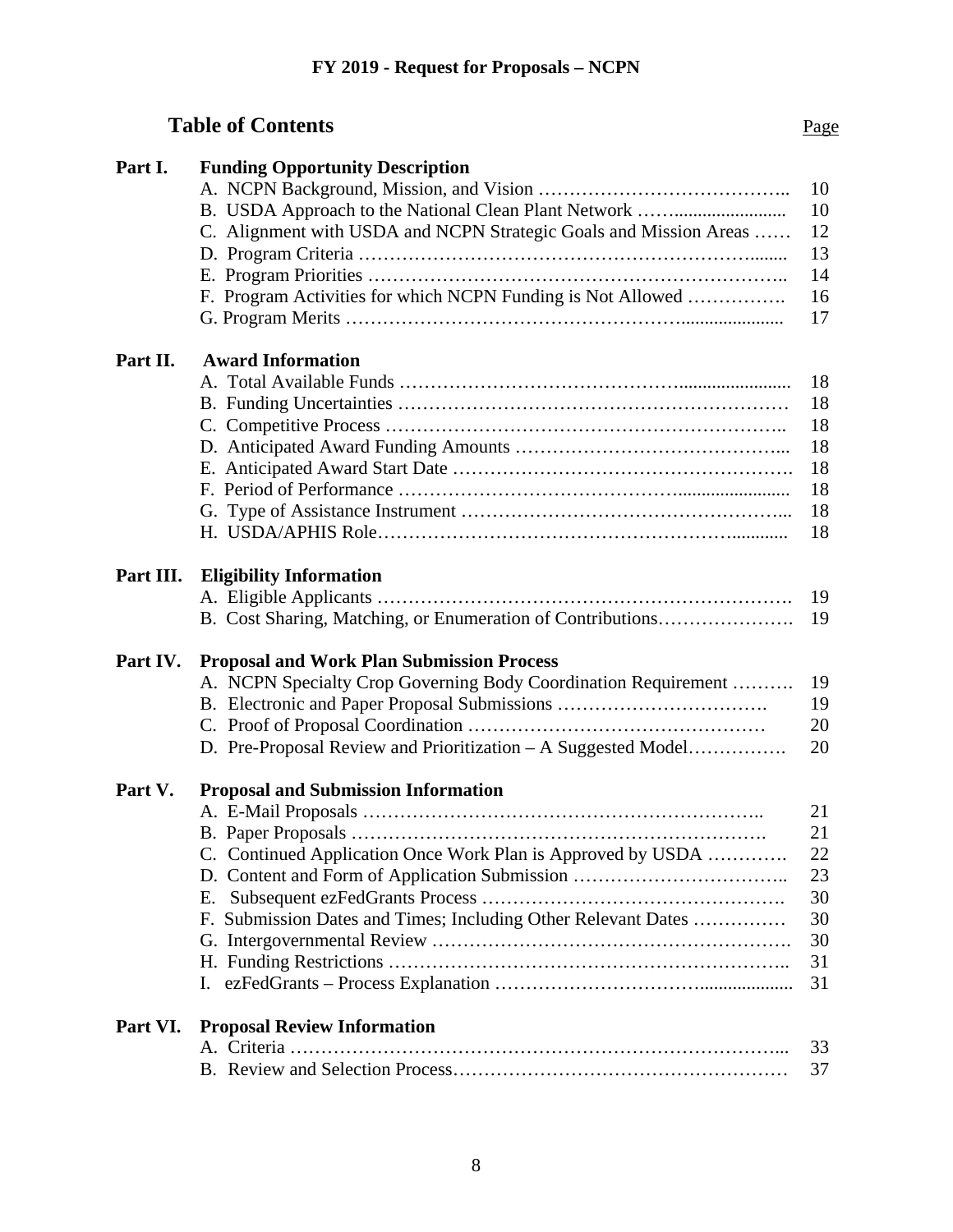# **Table of Contents** Page

| Part I.   | <b>Funding Opportunity Description</b>                            |    |
|-----------|-------------------------------------------------------------------|----|
|           |                                                                   | 10 |
|           |                                                                   | 10 |
|           | C. Alignment with USDA and NCPN Strategic Goals and Mission Areas | 12 |
|           |                                                                   | 13 |
|           |                                                                   | 14 |
|           | F. Program Activities for which NCPN Funding is Not Allowed       | 16 |
|           |                                                                   | 17 |
|           |                                                                   |    |
| Part II.  | <b>Award Information</b>                                          |    |
|           |                                                                   | 18 |
|           |                                                                   | 18 |
|           |                                                                   | 18 |
|           |                                                                   | 18 |
|           |                                                                   | 18 |
|           |                                                                   | 18 |
|           |                                                                   | 18 |
|           |                                                                   | 18 |
|           |                                                                   |    |
| Part III. | <b>Eligibility Information</b>                                    |    |
|           |                                                                   | 19 |
|           | B. Cost Sharing, Matching, or Enumeration of Contributions        | 19 |
|           |                                                                   |    |
| Part IV.  | <b>Proposal and Work Plan Submission Process</b>                  |    |
|           | A. NCPN Specialty Crop Governing Body Coordination Requirement    | 19 |
|           |                                                                   | 19 |
|           |                                                                   | 20 |
|           | D. Pre-Proposal Review and Prioritization – A Suggested Model     | 20 |
| Part V.   | <b>Proposal and Submission Information</b>                        |    |
|           |                                                                   | 21 |
|           |                                                                   | 21 |
|           | C. Continued Application Once Work Plan is Approved by USDA       | 22 |
|           |                                                                   | 23 |
|           | Е.                                                                | 30 |
|           | F. Submission Dates and Times; Including Other Relevant Dates     | 30 |
|           |                                                                   | 30 |
|           |                                                                   | 31 |
|           |                                                                   | 31 |
|           |                                                                   |    |
| Part VI.  | <b>Proposal Review Information</b>                                |    |
|           |                                                                   | 33 |
|           |                                                                   | 37 |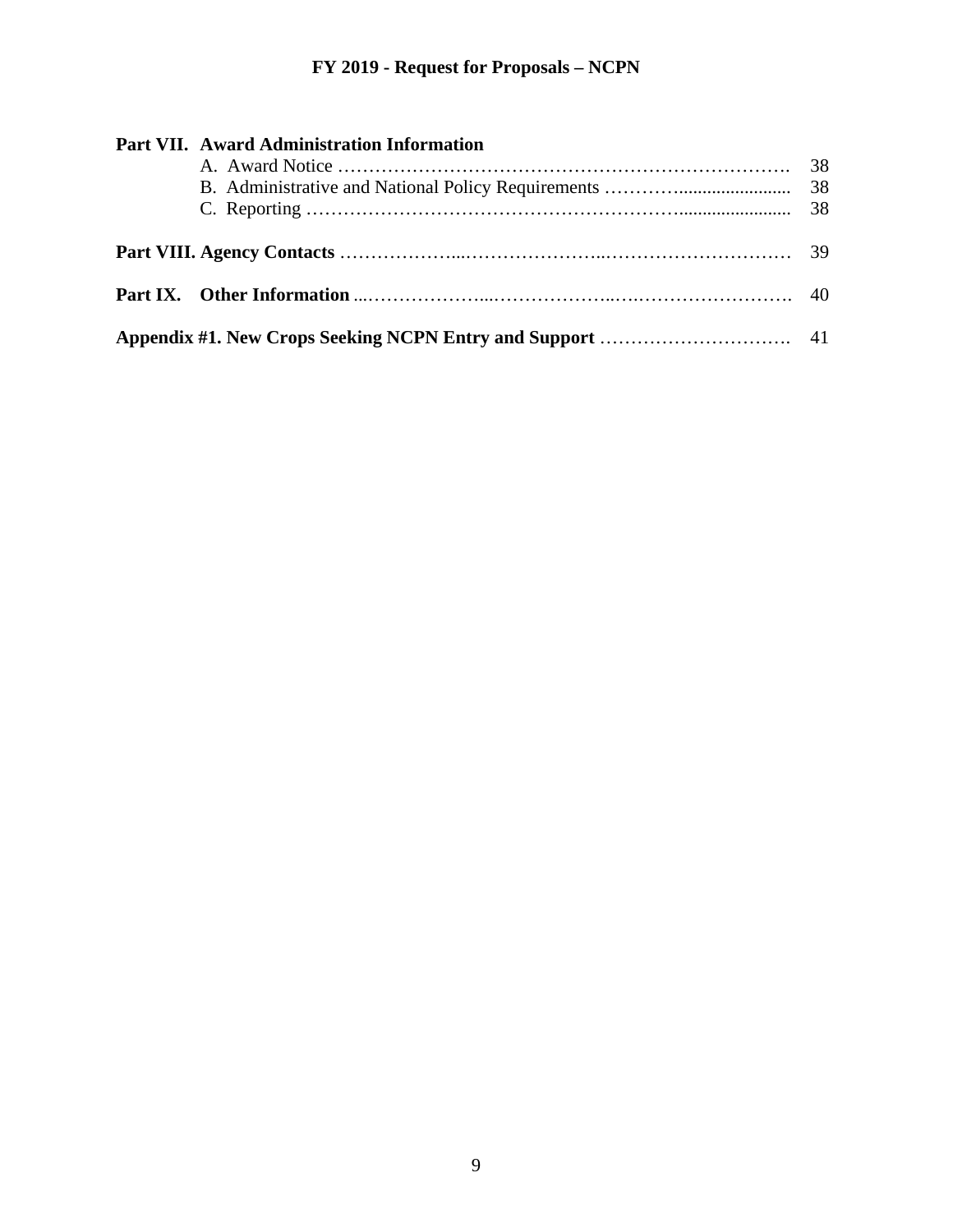| Part VII. Award Administration Information |  |
|--------------------------------------------|--|
|                                            |  |
|                                            |  |
|                                            |  |
|                                            |  |
|                                            |  |
|                                            |  |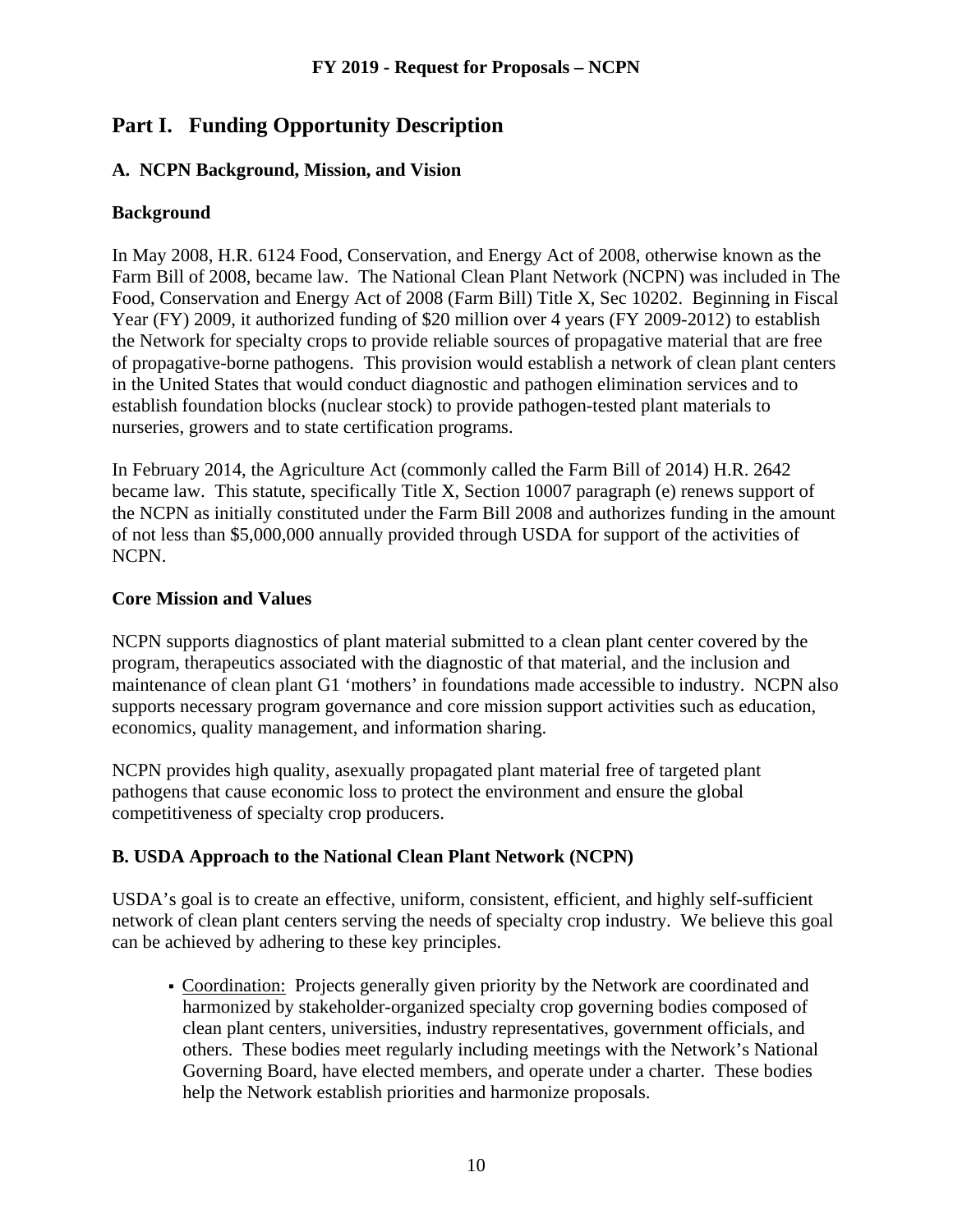# **Part I. Funding Opportunity Description**

# **A. NCPN Background, Mission, and Vision**

## **Background**

In May 2008, H.R. 6124 Food, Conservation, and Energy Act of 2008, otherwise known as the Farm Bill of 2008, became law. The National Clean Plant Network (NCPN) was included in The Food, Conservation and Energy Act of 2008 (Farm Bill) Title X, Sec 10202. Beginning in Fiscal Year (FY) 2009, it authorized funding of \$20 million over 4 years (FY 2009-2012) to establish the Network for specialty crops to provide reliable sources of propagative material that are free of propagative-borne pathogens. This provision would establish a network of clean plant centers in the United States that would conduct diagnostic and pathogen elimination services and to establish foundation blocks (nuclear stock) to provide pathogen-tested plant materials to nurseries, growers and to state certification programs.

In February 2014, the Agriculture Act (commonly called the Farm Bill of 2014) H.R. 2642 became law. This statute, specifically Title X, Section 10007 paragraph (e) renews support of the NCPN as initially constituted under the Farm Bill 2008 and authorizes funding in the amount of not less than \$5,000,000 annually provided through USDA for support of the activities of NCPN.

## **Core Mission and Values**

NCPN supports diagnostics of plant material submitted to a clean plant center covered by the program, therapeutics associated with the diagnostic of that material, and the inclusion and maintenance of clean plant G1 'mothers' in foundations made accessible to industry. NCPN also supports necessary program governance and core mission support activities such as education, economics, quality management, and information sharing.

NCPN provides high quality, asexually propagated plant material free of targeted plant pathogens that cause economic loss to protect the environment and ensure the global competitiveness of specialty crop producers.

# **B. USDA Approach to the National Clean Plant Network (NCPN)**

USDA's goal is to create an effective, uniform, consistent, efficient, and highly self-sufficient network of clean plant centers serving the needs of specialty crop industry. We believe this goal can be achieved by adhering to these key principles.

 Coordination: Projects generally given priority by the Network are coordinated and harmonized by stakeholder-organized specialty crop governing bodies composed of clean plant centers, universities, industry representatives, government officials, and others. These bodies meet regularly including meetings with the Network's National Governing Board, have elected members, and operate under a charter. These bodies help the Network establish priorities and harmonize proposals.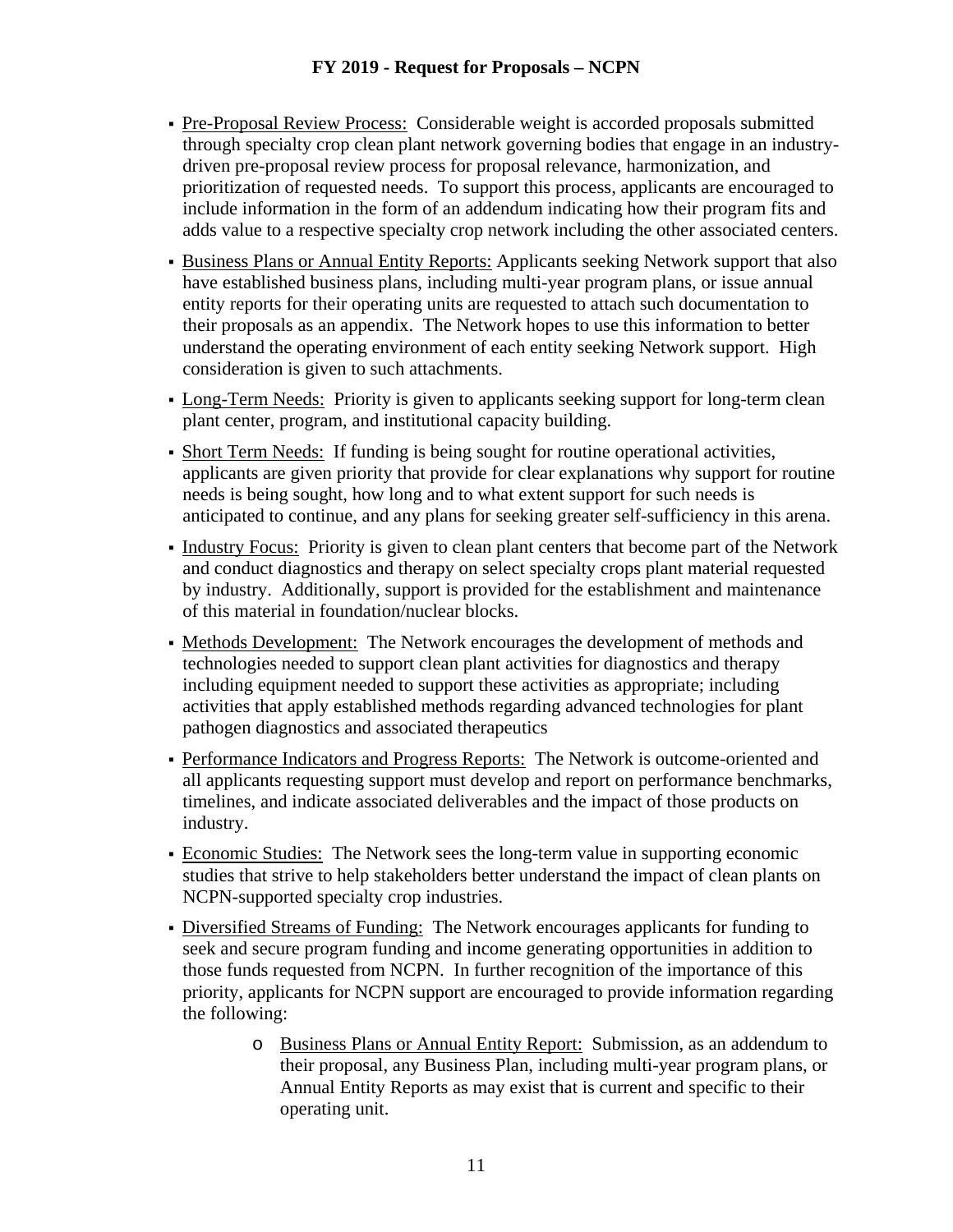- Pre-Proposal Review Process: Considerable weight is accorded proposals submitted through specialty crop clean plant network governing bodies that engage in an industrydriven pre-proposal review process for proposal relevance, harmonization, and prioritization of requested needs. To support this process, applicants are encouraged to include information in the form of an addendum indicating how their program fits and adds value to a respective specialty crop network including the other associated centers.
- Business Plans or Annual Entity Reports: Applicants seeking Network support that also have established business plans, including multi-year program plans, or issue annual entity reports for their operating units are requested to attach such documentation to their proposals as an appendix. The Network hopes to use this information to better understand the operating environment of each entity seeking Network support. High consideration is given to such attachments.
- Long-Term Needs: Priority is given to applicants seeking support for long-term clean plant center, program, and institutional capacity building.
- Short Term Needs:If funding is being sought for routine operational activities, applicants are given priority that provide for clear explanations why support for routine needs is being sought, how long and to what extent support for such needs is anticipated to continue, and any plans for seeking greater self-sufficiency in this arena.
- Industry Focus: Priority is given to clean plant centers that become part of the Network and conduct diagnostics and therapy on select specialty crops plant material requested by industry. Additionally, support is provided for the establishment and maintenance of this material in foundation/nuclear blocks.
- Methods Development: The Network encourages the development of methods and technologies needed to support clean plant activities for diagnostics and therapy including equipment needed to support these activities as appropriate; including activities that apply established methods regarding advanced technologies for plant pathogen diagnostics and associated therapeutics
- Performance Indicators and Progress Reports: The Network is outcome-oriented and all applicants requesting support must develop and report on performance benchmarks, timelines, and indicate associated deliverables and the impact of those products on industry.
- Economic Studies: The Network sees the long-term value in supporting economic studies that strive to help stakeholders better understand the impact of clean plants on NCPN-supported specialty crop industries.
- Diversified Streams of Funding: The Network encourages applicants for funding to seek and secure program funding and income generating opportunities in addition to those funds requested from NCPN. In further recognition of the importance of this priority, applicants for NCPN support are encouraged to provide information regarding the following:
	- o Business Plans or Annual Entity Report:Submission, as an addendum to their proposal, any Business Plan, including multi-year program plans, or Annual Entity Reports as may exist that is current and specific to their operating unit.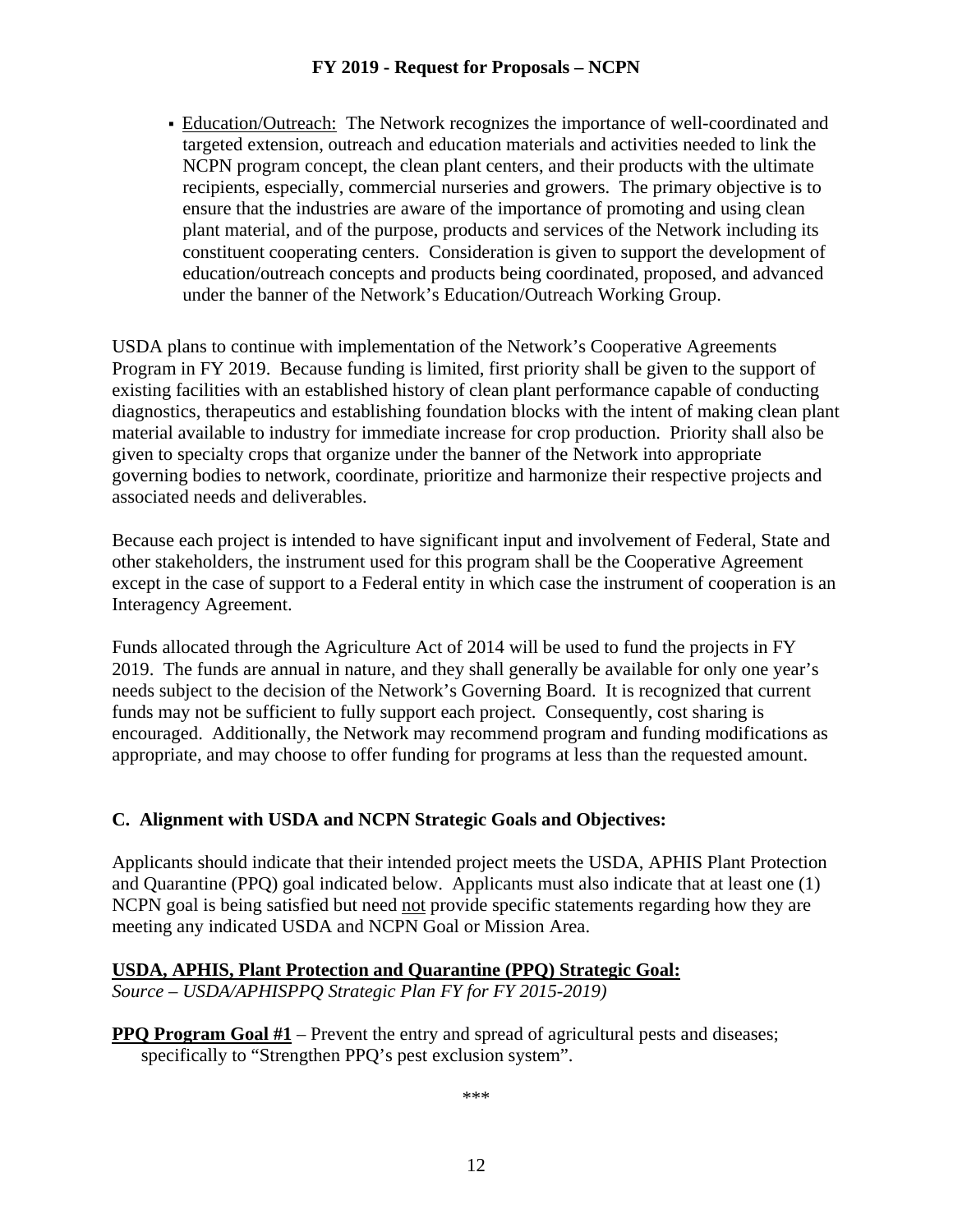Education/Outreach: The Network recognizes the importance of well-coordinated and targeted extension, outreach and education materials and activities needed to link the NCPN program concept, the clean plant centers, and their products with the ultimate recipients, especially, commercial nurseries and growers. The primary objective is to ensure that the industries are aware of the importance of promoting and using clean plant material, and of the purpose, products and services of the Network including its constituent cooperating centers. Consideration is given to support the development of education/outreach concepts and products being coordinated, proposed, and advanced under the banner of the Network's Education/Outreach Working Group.

USDA plans to continue with implementation of the Network's Cooperative Agreements Program in FY 2019. Because funding is limited, first priority shall be given to the support of existing facilities with an established history of clean plant performance capable of conducting diagnostics, therapeutics and establishing foundation blocks with the intent of making clean plant material available to industry for immediate increase for crop production. Priority shall also be given to specialty crops that organize under the banner of the Network into appropriate governing bodies to network, coordinate, prioritize and harmonize their respective projects and associated needs and deliverables.

Because each project is intended to have significant input and involvement of Federal, State and other stakeholders, the instrument used for this program shall be the Cooperative Agreement except in the case of support to a Federal entity in which case the instrument of cooperation is an Interagency Agreement.

Funds allocated through the Agriculture Act of 2014 will be used to fund the projects in FY 2019. The funds are annual in nature, and they shall generally be available for only one year's needs subject to the decision of the Network's Governing Board. It is recognized that current funds may not be sufficient to fully support each project. Consequently, cost sharing is encouraged. Additionally, the Network may recommend program and funding modifications as appropriate, and may choose to offer funding for programs at less than the requested amount.

#### **C. Alignment with USDA and NCPN Strategic Goals and Objectives:**

Applicants should indicate that their intended project meets the USDA, APHIS Plant Protection and Quarantine (PPQ) goal indicated below. Applicants must also indicate that at least one (1) NCPN goal is being satisfied but need not provide specific statements regarding how they are meeting any indicated USDA and NCPN Goal or Mission Area.

# **USDA, APHIS, Plant Protection and Quarantine (PPQ) Strategic Goal:**

*Source – USDA/APHISPPQ Strategic Plan FY for FY 2015-2019)*

**PPQ Program Goal #1** – Prevent the entry and spread of agricultural pests and diseases; specifically to "Strengthen PPQ's pest exclusion system".

\*\*\*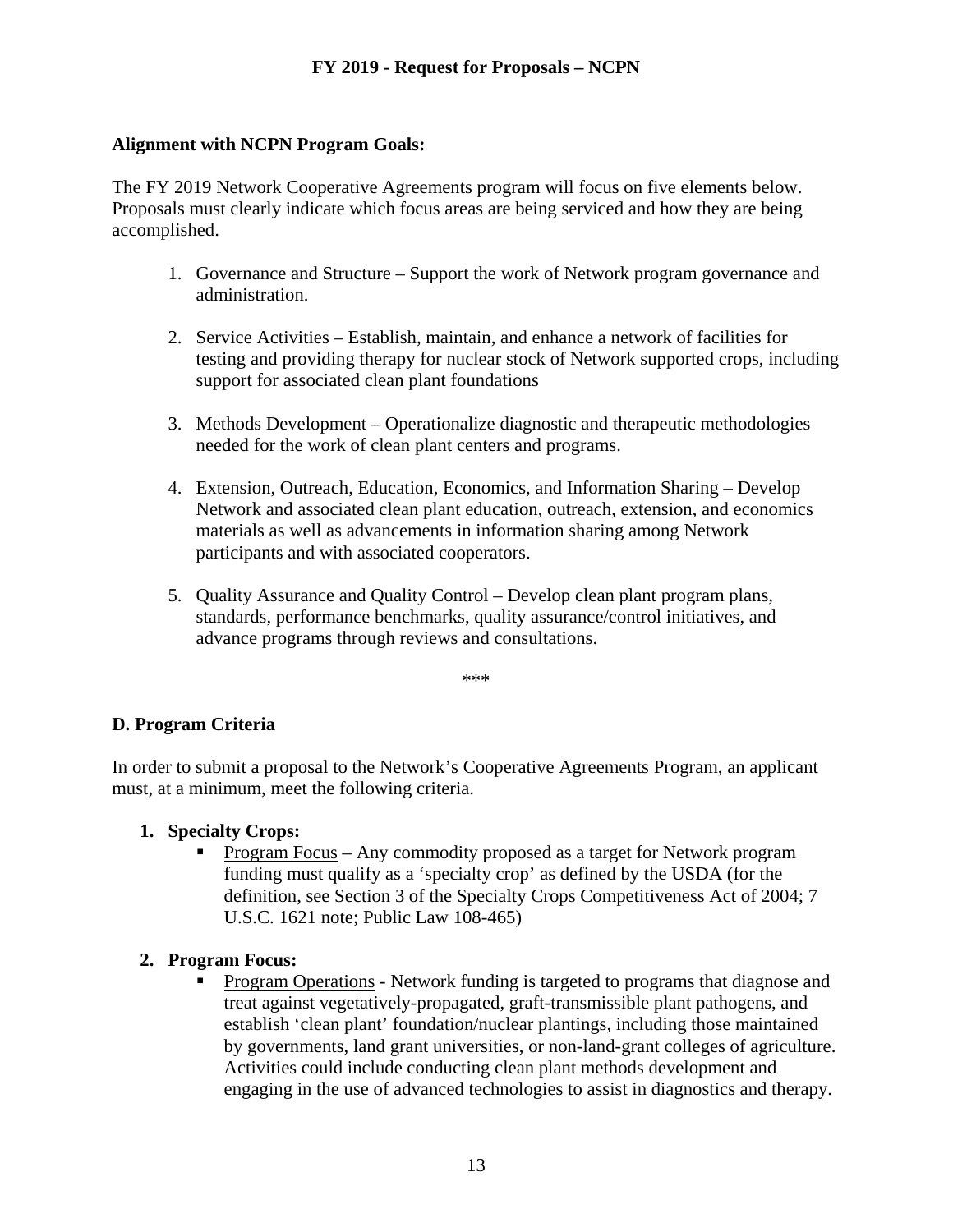#### **Alignment with NCPN Program Goals:**

The FY 2019 Network Cooperative Agreements program will focus on five elements below. Proposals must clearly indicate which focus areas are being serviced and how they are being accomplished.

- 1. Governance and Structure Support the work of Network program governance and administration.
- 2. Service Activities Establish, maintain, and enhance a network of facilities for testing and providing therapy for nuclear stock of Network supported crops, including support for associated clean plant foundations
- 3. Methods Development Operationalize diagnostic and therapeutic methodologies needed for the work of clean plant centers and programs.
- 4. Extension, Outreach, Education, Economics, and Information Sharing Develop Network and associated clean plant education, outreach, extension, and economics materials as well as advancements in information sharing among Network participants and with associated cooperators.
- 5. Quality Assurance and Quality Control Develop clean plant program plans, standards, performance benchmarks, quality assurance/control initiatives, and advance programs through reviews and consultations.

\*\*\*

#### **D. Program Criteria**

In order to submit a proposal to the Network's Cooperative Agreements Program, an applicant must, at a minimum, meet the following criteria.

#### **1. Specialty Crops:**

 Program Focus – Any commodity proposed as a target for Network program funding must qualify as a 'specialty crop' as defined by the USDA (for the definition, see Section 3 of the Specialty Crops Competitiveness Act of 2004; 7 U.S.C. 1621 note; Public Law 108-465)

#### **2. Program Focus:**

 Program Operations - Network funding is targeted to programs that diagnose and treat against vegetatively-propagated, graft-transmissible plant pathogens, and establish 'clean plant' foundation/nuclear plantings, including those maintained by governments, land grant universities, or non-land-grant colleges of agriculture. Activities could include conducting clean plant methods development and engaging in the use of advanced technologies to assist in diagnostics and therapy.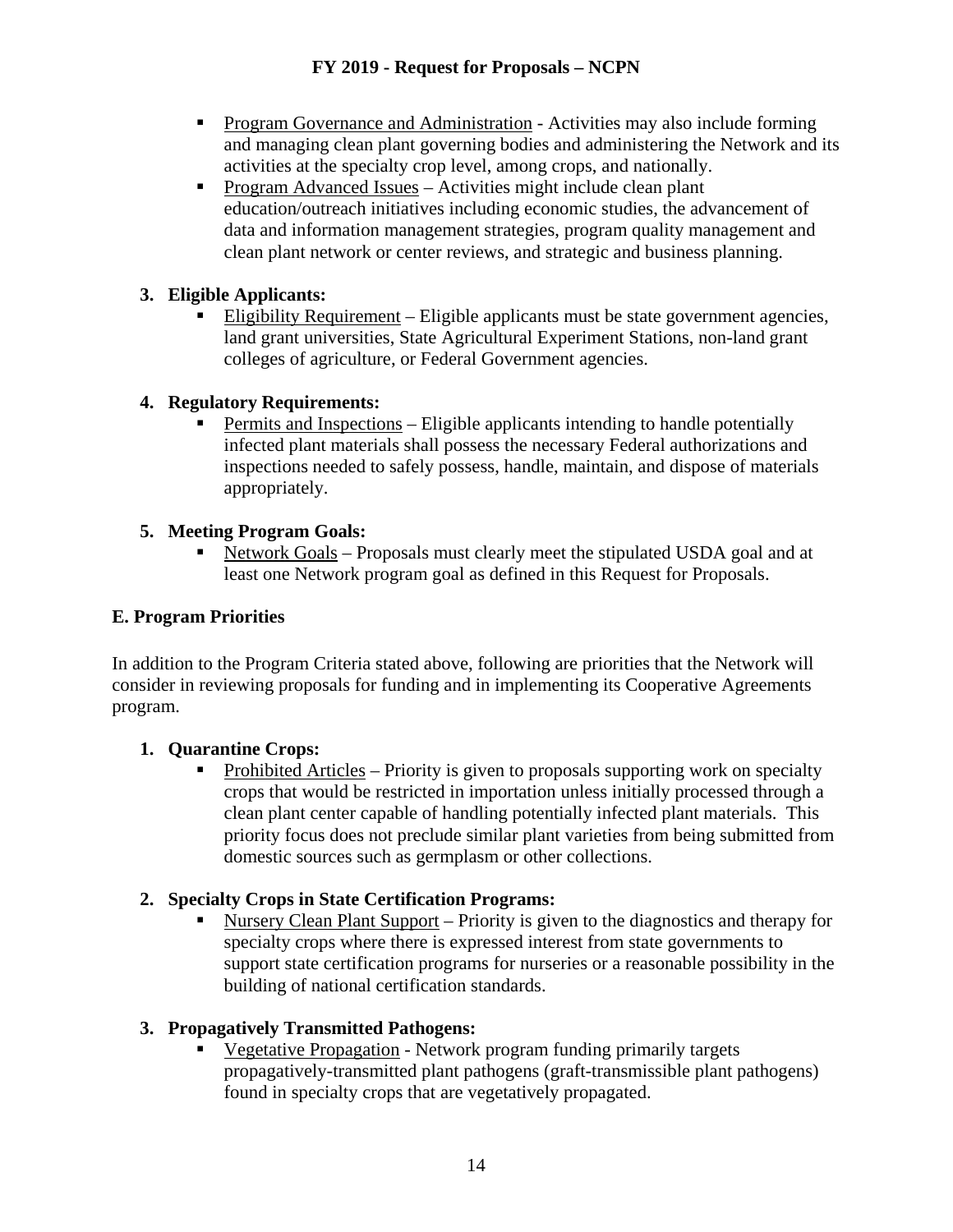- **Program Governance and Administration Activities may also include forming** and managing clean plant governing bodies and administering the Network and its activities at the specialty crop level, among crops, and nationally.
- Program Advanced Issues Activities might include clean plant education/outreach initiatives including economic studies, the advancement of data and information management strategies, program quality management and clean plant network or center reviews, and strategic and business planning.

# **3. Eligible Applicants:**

■ Eligibility Requirement – Eligible applicants must be state government agencies, land grant universities, State Agricultural Experiment Stations, non-land grant colleges of agriculture, or Federal Government agencies.

# **4. Regulatory Requirements:**

 Permits and Inspections – Eligible applicants intending to handle potentially infected plant materials shall possess the necessary Federal authorizations and inspections needed to safely possess, handle, maintain, and dispose of materials appropriately.

# **5. Meeting Program Goals:**

 Network Goals – Proposals must clearly meet the stipulated USDA goal and at least one Network program goal as defined in this Request for Proposals.

# **E. Program Priorities**

In addition to the Program Criteria stated above, following are priorities that the Network will consider in reviewing proposals for funding and in implementing its Cooperative Agreements program.

# **1. Quarantine Crops:**

 Prohibited Articles – Priority is given to proposals supporting work on specialty crops that would be restricted in importation unless initially processed through a clean plant center capable of handling potentially infected plant materials. This priority focus does not preclude similar plant varieties from being submitted from domestic sources such as germplasm or other collections.

# **2. Specialty Crops in State Certification Programs:**

 Nursery Clean Plant Support – Priority is given to the diagnostics and therapy for specialty crops where there is expressed interest from state governments to support state certification programs for nurseries or a reasonable possibility in the building of national certification standards.

# **3. Propagatively Transmitted Pathogens:**

 Vegetative Propagation - Network program funding primarily targets propagatively-transmitted plant pathogens (graft-transmissible plant pathogens) found in specialty crops that are vegetatively propagated.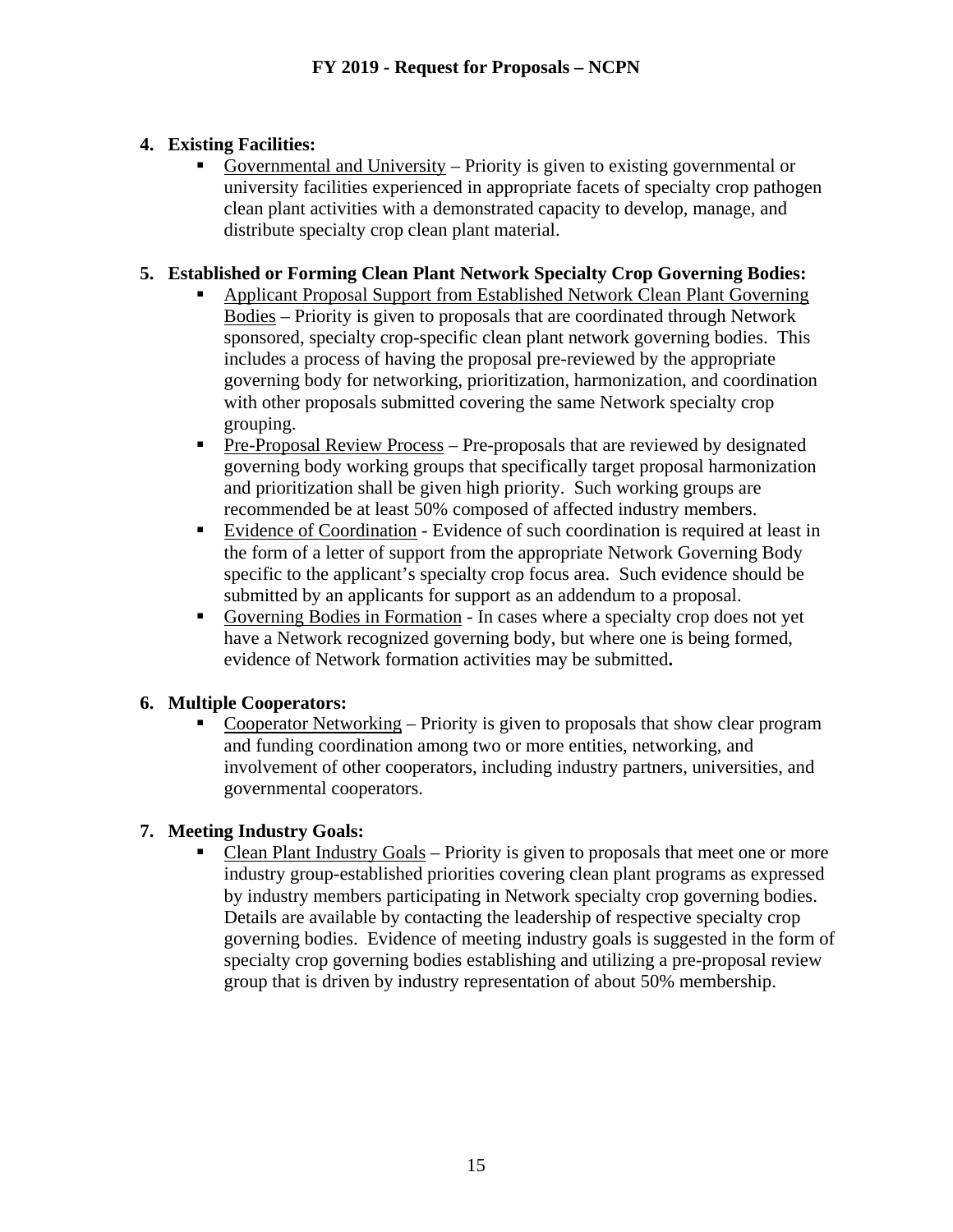# **4. Existing Facilities:**

 Governmental and University – Priority is given to existing governmental or university facilities experienced in appropriate facets of specialty crop pathogen clean plant activities with a demonstrated capacity to develop, manage, and distribute specialty crop clean plant material.

# **5. Established or Forming Clean Plant Network Specialty Crop Governing Bodies:**

- Applicant Proposal Support from Established Network Clean Plant Governing Bodies – Priority is given to proposals that are coordinated through Network sponsored, specialty crop-specific clean plant network governing bodies. This includes a process of having the proposal pre-reviewed by the appropriate governing body for networking, prioritization, harmonization, and coordination with other proposals submitted covering the same Network specialty crop grouping.
- **Pre-Proposal Review Process Pre-proposals that are reviewed by designated** governing body working groups that specifically target proposal harmonization and prioritization shall be given high priority. Such working groups are recommended be at least 50% composed of affected industry members.
- Evidence of Coordination Evidence of such coordination is required at least in the form of a letter of support from the appropriate Network Governing Body specific to the applicant's specialty crop focus area. Such evidence should be submitted by an applicants for support as an addendum to a proposal.
- Governing Bodies in Formation In cases where a specialty crop does not yet have a Network recognized governing body, but where one is being formed, evidence of Network formation activities may be submitted**.**

# **6. Multiple Cooperators:**

 Cooperator Networking – Priority is given to proposals that show clear program and funding coordination among two or more entities, networking, and involvement of other cooperators, including industry partners, universities, and governmental cooperators.

# **7. Meeting Industry Goals:**

 Clean Plant Industry Goals – Priority is given to proposals that meet one or more industry group-established priorities covering clean plant programs as expressed by industry members participating in Network specialty crop governing bodies. Details are available by contacting the leadership of respective specialty crop governing bodies. Evidence of meeting industry goals is suggested in the form of specialty crop governing bodies establishing and utilizing a pre-proposal review group that is driven by industry representation of about 50% membership.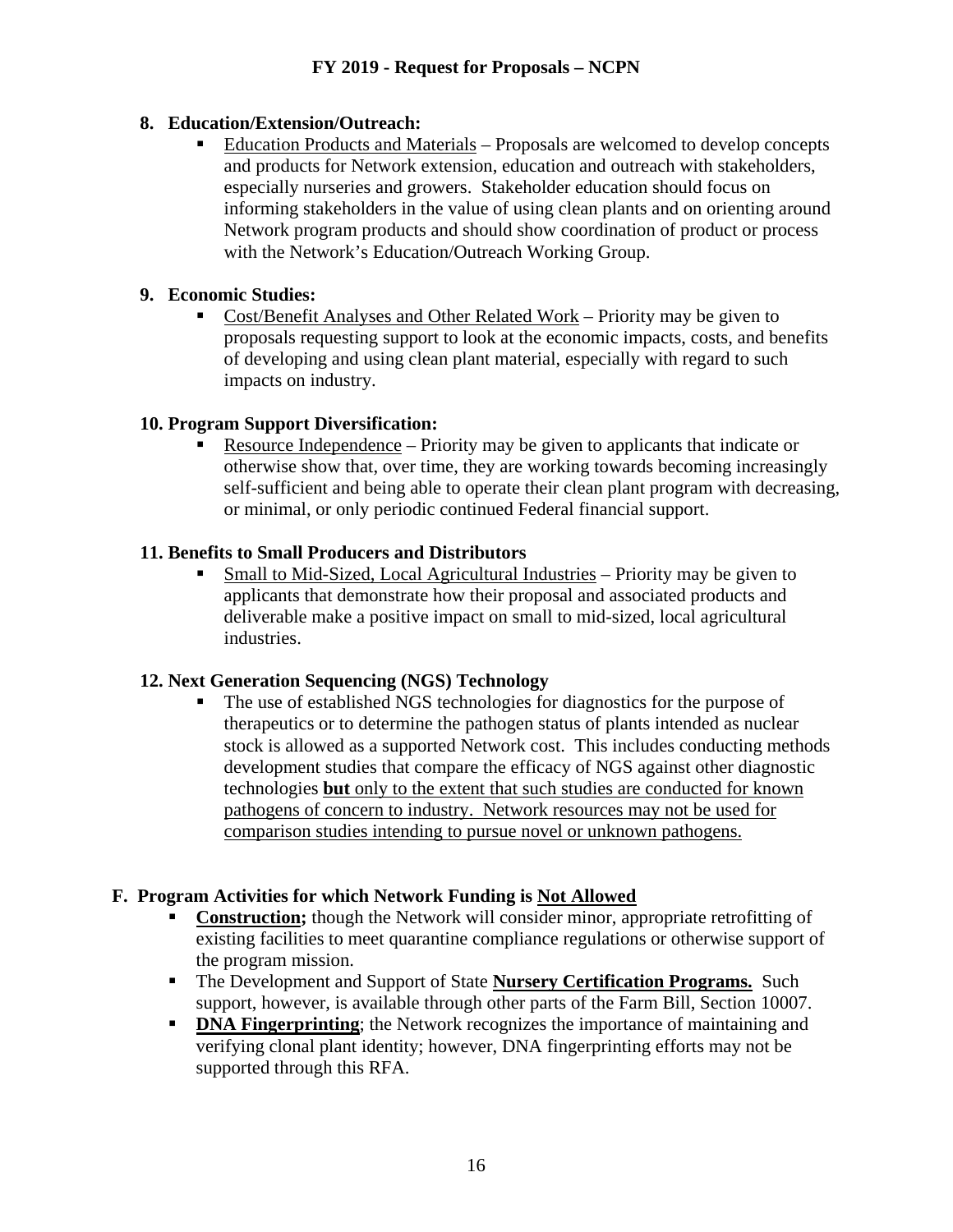# **8. Education/Extension/Outreach:**

 Education Products and Materials – Proposals are welcomed to develop concepts and products for Network extension, education and outreach with stakeholders, especially nurseries and growers. Stakeholder education should focus on informing stakeholders in the value of using clean plants and on orienting around Network program products and should show coordination of product or process with the Network's Education/Outreach Working Group.

## **9. Economic Studies:**

 Cost/Benefit Analyses and Other Related Work – Priority may be given to proposals requesting support to look at the economic impacts, costs, and benefits of developing and using clean plant material, especially with regard to such impacts on industry.

## **10. Program Support Diversification:**

 Resource Independence – Priority may be given to applicants that indicate or otherwise show that, over time, they are working towards becoming increasingly self-sufficient and being able to operate their clean plant program with decreasing, or minimal, or only periodic continued Federal financial support.

## **11. Benefits to Small Producers and Distributors**

 Small to Mid-Sized, Local Agricultural Industries – Priority may be given to applicants that demonstrate how their proposal and associated products and deliverable make a positive impact on small to mid-sized, local agricultural industries.

#### **12. Next Generation Sequencing (NGS) Technology**

 The use of established NGS technologies for diagnostics for the purpose of therapeutics or to determine the pathogen status of plants intended as nuclear stock is allowed as a supported Network cost. This includes conducting methods development studies that compare the efficacy of NGS against other diagnostic technologies **but** only to the extent that such studies are conducted for known pathogens of concern to industry. Network resources may not be used for comparison studies intending to pursue novel or unknown pathogens.

#### **F. Program Activities for which Network Funding is Not Allowed**

- **Construction;** though the Network will consider minor, appropriate retrofitting of existing facilities to meet quarantine compliance regulations or otherwise support of the program mission.
- The Development and Support of State **Nursery Certification Programs.** Such support, however, is available through other parts of the Farm Bill, Section 10007.
- **DNA Fingerprinting**; the Network recognizes the importance of maintaining and verifying clonal plant identity; however, DNA fingerprinting efforts may not be supported through this RFA.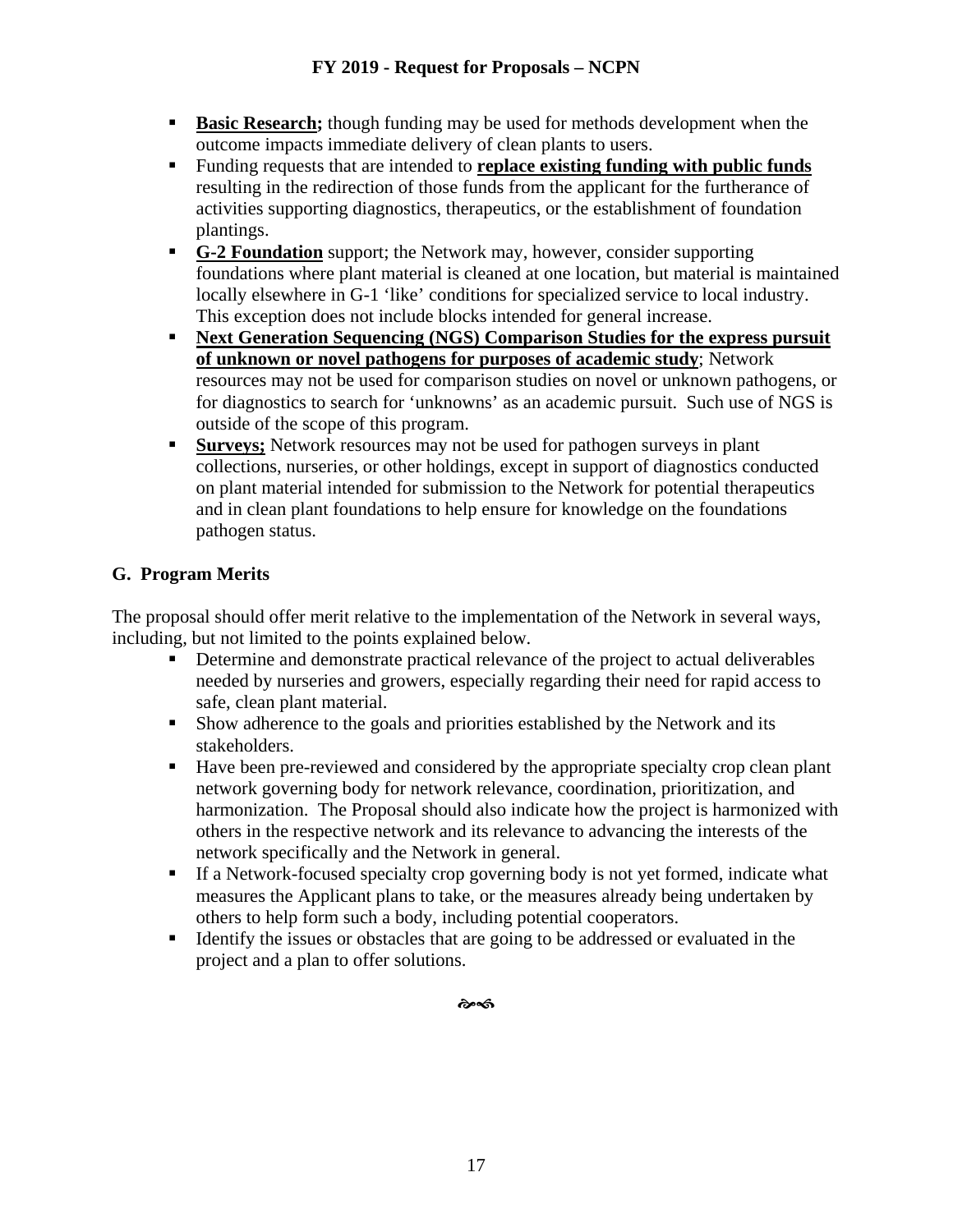- **Basic Research;** though funding may be used for methods development when the outcome impacts immediate delivery of clean plants to users.
- Funding requests that are intended to **replace existing funding with public funds** resulting in the redirection of those funds from the applicant for the furtherance of activities supporting diagnostics, therapeutics, or the establishment of foundation plantings.
- **G-2 Foundation** support; the Network may, however, consider supporting foundations where plant material is cleaned at one location, but material is maintained locally elsewhere in G-1 'like' conditions for specialized service to local industry. This exception does not include blocks intended for general increase.
- **Next Generation Sequencing (NGS) Comparison Studies for the express pursuit of unknown or novel pathogens for purposes of academic study**; Network resources may not be used for comparison studies on novel or unknown pathogens, or for diagnostics to search for 'unknowns' as an academic pursuit. Such use of NGS is outside of the scope of this program.
- **Surveys;** Network resources may not be used for pathogen surveys in plant collections, nurseries, or other holdings, except in support of diagnostics conducted on plant material intended for submission to the Network for potential therapeutics and in clean plant foundations to help ensure for knowledge on the foundations pathogen status.

# **G. Program Merits**

The proposal should offer merit relative to the implementation of the Network in several ways, including, but not limited to the points explained below.

- Determine and demonstrate practical relevance of the project to actual deliverables needed by nurseries and growers, especially regarding their need for rapid access to safe, clean plant material.
- Show adherence to the goals and priorities established by the Network and its stakeholders.
- Have been pre-reviewed and considered by the appropriate specialty crop clean plant network governing body for network relevance, coordination, prioritization, and harmonization. The Proposal should also indicate how the project is harmonized with others in the respective network and its relevance to advancing the interests of the network specifically and the Network in general.
- If a Network-focused specialty crop governing body is not yet formed, indicate what measures the Applicant plans to take, or the measures already being undertaken by others to help form such a body, including potential cooperators.
- Identify the issues or obstacles that are going to be addressed or evaluated in the project and a plan to offer solutions.

డించ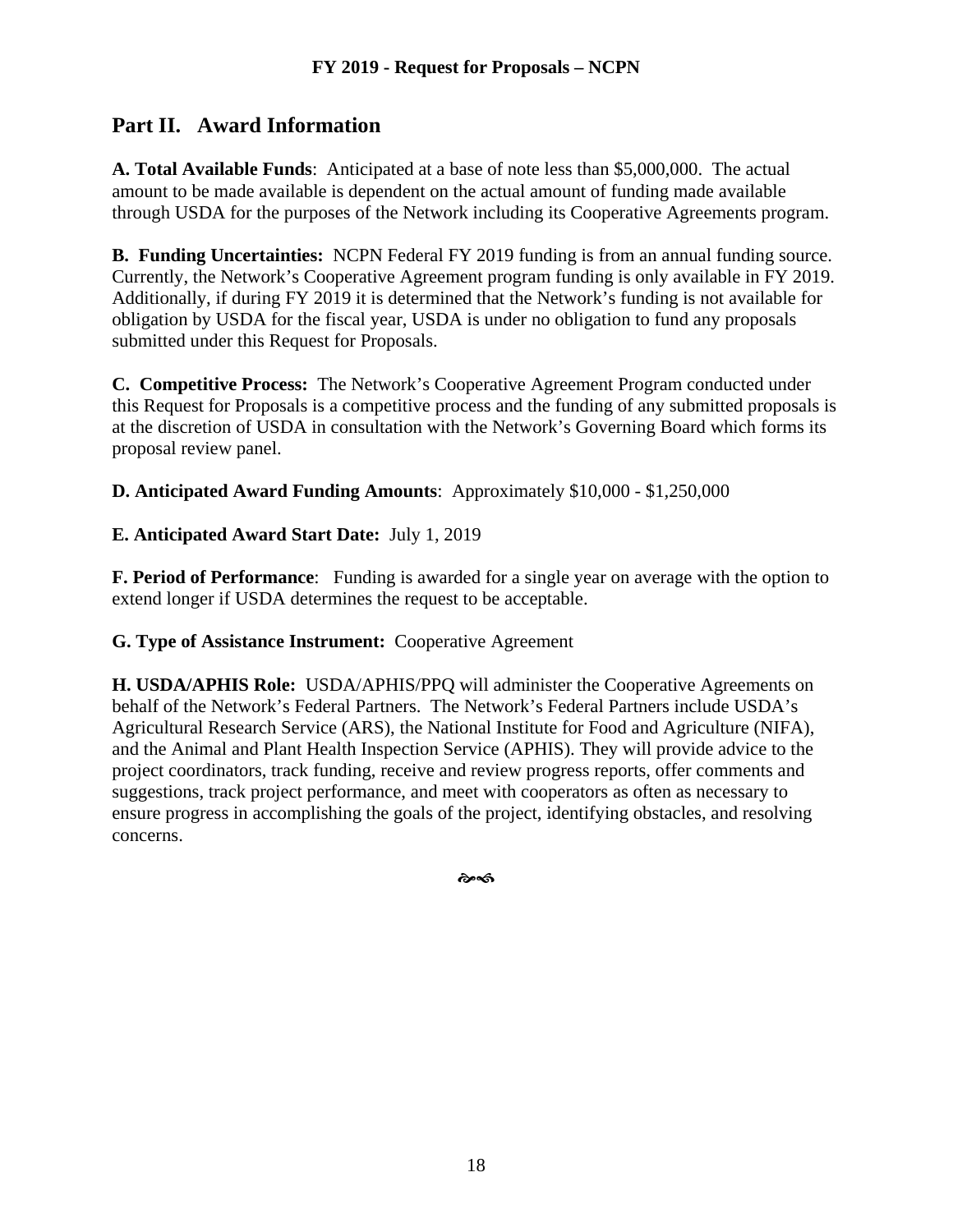# **Part II. Award Information**

**A. Total Available Funds**: Anticipated at a base of note less than \$5,000,000. The actual amount to be made available is dependent on the actual amount of funding made available through USDA for the purposes of the Network including its Cooperative Agreements program.

**B. Funding Uncertainties:** NCPN Federal FY 2019 funding is from an annual funding source. Currently, the Network's Cooperative Agreement program funding is only available in FY 2019. Additionally, if during FY 2019 it is determined that the Network's funding is not available for obligation by USDA for the fiscal year, USDA is under no obligation to fund any proposals submitted under this Request for Proposals.

**C. Competitive Process:** The Network's Cooperative Agreement Program conducted under this Request for Proposals is a competitive process and the funding of any submitted proposals is at the discretion of USDA in consultation with the Network's Governing Board which forms its proposal review panel.

**D. Anticipated Award Funding Amounts**: Approximately \$10,000 - \$1,250,000

# **E. Anticipated Award Start Date:** July 1, 2019

**F. Period of Performance**: Funding is awarded for a single year on average with the option to extend longer if USDA determines the request to be acceptable.

#### **G. Type of Assistance Instrument:** Cooperative Agreement

**H. USDA/APHIS Role:** USDA/APHIS/PPQ will administer the Cooperative Agreements on behalf of the Network's Federal Partners. The Network's Federal Partners include USDA's Agricultural Research Service (ARS), the National Institute for Food and Agriculture (NIFA), and the Animal and Plant Health Inspection Service (APHIS). They will provide advice to the project coordinators, track funding, receive and review progress reports, offer comments and suggestions, track project performance, and meet with cooperators as often as necessary to ensure progress in accomplishing the goals of the project, identifying obstacles, and resolving concerns.

��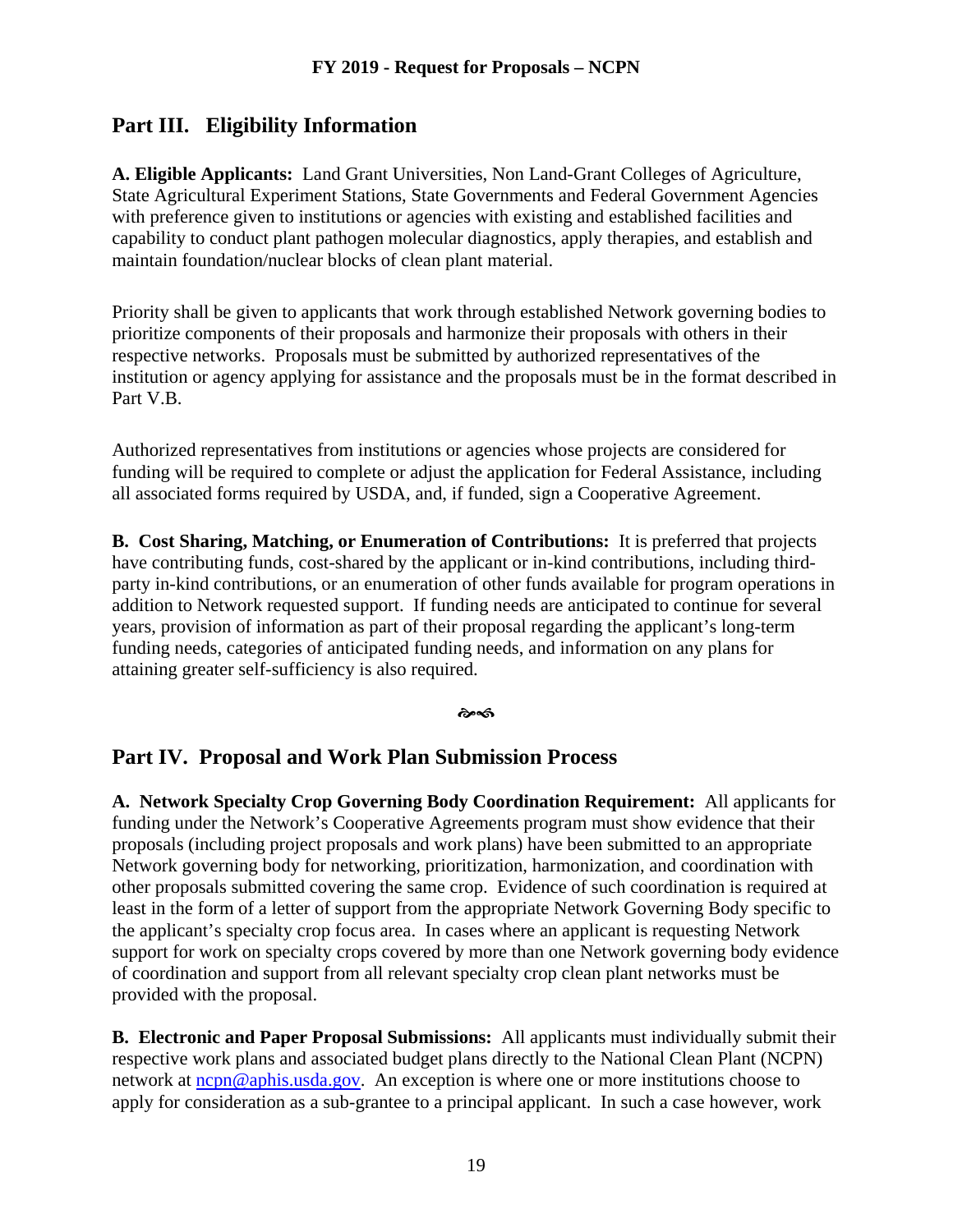# **Part III. Eligibility Information**

**A. Eligible Applicants:** Land Grant Universities, Non Land-Grant Colleges of Agriculture, State Agricultural Experiment Stations, State Governments and Federal Government Agencies with preference given to institutions or agencies with existing and established facilities and capability to conduct plant pathogen molecular diagnostics, apply therapies, and establish and maintain foundation/nuclear blocks of clean plant material.

Priority shall be given to applicants that work through established Network governing bodies to prioritize components of their proposals and harmonize their proposals with others in their respective networks. Proposals must be submitted by authorized representatives of the institution or agency applying for assistance and the proposals must be in the format described in Part V.B.

Authorized representatives from institutions or agencies whose projects are considered for funding will be required to complete or adjust the application for Federal Assistance, including all associated forms required by USDA, and, if funded, sign a Cooperative Agreement.

**B. Cost Sharing, Matching, or Enumeration of Contributions:** It is preferred that projects have contributing funds, cost-shared by the applicant or in-kind contributions, including thirdparty in-kind contributions, or an enumeration of other funds available for program operations in addition to Network requested support. If funding needs are anticipated to continue for several years, provision of information as part of their proposal regarding the applicant's long-term funding needs, categories of anticipated funding needs, and information on any plans for attaining greater self-sufficiency is also required.

డావ

# **Part IV. Proposal and Work Plan Submission Process**

**A. Network Specialty Crop Governing Body Coordination Requirement:** All applicants for funding under the Network's Cooperative Agreements program must show evidence that their proposals (including project proposals and work plans) have been submitted to an appropriate Network governing body for networking, prioritization, harmonization, and coordination with other proposals submitted covering the same crop. Evidence of such coordination is required at least in the form of a letter of support from the appropriate Network Governing Body specific to the applicant's specialty crop focus area. In cases where an applicant is requesting Network support for work on specialty crops covered by more than one Network governing body evidence of coordination and support from all relevant specialty crop clean plant networks must be provided with the proposal.

**B. Electronic and Paper Proposal Submissions:** All applicants must individually submit their respective work plans and associated budget plans directly to the National Clean Plant (NCPN) network at [ncpn@aphis.usda.gov.](mailto:farmbillsection10007@aphis.usda.gov) An exception is where one or more institutions choose to apply for consideration as a sub-grantee to a principal applicant. In such a case however, work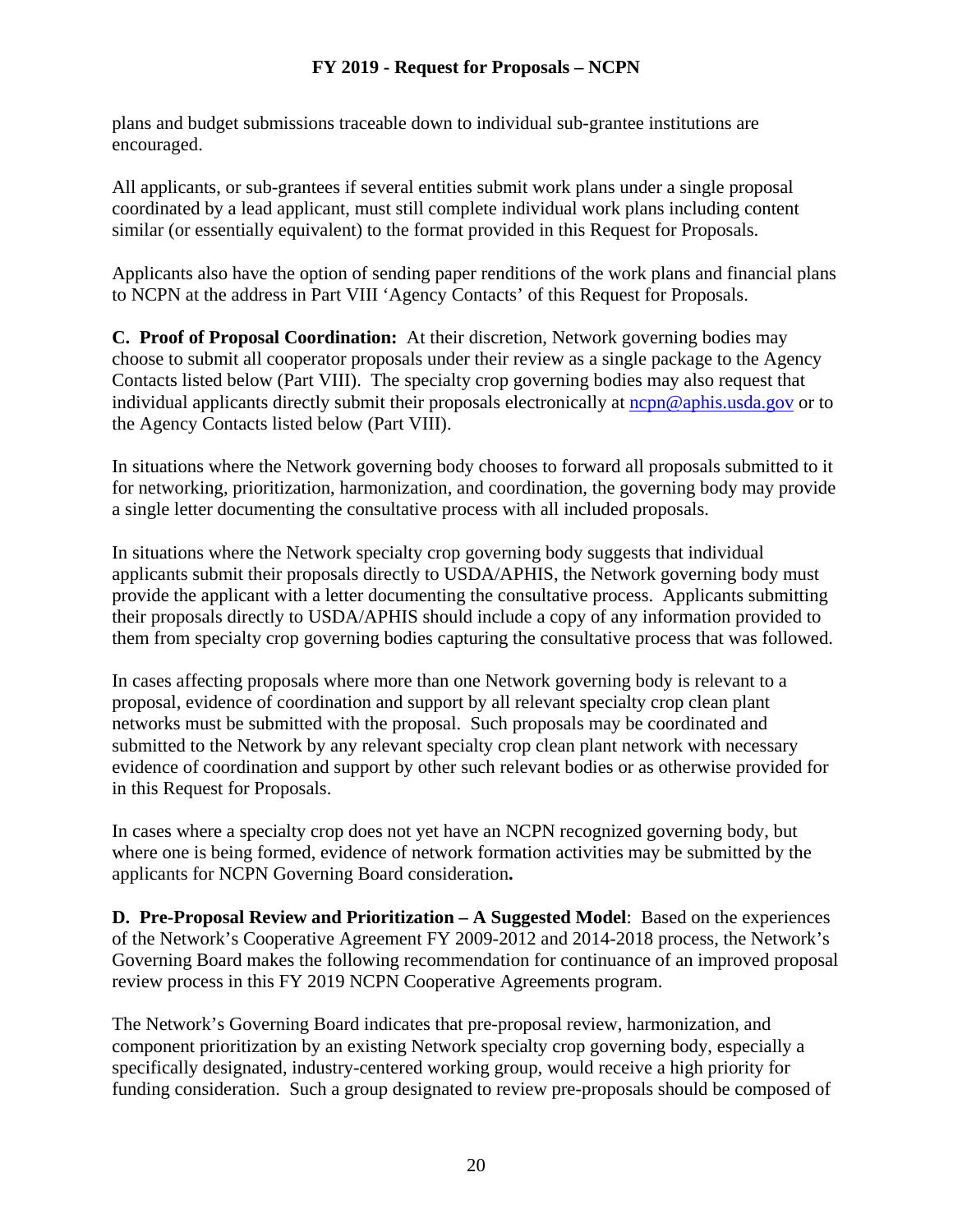plans and budget submissions traceable down to individual sub-grantee institutions are encouraged.

All applicants, or sub-grantees if several entities submit work plans under a single proposal coordinated by a lead applicant, must still complete individual work plans including content similar (or essentially equivalent) to the format provided in this Request for Proposals.

Applicants also have the option of sending paper renditions of the work plans and financial plans to NCPN at the address in Part VIII 'Agency Contacts' of this Request for Proposals.

**C. Proof of Proposal Coordination:** At their discretion, Network governing bodies may choose to submit all cooperator proposals under their review as a single package to the Agency Contacts listed below (Part VIII). The specialty crop governing bodies may also request that individual applicants directly submit their proposals electronically at [ncpn@aphis.usda.gov](mailto:ncpn@aphis.usda.gov) or to the Agency Contacts listed below (Part VIII).

In situations where the Network governing body chooses to forward all proposals submitted to it for networking, prioritization, harmonization, and coordination, the governing body may provide a single letter documenting the consultative process with all included proposals.

In situations where the Network specialty crop governing body suggests that individual applicants submit their proposals directly to USDA/APHIS, the Network governing body must provide the applicant with a letter documenting the consultative process. Applicants submitting their proposals directly to USDA/APHIS should include a copy of any information provided to them from specialty crop governing bodies capturing the consultative process that was followed.

In cases affecting proposals where more than one Network governing body is relevant to a proposal, evidence of coordination and support by all relevant specialty crop clean plant networks must be submitted with the proposal. Such proposals may be coordinated and submitted to the Network by any relevant specialty crop clean plant network with necessary evidence of coordination and support by other such relevant bodies or as otherwise provided for in this Request for Proposals.

In cases where a specialty crop does not yet have an NCPN recognized governing body, but where one is being formed, evidence of network formation activities may be submitted by the applicants for NCPN Governing Board consideration**.**

**D. Pre-Proposal Review and Prioritization – A Suggested Model**:Based on the experiences of the Network's Cooperative Agreement FY 2009-2012 and 2014-2018 process, the Network's Governing Board makes the following recommendation for continuance of an improved proposal review process in this FY 2019 NCPN Cooperative Agreements program.

The Network's Governing Board indicates that pre-proposal review, harmonization, and component prioritization by an existing Network specialty crop governing body, especially a specifically designated, industry-centered working group, would receive a high priority for funding consideration. Such a group designated to review pre-proposals should be composed of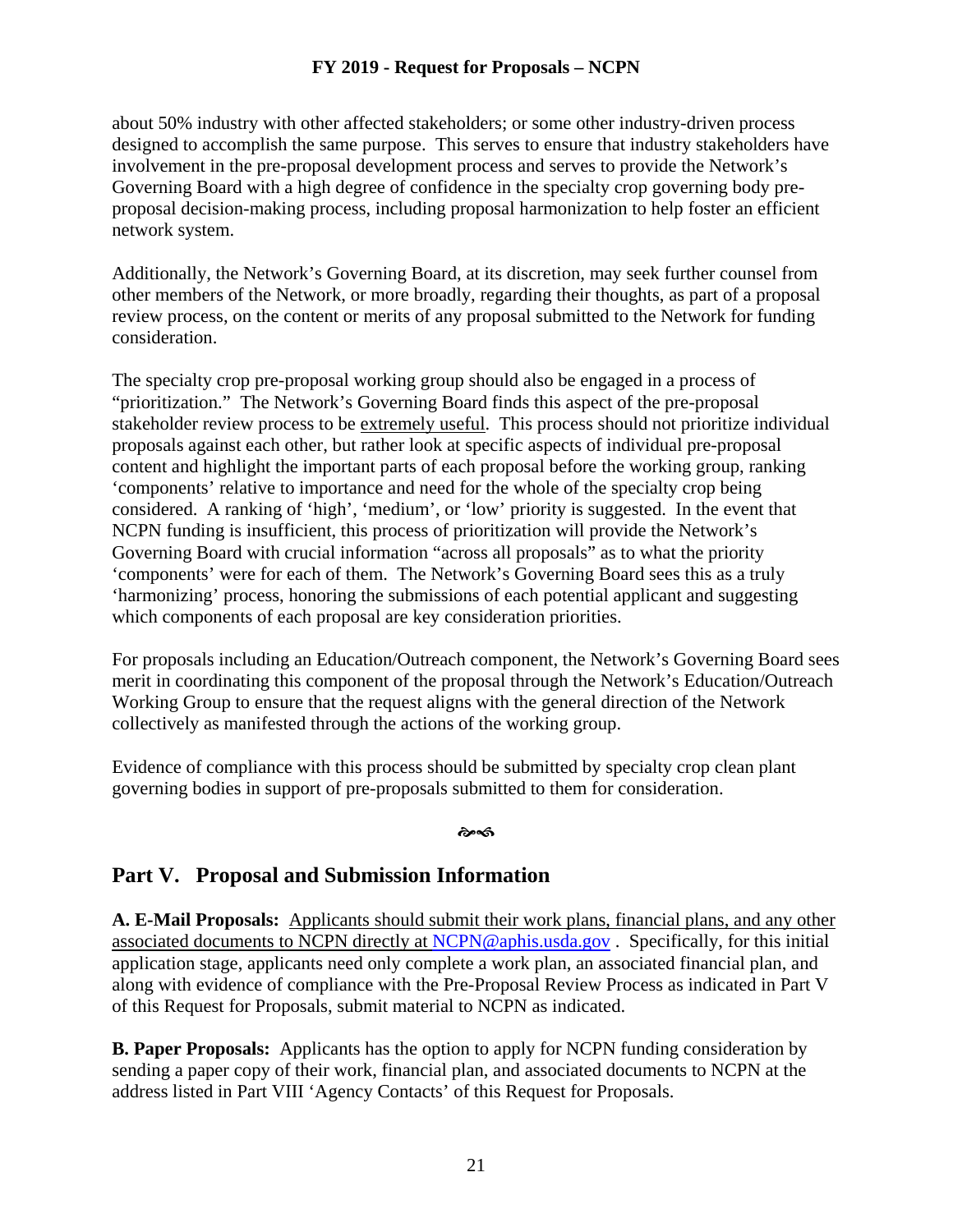about 50% industry with other affected stakeholders; or some other industry-driven process designed to accomplish the same purpose. This serves to ensure that industry stakeholders have involvement in the pre-proposal development process and serves to provide the Network's Governing Board with a high degree of confidence in the specialty crop governing body preproposal decision-making process, including proposal harmonization to help foster an efficient network system.

Additionally, the Network's Governing Board, at its discretion, may seek further counsel from other members of the Network, or more broadly, regarding their thoughts, as part of a proposal review process, on the content or merits of any proposal submitted to the Network for funding consideration.

The specialty crop pre-proposal working group should also be engaged in a process of "prioritization." The Network's Governing Board finds this aspect of the pre-proposal stakeholder review process to be extremely useful. This process should not prioritize individual proposals against each other, but rather look at specific aspects of individual pre-proposal content and highlight the important parts of each proposal before the working group, ranking 'components' relative to importance and need for the whole of the specialty crop being considered. A ranking of 'high', 'medium', or 'low' priority is suggested. In the event that NCPN funding is insufficient, this process of prioritization will provide the Network's Governing Board with crucial information "across all proposals" as to what the priority 'components' were for each of them. The Network's Governing Board sees this as a truly 'harmonizing' process, honoring the submissions of each potential applicant and suggesting which components of each proposal are key consideration priorities.

For proposals including an Education/Outreach component, the Network's Governing Board sees merit in coordinating this component of the proposal through the Network's Education/Outreach Working Group to ensure that the request aligns with the general direction of the Network collectively as manifested through the actions of the working group.

Evidence of compliance with this process should be submitted by specialty crop clean plant governing bodies in support of pre-proposals submitted to them for consideration.

#### సింగు

# **Part V. Proposal and Submission Information**

**A. E-Mail Proposals:** Applicants should submit their work plans, financial plans, and any other associated documents to NCPN directly at [NCPN@aphis.usda.gov](mailto:NCPN@aphis.usda.gov) . Specifically, for this initial application stage, applicants need only complete a work plan, an associated financial plan, and along with evidence of compliance with the Pre-Proposal Review Process as indicated in Part V of this Request for Proposals, submit material to NCPN as indicated.

**B. Paper Proposals:** Applicants has the option to apply for NCPN funding consideration by sending a paper copy of their work, financial plan, and associated documents to NCPN at the address listed in Part VIII 'Agency Contacts' of this Request for Proposals.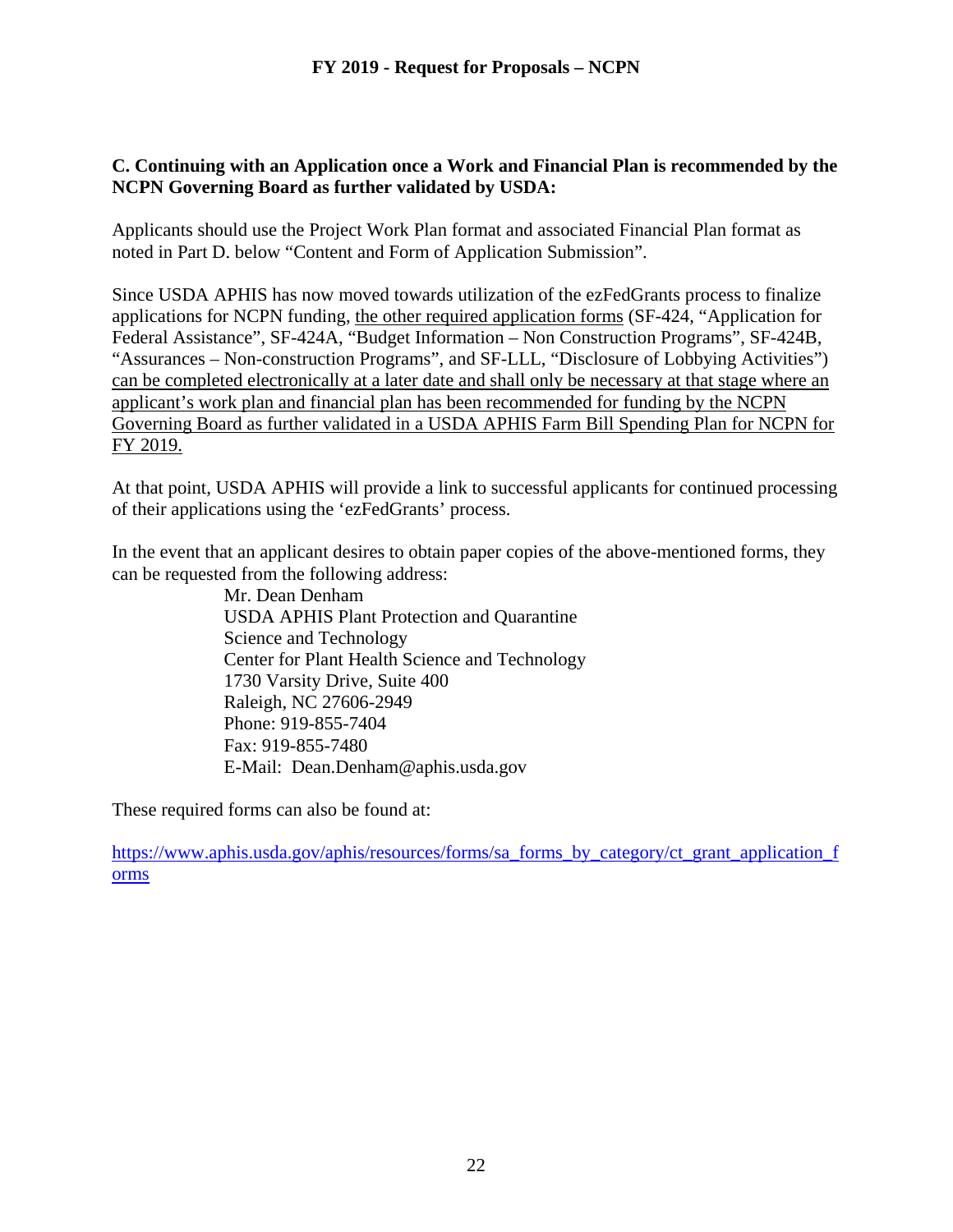#### **C. Continuing with an Application once a Work and Financial Plan is recommended by the NCPN Governing Board as further validated by USDA:**

Applicants should use the Project Work Plan format and associated Financial Plan format as noted in Part D. below "Content and Form of Application Submission".

Since USDA APHIS has now moved towards utilization of the ezFedGrants process to finalize applications for NCPN funding, the other required application forms (SF-424, "Application for Federal Assistance", SF-424A, "Budget Information – Non Construction Programs", SF-424B, "Assurances – Non-construction Programs", and SF-LLL, "Disclosure of Lobbying Activities") can be completed electronically at a later date and shall only be necessary at that stage where an applicant's work plan and financial plan has been recommended for funding by the NCPN Governing Board as further validated in a USDA APHIS Farm Bill Spending Plan for NCPN for FY 2019.

At that point, USDA APHIS will provide a link to successful applicants for continued processing of their applications using the 'ezFedGrants' process.

In the event that an applicant desires to obtain paper copies of the above-mentioned forms, they can be requested from the following address:

> Mr. Dean Denham USDA APHIS Plant Protection and Quarantine Science and Technology Center for Plant Health Science and Technology 1730 Varsity Drive, Suite 400 Raleigh, NC 27606-2949 Phone: 919-855-7404 Fax: 919-855-7480 E-Mail: Dean.Denham@aphis.usda.gov

These required forms can also be found at:

[https://www.aphis.usda.gov/aphis/resources/forms/sa\\_forms\\_by\\_category/ct\\_grant\\_application\\_f](https://www.aphis.usda.gov/aphis/resources/forms/sa_forms_by_category/ct_grant_application_forms) [orms](https://www.aphis.usda.gov/aphis/resources/forms/sa_forms_by_category/ct_grant_application_forms)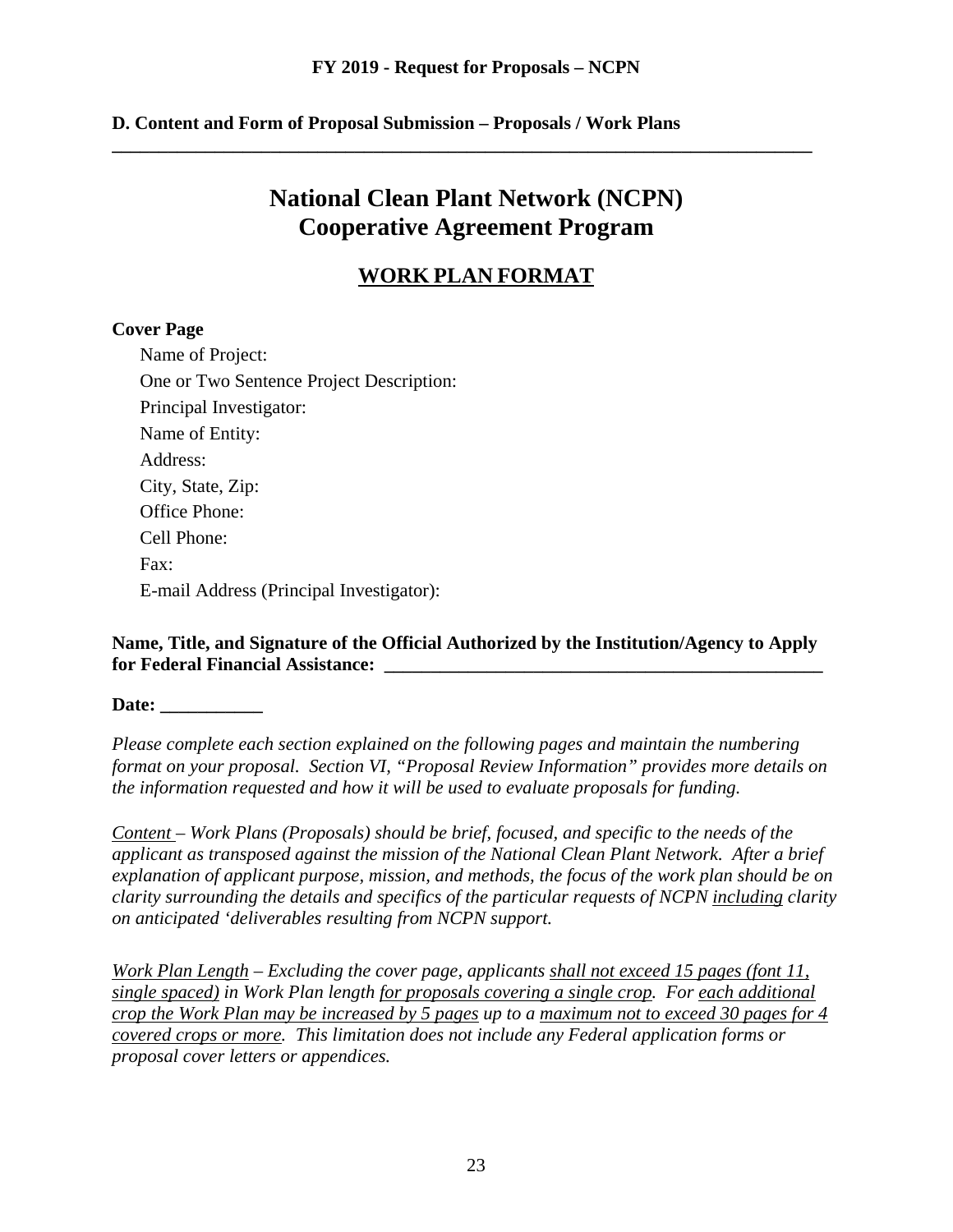**\_\_\_\_\_\_\_\_\_\_\_\_\_\_\_\_\_\_\_\_\_\_\_\_\_\_\_\_\_\_\_\_\_\_\_\_\_\_\_\_\_\_\_\_\_\_\_\_\_\_\_\_\_\_\_\_\_\_\_\_\_\_\_\_\_\_\_\_\_\_\_\_\_\_\_**

#### **D. Content and Form of Proposal Submission – Proposals / Work Plans**

# **National Clean Plant Network (NCPN) Cooperative Agreement Program**

# **WORK PLAN FORMAT**

#### **Cover Page**

Name of Project: One or Two Sentence Project Description: Principal Investigator: Name of Entity: Address: City, State, Zip: Office Phone: Cell Phone: Fax: E-mail Address (Principal Investigator):

#### **Name, Title, and Signature of the Official Authorized by the Institution/Agency to Apply for Federal Financial Assistance: \_\_\_\_\_\_\_\_\_\_\_\_\_\_\_\_\_\_\_\_\_\_\_\_\_\_\_\_\_\_\_\_\_\_\_\_\_\_\_\_\_\_\_\_\_\_\_**

**Date: \_\_\_\_\_\_\_\_\_\_\_**

*Please complete each section explained on the following pages and maintain the numbering format on your proposal. Section VI, "Proposal Review Information" provides more details on the information requested and how it will be used to evaluate proposals for funding.*

*Content – Work Plans (Proposals) should be brief, focused, and specific to the needs of the applicant as transposed against the mission of the National Clean Plant Network. After a brief explanation of applicant purpose, mission, and methods, the focus of the work plan should be on clarity surrounding the details and specifics of the particular requests of NCPN including clarity on anticipated 'deliverables resulting from NCPN support.*

*Work Plan Length – Excluding the cover page, applicants shall not exceed 15 pages (font 11, single spaced) in Work Plan length for proposals covering a single crop. For each additional crop the Work Plan may be increased by 5 pages up to a maximum not to exceed 30 pages for 4 covered crops or more. This limitation does not include any Federal application forms or proposal cover letters or appendices.*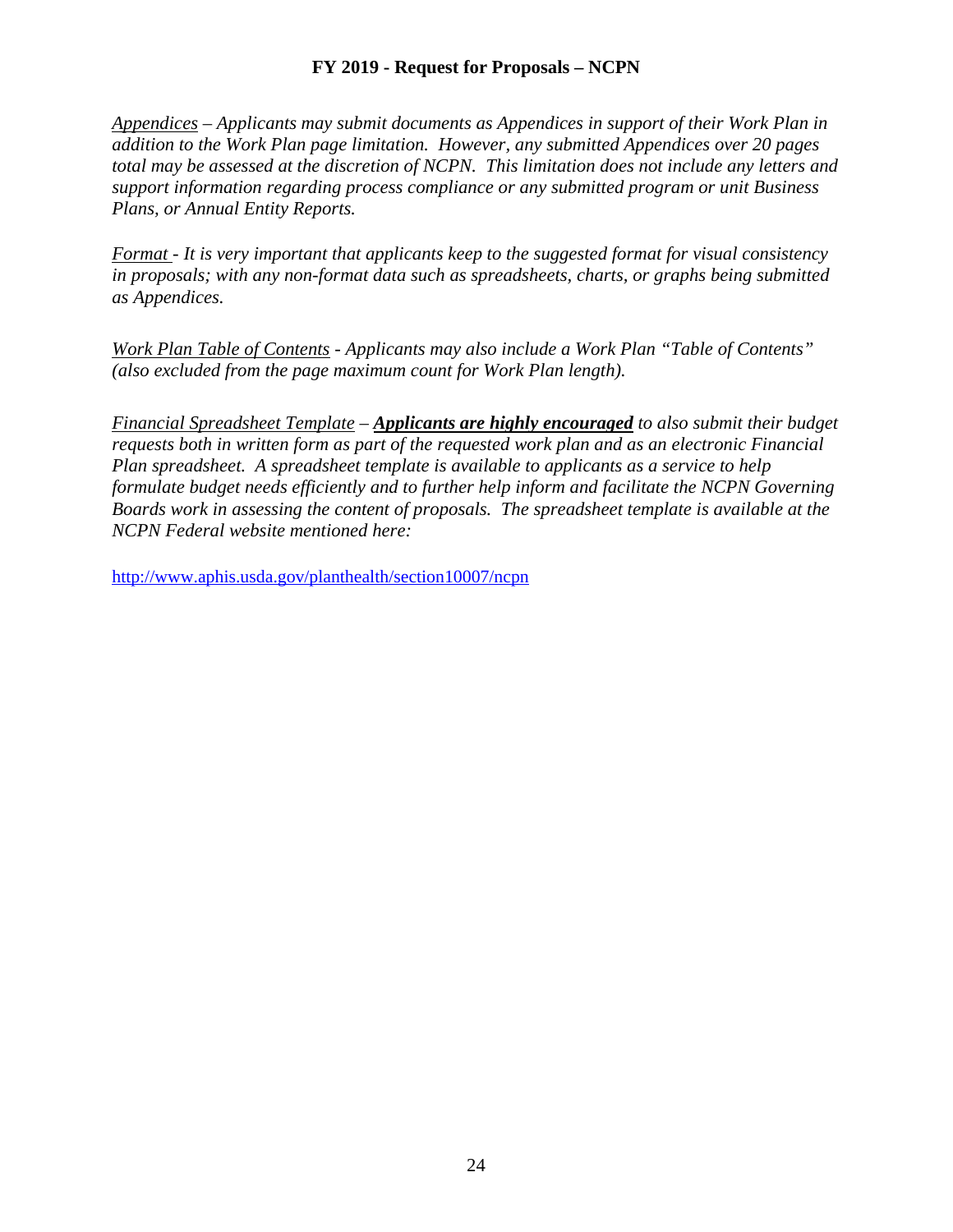*Appendices – Applicants may submit documents as Appendices in support of their Work Plan in addition to the Work Plan page limitation. However, any submitted Appendices over 20 pages total may be assessed at the discretion of NCPN. This limitation does not include any letters and support information regarding process compliance or any submitted program or unit Business Plans, or Annual Entity Reports.*

*Format - It is very important that applicants keep to the suggested format for visual consistency in proposals; with any non-format data such as spreadsheets, charts, or graphs being submitted as Appendices.*

*Work Plan Table of Contents - Applicants may also include a Work Plan "Table of Contents" (also excluded from the page maximum count for Work Plan length).*

*Financial Spreadsheet Template – Applicants are highly encouraged to also submit their budget requests both in written form as part of the requested work plan and as an electronic Financial Plan spreadsheet. A spreadsheet template is available to applicants as a service to help formulate budget needs efficiently and to further help inform and facilitate the NCPN Governing Boards work in assessing the content of proposals. The spreadsheet template is available at the NCPN Federal website mentioned here:*

<http://www.aphis.usda.gov/planthealth/section10007/ncpn>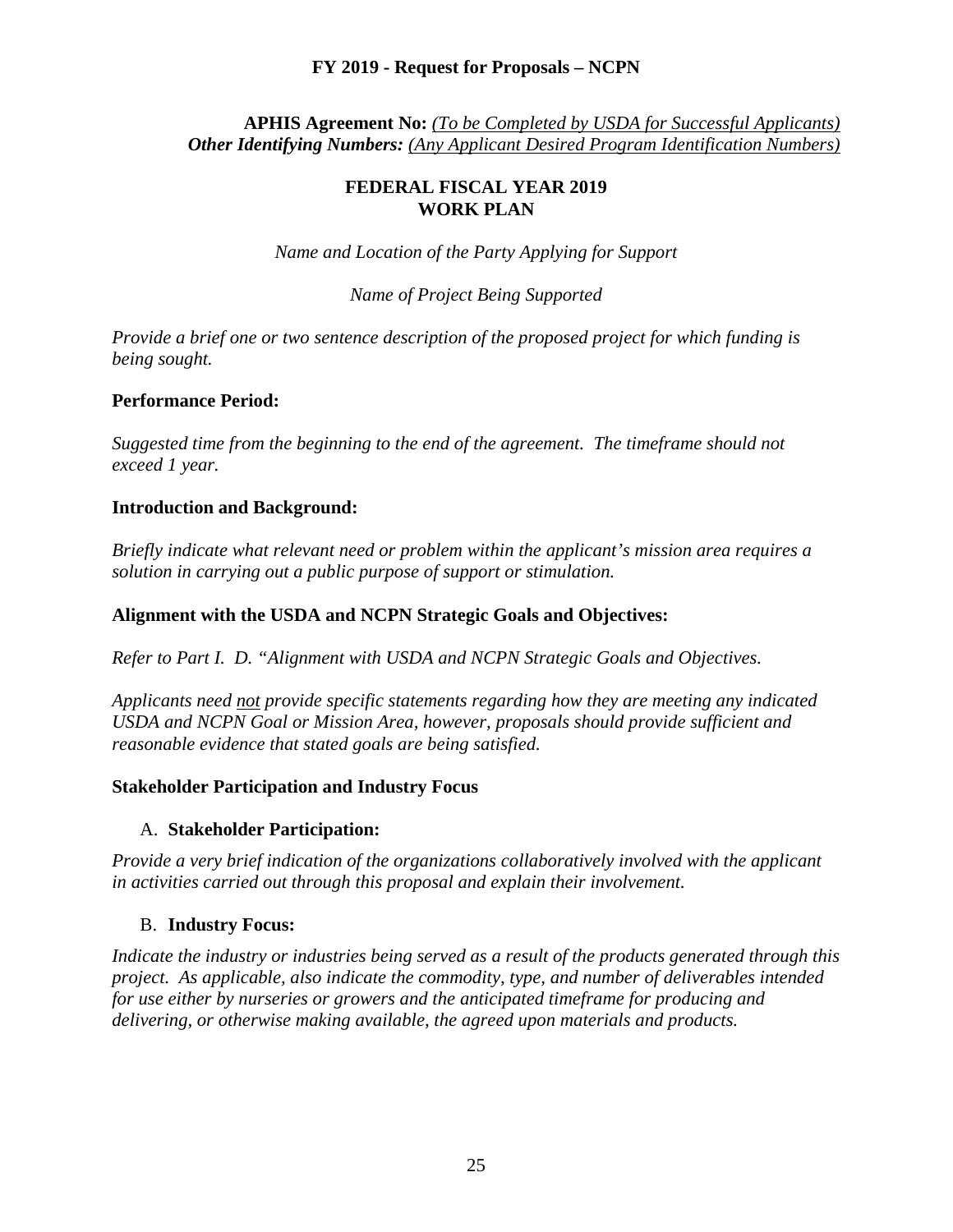#### **APHIS Agreement No:** *(To be Completed by USDA for Successful Applicants) Other Identifying Numbers: (Any Applicant Desired Program Identification Numbers)*

#### **FEDERAL FISCAL YEAR 2019 WORK PLAN**

*Name and Location of the Party Applying for Support*

#### *Name of Project Being Supported*

*Provide a brief one or two sentence description of the proposed project for which funding is being sought.*

#### **Performance Period:**

*Suggested time from the beginning to the end of the agreement. The timeframe should not exceed 1 year.*

#### **Introduction and Background:**

*Briefly indicate what relevant need or problem within the applicant's mission area requires a solution in carrying out a public purpose of support or stimulation.* 

#### **Alignment with the USDA and NCPN Strategic Goals and Objectives:**

*Refer to Part I. D. "Alignment with USDA and NCPN Strategic Goals and Objectives.* 

*Applicants need not provide specific statements regarding how they are meeting any indicated USDA and NCPN Goal or Mission Area, however, proposals should provide sufficient and reasonable evidence that stated goals are being satisfied.*

#### **Stakeholder Participation and Industry Focus**

#### A. **Stakeholder Participation:**

*Provide a very brief indication of the organizations collaboratively involved with the applicant in activities carried out through this proposal and explain their involvement.*

#### B. **Industry Focus:**

*Indicate the industry or industries being served as a result of the products generated through this project. As applicable, also indicate the commodity, type, and number of deliverables intended for use either by nurseries or growers and the anticipated timeframe for producing and delivering, or otherwise making available, the agreed upon materials and products.*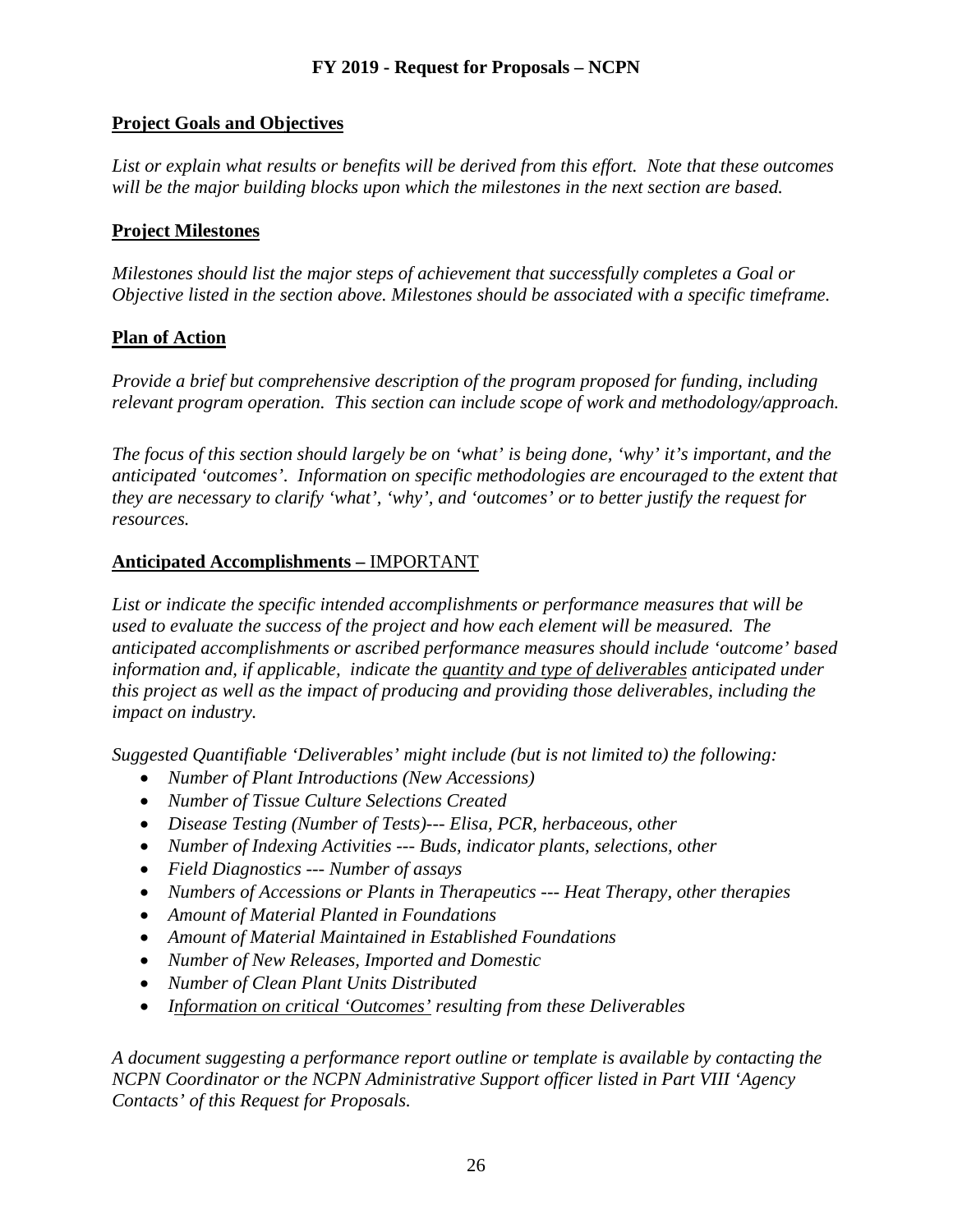# **Project Goals and Objectives**

*List or explain what results or benefits will be derived from this effort. Note that these outcomes*  will be the major building blocks upon which the milestones in the next section are based.

#### **Project Milestones**

*Milestones should list the major steps of achievement that successfully completes a Goal or Objective listed in the section above. Milestones should be associated with a specific timeframe.*

## **Plan of Action**

*Provide a brief but comprehensive description of the program proposed for funding, including relevant program operation. This section can include scope of work and methodology/approach.* 

*The focus of this section should largely be on 'what' is being done, 'why' it's important, and the anticipated 'outcomes'. Information on specific methodologies are encouraged to the extent that they are necessary to clarify 'what', 'why', and 'outcomes' or to better justify the request for resources.*

## **Anticipated Accomplishments –** IMPORTANT

*List or indicate the specific intended accomplishments or performance measures that will be used to evaluate the success of the project and how each element will be measured. The anticipated accomplishments or ascribed performance measures should include 'outcome' based information and, if applicable, indicate the quantity and type of deliverables anticipated under this project as well as the impact of producing and providing those deliverables, including the impact on industry.*

*Suggested Quantifiable 'Deliverables' might include (but is not limited to) the following:*

- *Number of Plant Introductions (New Accessions)*
- *Number of Tissue Culture Selections Created*
- *Disease Testing (Number of Tests)--- Elisa, PCR, herbaceous, other*
- *Number of Indexing Activities --- Buds, indicator plants, selections, other*
- *Field Diagnostics --- Number of assays*
- *Numbers of Accessions or Plants in Therapeutics --- Heat Therapy, other therapies*
- *Amount of Material Planted in Foundations*
- *Amount of Material Maintained in Established Foundations*
- *Number of New Releases, Imported and Domestic*
- *Number of Clean Plant Units Distributed*
- *Information on critical 'Outcomes' resulting from these Deliverables*

*A document suggesting a performance report outline or template is available by contacting the NCPN Coordinator or the NCPN Administrative Support officer listed in Part VIII 'Agency Contacts' of this Request for Proposals.*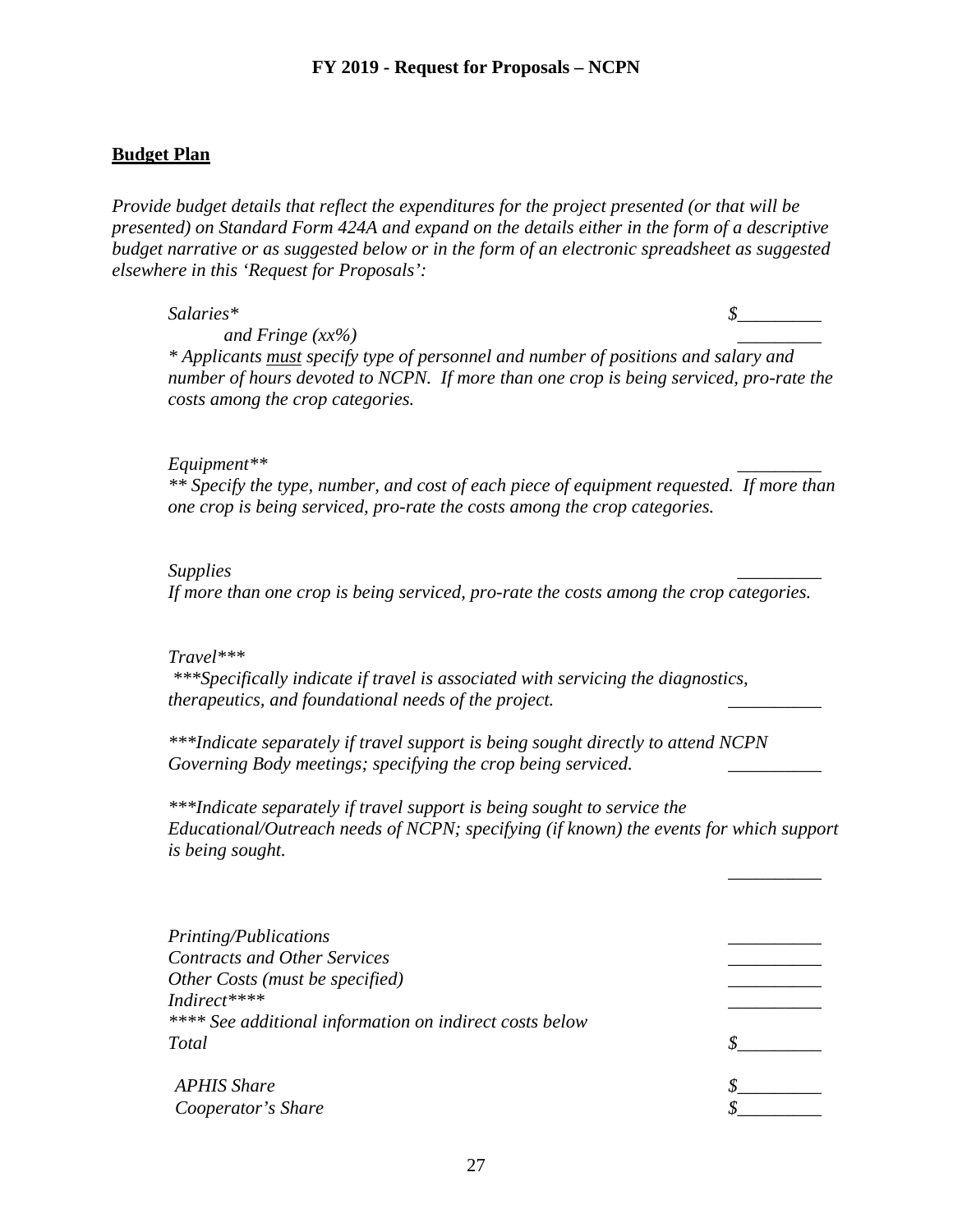#### **Budget Plan**

*Provide budget details that reflect the expenditures for the project presented (or that will be presented) on Standard Form 424A and expand on the details either in the form of a descriptive budget narrative or as suggested below or in the form of an electronic spreadsheet as suggested elsewhere in this 'Request for Proposals':*

 $Salaries^*$   $\qquad \qquad$  5

 *\_\_\_\_\_\_\_\_\_\_*

*and Fringe (xx%) \_\_\_\_\_\_\_\_\_*

*\* Applicants must specify type of personnel and number of positions and salary and number of hours devoted to NCPN. If more than one crop is being serviced, pro-rate the costs among the crop categories.*

#### *Equipment\*\* \_\_\_\_\_\_\_\_\_*

*\*\* Specify the type, number, and cost of each piece of equipment requested. If more than one crop is being serviced, pro-rate the costs among the crop categories.*

#### *Supplies \_\_\_\_\_\_\_\_\_*

*If more than one crop is being serviced, pro-rate the costs among the crop categories.*

#### *Travel\*\*\**

*\*\*\*Specifically indicate if travel is associated with servicing the diagnostics, therapeutics, and foundational needs of the project. \_\_\_\_\_\_\_\_\_\_*

*\*\*\*Indicate separately if travel support is being sought directly to attend NCPN*  Governing Body meetings; specifying the crop being serviced.

*\*\*\*Indicate separately if travel support is being sought to service the Educational/Outreach needs of NCPN; specifying (if known) the events for which support is being sought.*

| Printing/Publications                                   |  |
|---------------------------------------------------------|--|
| <b>Contracts and Other Services</b>                     |  |
| Other Costs (must be specified)                         |  |
| Indirect****                                            |  |
| **** See additional information on indirect costs below |  |
| <b>Total</b>                                            |  |
| <b>APHIS Share</b>                                      |  |
| Cooperator's Share                                      |  |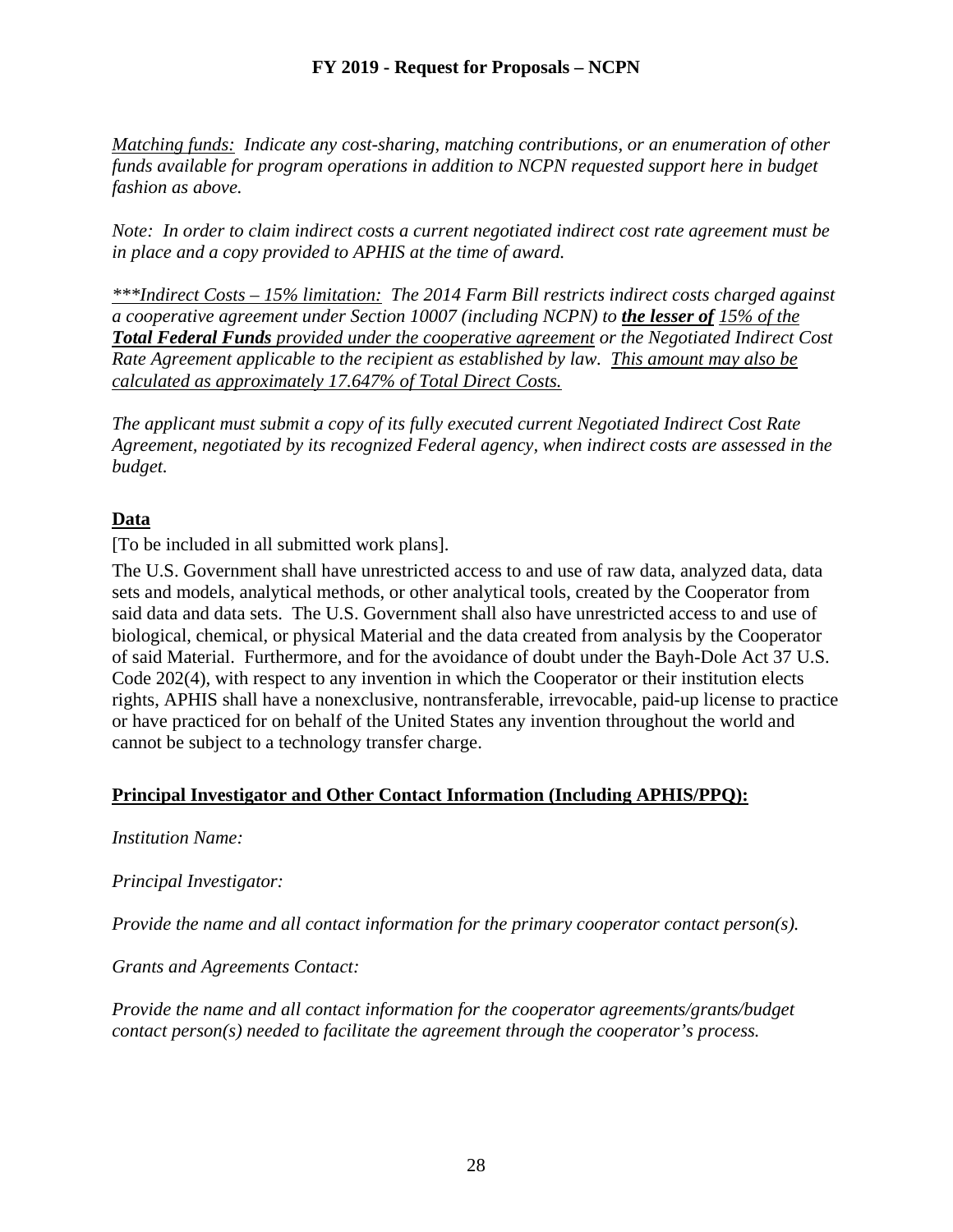*Matching funds: Indicate any cost-sharing, matching contributions, or an enumeration of other funds available for program operations in addition to NCPN requested support here in budget fashion as above.*

*Note: In order to claim indirect costs a current negotiated indirect cost rate agreement must be in place and a copy provided to APHIS at the time of award.*

*\*\*\*Indirect Costs – 15% limitation: The 2014 Farm Bill restricts indirect costs charged against a cooperative agreement under Section 10007 (including NCPN) to the lesser of 15% of the Total Federal Funds provided under the cooperative agreement or the Negotiated Indirect Cost Rate Agreement applicable to the recipient as established by law. This amount may also be calculated as approximately 17.647% of Total Direct Costs.*

*The applicant must submit a copy of its fully executed current Negotiated Indirect Cost Rate Agreement, negotiated by its recognized Federal agency, when indirect costs are assessed in the budget.*

# **Data**

[To be included in all submitted work plans].

The U.S. Government shall have unrestricted access to and use of raw data, analyzed data, data sets and models, analytical methods, or other analytical tools, created by the Cooperator from said data and data sets. The U.S. Government shall also have unrestricted access to and use of biological, chemical, or physical Material and the data created from analysis by the Cooperator of said Material. Furthermore, and for the avoidance of doubt under the Bayh-Dole Act 37 U.S. Code 202(4), with respect to any invention in which the Cooperator or their institution elects rights, APHIS shall have a nonexclusive, nontransferable, irrevocable, paid-up license to practice or have practiced for on behalf of the United States any invention throughout the world and cannot be subject to a technology transfer charge.

# **Principal Investigator and Other Contact Information (Including APHIS/PPQ):**

# *Institution Name:*

*Principal Investigator:*

*Provide the name and all contact information for the primary cooperator contact person(s).*

*Grants and Agreements Contact:*

*Provide the name and all contact information for the cooperator agreements/grants/budget contact person(s) needed to facilitate the agreement through the cooperator's process.*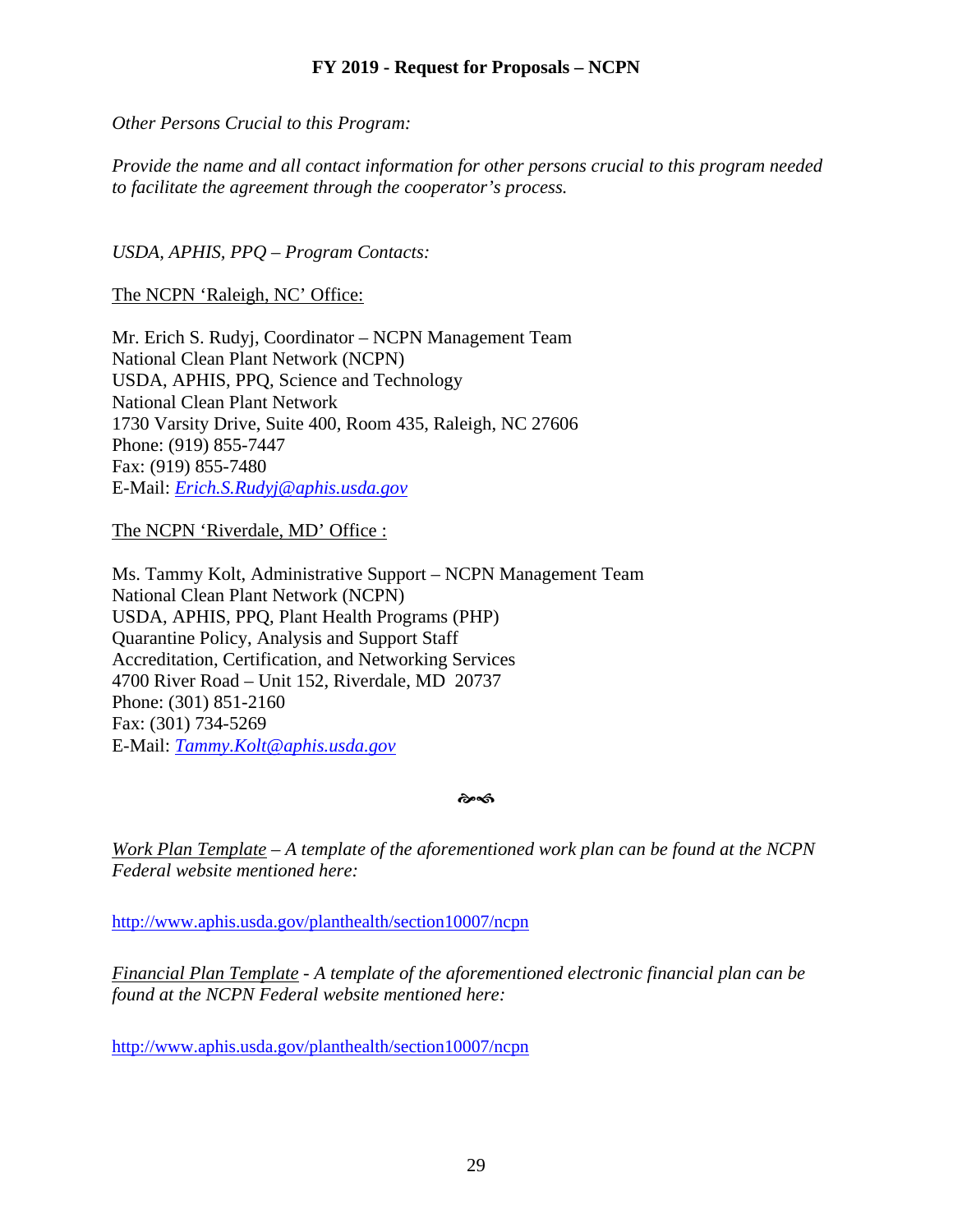*Other Persons Crucial to this Program:*

*Provide the name and all contact information for other persons crucial to this program needed to facilitate the agreement through the cooperator's process.*

*USDA, APHIS, PPQ – Program Contacts:*

The NCPN 'Raleigh, NC' Office:

Mr. Erich S. Rudyj, Coordinator – NCPN Management Team National Clean Plant Network (NCPN) USDA, APHIS, PPQ, Science and Technology National Clean Plant Network 1730 Varsity Drive, Suite 400, Room 435, Raleigh, NC 27606 Phone: (919) 855-7447 Fax: (919) 855-7480 E-Mail: *[Erich.S.Rudyj@aphis.usda.gov](mailto:Erich.S.Rudyj@aphis.usda.gov)*

The NCPN 'Riverdale, MD' Office :

Ms. Tammy Kolt, Administrative Support – NCPN Management Team National Clean Plant Network (NCPN) USDA, APHIS, PPQ, Plant Health Programs (PHP) Quarantine Policy, Analysis and Support Staff Accreditation, Certification, and Networking Services 4700 River Road – Unit 152, Riverdale, MD 20737 Phone: (301) 851-2160 Fax: (301) 734-5269 E-Mail: *[Tammy.Kolt@aphis.usda.gov](mailto:Tammy.Kolt@aphis.usda.gov)*

কৈ≪ী

*Work Plan Template – A template of the aforementioned work plan can be found at the NCPN Federal website mentioned here:*

<http://www.aphis.usda.gov/planthealth/section10007/ncpn>

*Financial Plan Template - A template of the aforementioned electronic financial plan can be found at the NCPN Federal website mentioned here:*

<http://www.aphis.usda.gov/planthealth/section10007/ncpn>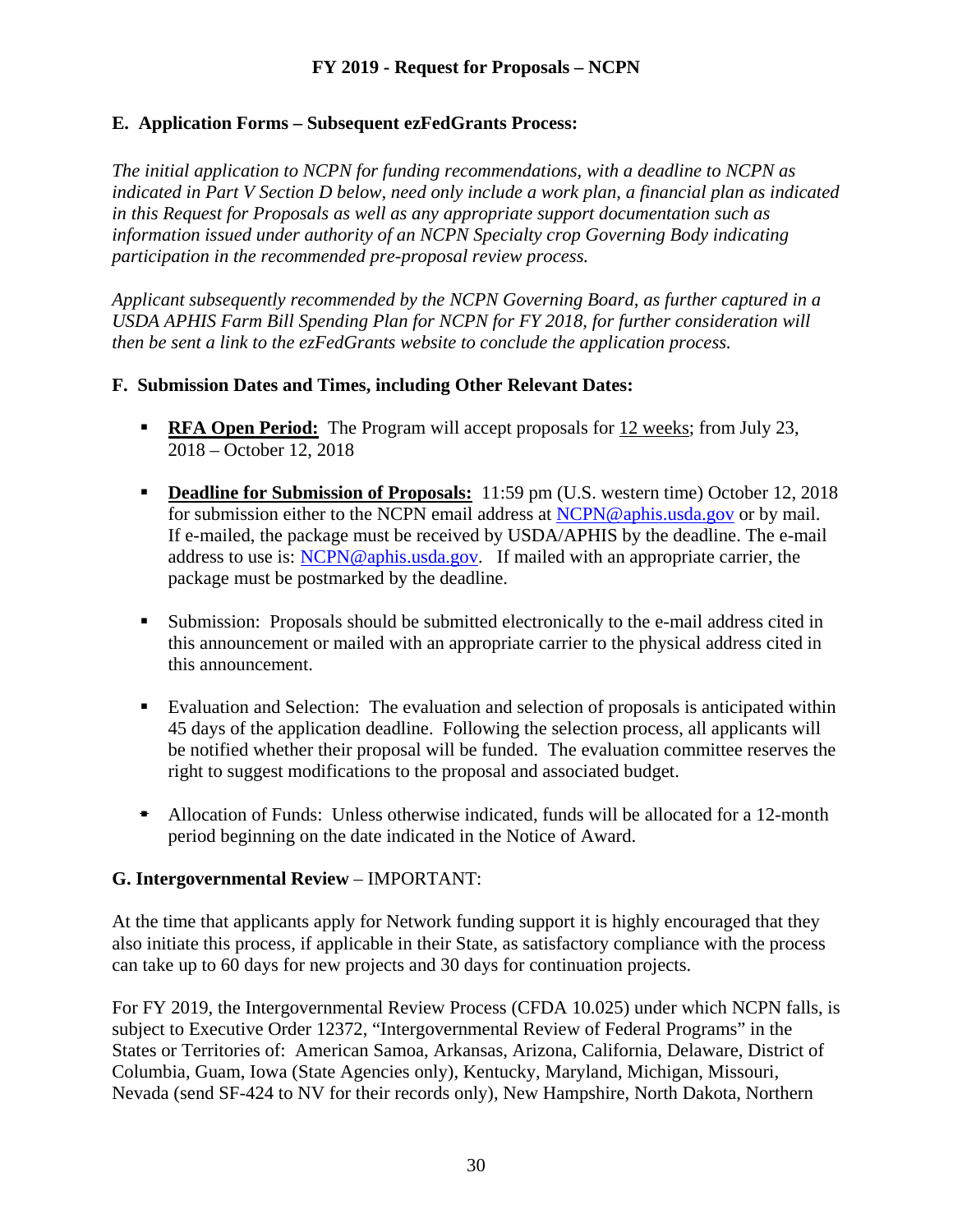# **E. Application Forms – Subsequent ezFedGrants Process:**

*The initial application to NCPN for funding recommendations, with a deadline to NCPN as indicated in Part V Section D below, need only include a work plan, a financial plan as indicated in this Request for Proposals as well as any appropriate support documentation such as information issued under authority of an NCPN Specialty crop Governing Body indicating participation in the recommended pre-proposal review process.*

*Applicant subsequently recommended by the NCPN Governing Board, as further captured in a USDA APHIS Farm Bill Spending Plan for NCPN for FY 2018, for further consideration will then be sent a link to the ezFedGrants website to conclude the application process.*

# **F. Submission Dates and Times, including Other Relevant Dates:**

- **RFA Open Period:** The Program will accept proposals for 12 weeks; from July 23, 2018 – October 12, 2018
- **Deadline for Submission of Proposals:** 11:59 pm (U.S. western time) October 12, 2018 for submission either to the NCPN email address at [NCPN@aphis.usda.gov](mailto:NCPN@aphis.usda.gov) or by mail. If e-mailed, the package must be received by USDA/APHIS by the deadline. The e-mail address to use is: [NCPN@aphis.usda.gov.](mailto:NCPN@aphis.usda.gov) If mailed with an appropriate carrier, the package must be postmarked by the deadline.
- Submission: Proposals should be submitted electronically to the e-mail address cited in this announcement or mailed with an appropriate carrier to the physical address cited in this announcement.
- Evaluation and Selection: The evaluation and selection of proposals is anticipated within 45 days of the application deadline. Following the selection process, all applicants will be notified whether their proposal will be funded. The evaluation committee reserves the right to suggest modifications to the proposal and associated budget.
- Allocation of Funds: Unless otherwise indicated, funds will be allocated for a 12-month period beginning on the date indicated in the Notice of Award.

# **G. Intergovernmental Review** – IMPORTANT:

At the time that applicants apply for Network funding support it is highly encouraged that they also initiate this process, if applicable in their State, as satisfactory compliance with the process can take up to 60 days for new projects and 30 days for continuation projects.

For FY 2019, the Intergovernmental Review Process (CFDA 10.025) under which NCPN falls, is subject to Executive Order 12372, "Intergovernmental Review of Federal Programs" in the States or Territories of: American Samoa, Arkansas, Arizona, California, Delaware, District of Columbia, Guam, Iowa (State Agencies only), Kentucky, Maryland, Michigan, Missouri, Nevada (send SF-424 to NV for their records only), New Hampshire, North Dakota, Northern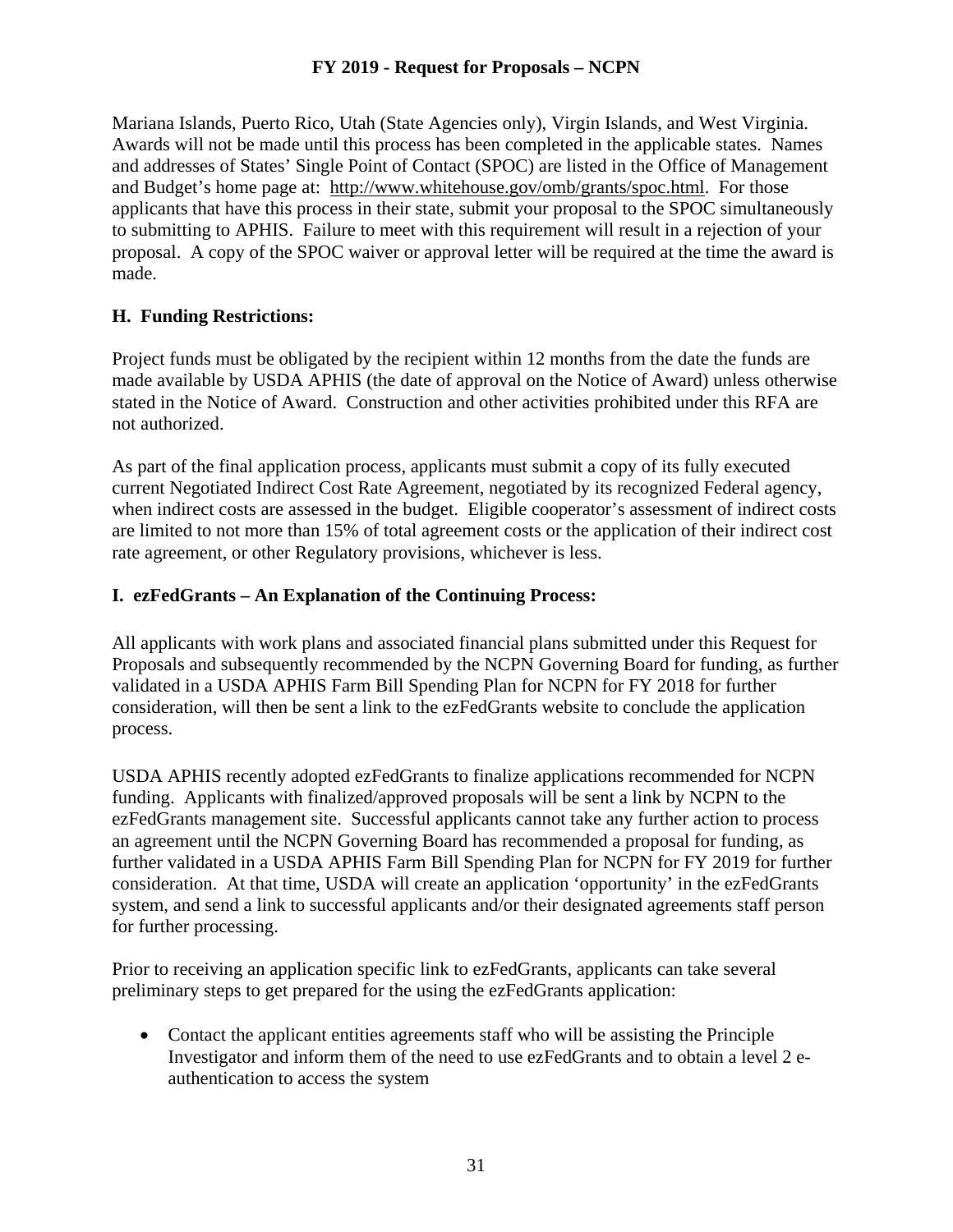Mariana Islands, Puerto Rico, Utah (State Agencies only), Virgin Islands, and West Virginia. Awards will not be made until this process has been completed in the applicable states. Names and addresses of States' Single Point of Contact (SPOC) are listed in the Office of Management and Budget's home page at: [http://www.whitehouse.gov/omb/grants/spoc.html.](http://www.whitehouse.gov/omb/grants/spoc.html) For those applicants that have this process in their state, submit your proposal to the SPOC simultaneously to submitting to APHIS. Failure to meet with this requirement will result in a rejection of your proposal. A copy of the SPOC waiver or approval letter will be required at the time the award is made.

# **H. Funding Restrictions:**

Project funds must be obligated by the recipient within 12 months from the date the funds are made available by USDA APHIS (the date of approval on the Notice of Award) unless otherwise stated in the Notice of Award. Construction and other activities prohibited under this RFA are not authorized.

As part of the final application process, applicants must submit a copy of its fully executed current Negotiated Indirect Cost Rate Agreement, negotiated by its recognized Federal agency, when indirect costs are assessed in the budget. Eligible cooperator's assessment of indirect costs are limited to not more than 15% of total agreement costs or the application of their indirect cost rate agreement, or other Regulatory provisions, whichever is less.

## **I. ezFedGrants – An Explanation of the Continuing Process:**

All applicants with work plans and associated financial plans submitted under this Request for Proposals and subsequently recommended by the NCPN Governing Board for funding, as further validated in a USDA APHIS Farm Bill Spending Plan for NCPN for FY 2018 for further consideration, will then be sent a link to the ezFedGrants website to conclude the application process.

USDA APHIS recently adopted ezFedGrants to finalize applications recommended for NCPN funding. Applicants with finalized/approved proposals will be sent a link by NCPN to the ezFedGrants management site. Successful applicants cannot take any further action to process an agreement until the NCPN Governing Board has recommended a proposal for funding, as further validated in a USDA APHIS Farm Bill Spending Plan for NCPN for FY 2019 for further consideration. At that time, USDA will create an application 'opportunity' in the ezFedGrants system, and send a link to successful applicants and/or their designated agreements staff person for further processing.

Prior to receiving an application specific link to ezFedGrants, applicants can take several preliminary steps to get prepared for the using the ezFedGrants application:

• Contact the applicant entities agreements staff who will be assisting the Principle Investigator and inform them of the need to use ezFedGrants and to obtain a level 2 eauthentication to access the system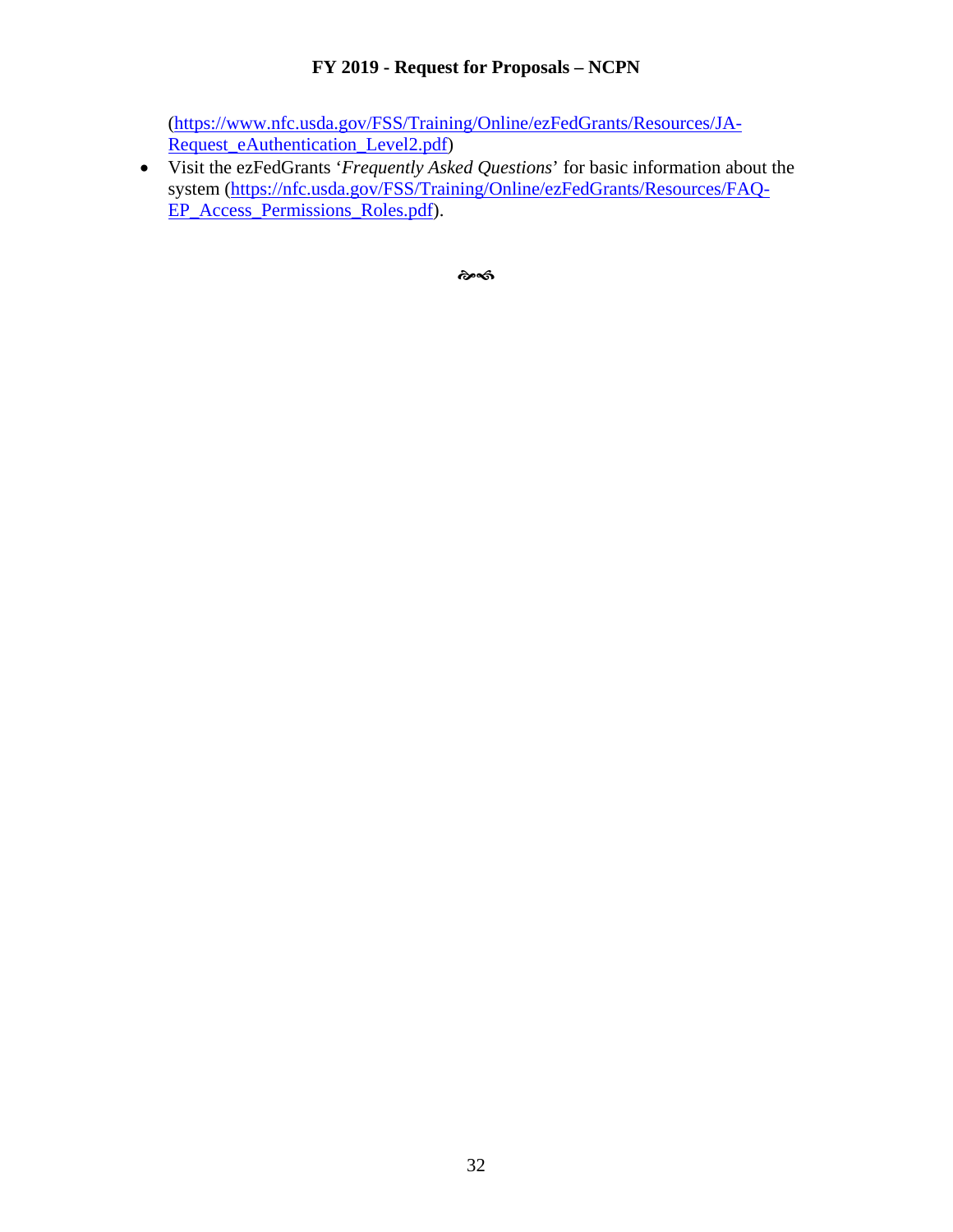[\(https://www.nfc.usda.gov/FSS/Training/Online/ezFedGrants/Resources/JA-](https://www.nfc.usda.gov/FSS/Training/Online/ezFedGrants/Resources/JA-Request_eAuthentication_Level2.pdf)[Request\\_eAuthentication\\_Level2.pdf\)](https://www.nfc.usda.gov/FSS/Training/Online/ezFedGrants/Resources/JA-Request_eAuthentication_Level2.pdf)

• Visit the ezFedGrants '*Frequently Asked Questions*' for basic information about the system [\(https://nfc.usda.gov/FSS/Training/Online/ezFedGrants/Resources/FAQ-](https://nfc.usda.gov/FSS/Training/Online/ezFedGrants/Resources/FAQ-EP_Access_Permissions_Roles.pdf)[EP\\_Access\\_Permissions\\_Roles.pdf\)](https://nfc.usda.gov/FSS/Training/Online/ezFedGrants/Resources/FAQ-EP_Access_Permissions_Roles.pdf).

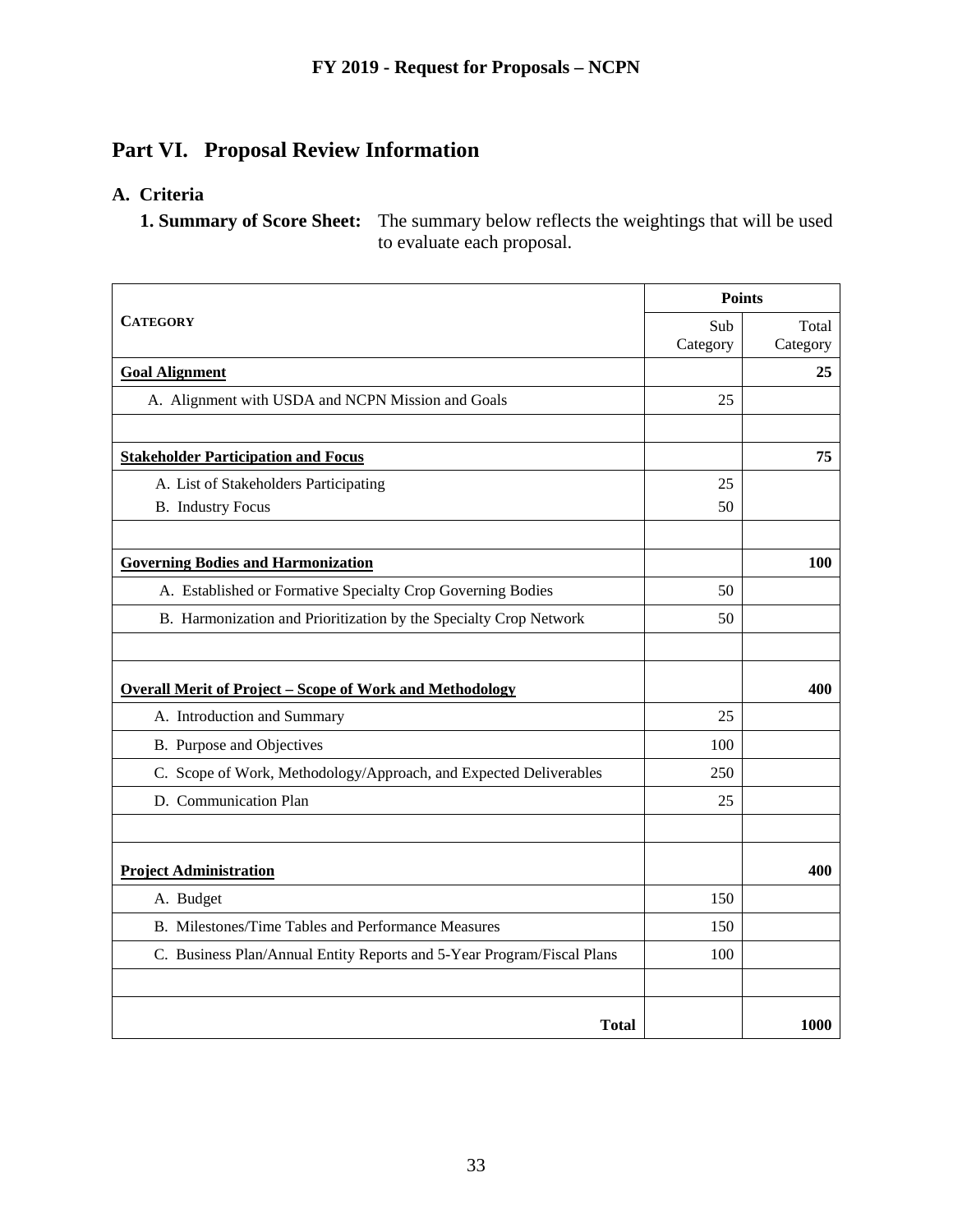# **Part VI. Proposal Review Information**

# **A. Criteria**

**1. Summary of Score Sheet:** The summary below reflects the weightings that will be used to evaluate each proposal.

|                                                                        | <b>Points</b> |          |
|------------------------------------------------------------------------|---------------|----------|
| <b>CATEGORY</b>                                                        | Sub           | Total    |
|                                                                        | Category      | Category |
| <b>Goal Alignment</b>                                                  |               | 25       |
| A. Alignment with USDA and NCPN Mission and Goals                      | 25            |          |
|                                                                        |               |          |
| <b>Stakeholder Participation and Focus</b>                             |               | 75       |
| A. List of Stakeholders Participating                                  | 25            |          |
| <b>B.</b> Industry Focus                                               | 50            |          |
|                                                                        |               |          |
| <b>Governing Bodies and Harmonization</b>                              |               | 100      |
| A. Established or Formative Specialty Crop Governing Bodies            | 50            |          |
| B. Harmonization and Prioritization by the Specialty Crop Network      | 50            |          |
|                                                                        |               |          |
| <b>Overall Merit of Project - Scope of Work and Methodology</b>        |               | 400      |
| A. Introduction and Summary                                            | 25            |          |
| B. Purpose and Objectives                                              | 100           |          |
| C. Scope of Work, Methodology/Approach, and Expected Deliverables      | 250           |          |
| D. Communication Plan                                                  | 25            |          |
|                                                                        |               |          |
| <b>Project Administration</b>                                          |               | 400      |
| A. Budget                                                              | 150           |          |
| B. Milestones/Time Tables and Performance Measures                     | 150           |          |
| C. Business Plan/Annual Entity Reports and 5-Year Program/Fiscal Plans | 100           |          |
|                                                                        |               |          |
| <b>Total</b>                                                           |               | 1000     |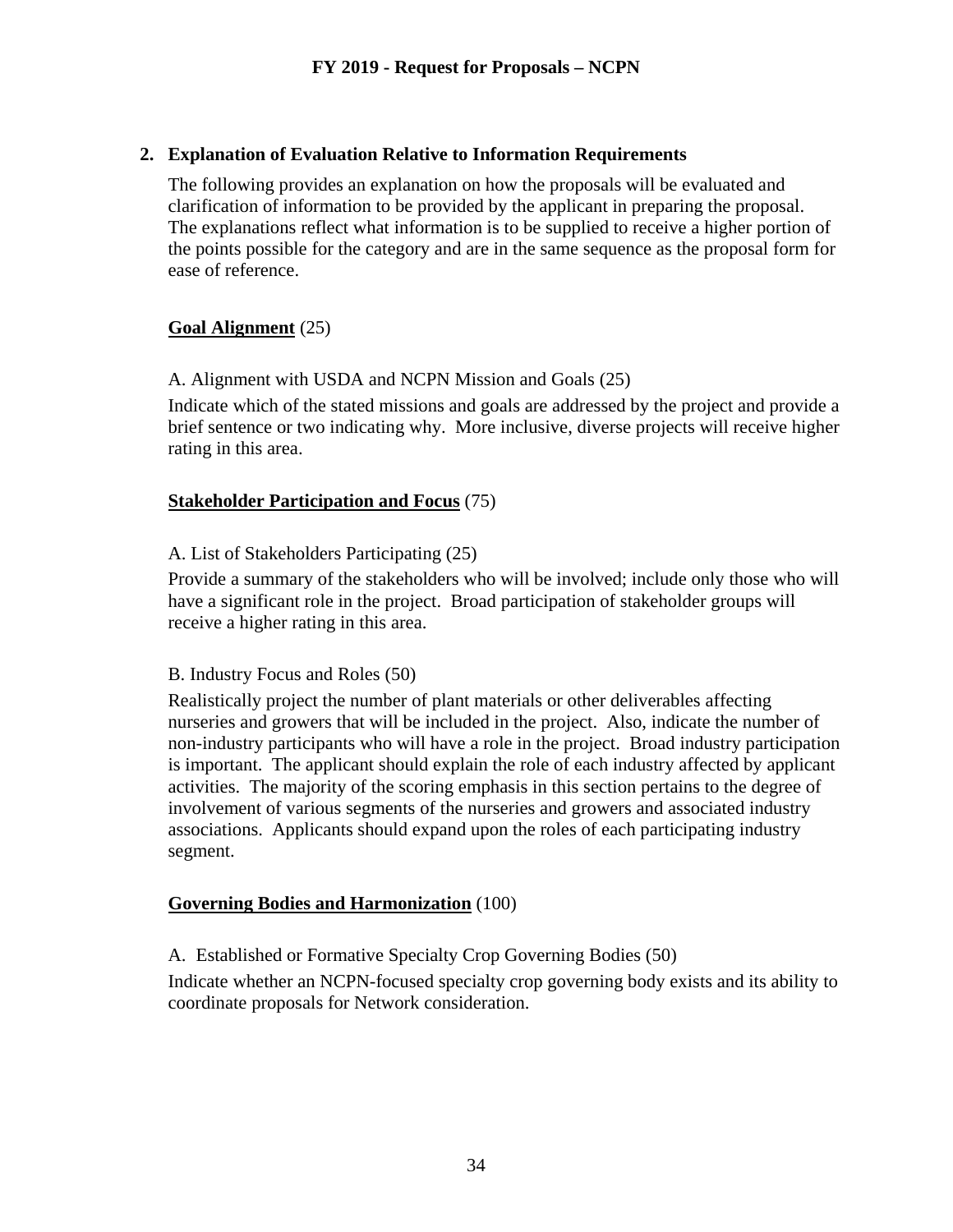#### **2. Explanation of Evaluation Relative to Information Requirements**

The following provides an explanation on how the proposals will be evaluated and clarification of information to be provided by the applicant in preparing the proposal. The explanations reflect what information is to be supplied to receive a higher portion of the points possible for the category and are in the same sequence as the proposal form for ease of reference.

## **Goal Alignment** (25)

#### A. Alignment with USDA and NCPN Mission and Goals (25)

Indicate which of the stated missions and goals are addressed by the project and provide a brief sentence or two indicating why. More inclusive, diverse projects will receive higher rating in this area.

## **Stakeholder Participation and Focus** (75)

## A. List of Stakeholders Participating (25)

Provide a summary of the stakeholders who will be involved; include only those who will have a significant role in the project. Broad participation of stakeholder groups will receive a higher rating in this area.

#### B. Industry Focus and Roles (50)

Realistically project the number of plant materials or other deliverables affecting nurseries and growers that will be included in the project. Also, indicate the number of non-industry participants who will have a role in the project. Broad industry participation is important. The applicant should explain the role of each industry affected by applicant activities. The majority of the scoring emphasis in this section pertains to the degree of involvement of various segments of the nurseries and growers and associated industry associations. Applicants should expand upon the roles of each participating industry segment.

#### **Governing Bodies and Harmonization** (100)

A. Established or Formative Specialty Crop Governing Bodies (50)

Indicate whether an NCPN-focused specialty crop governing body exists and its ability to coordinate proposals for Network consideration.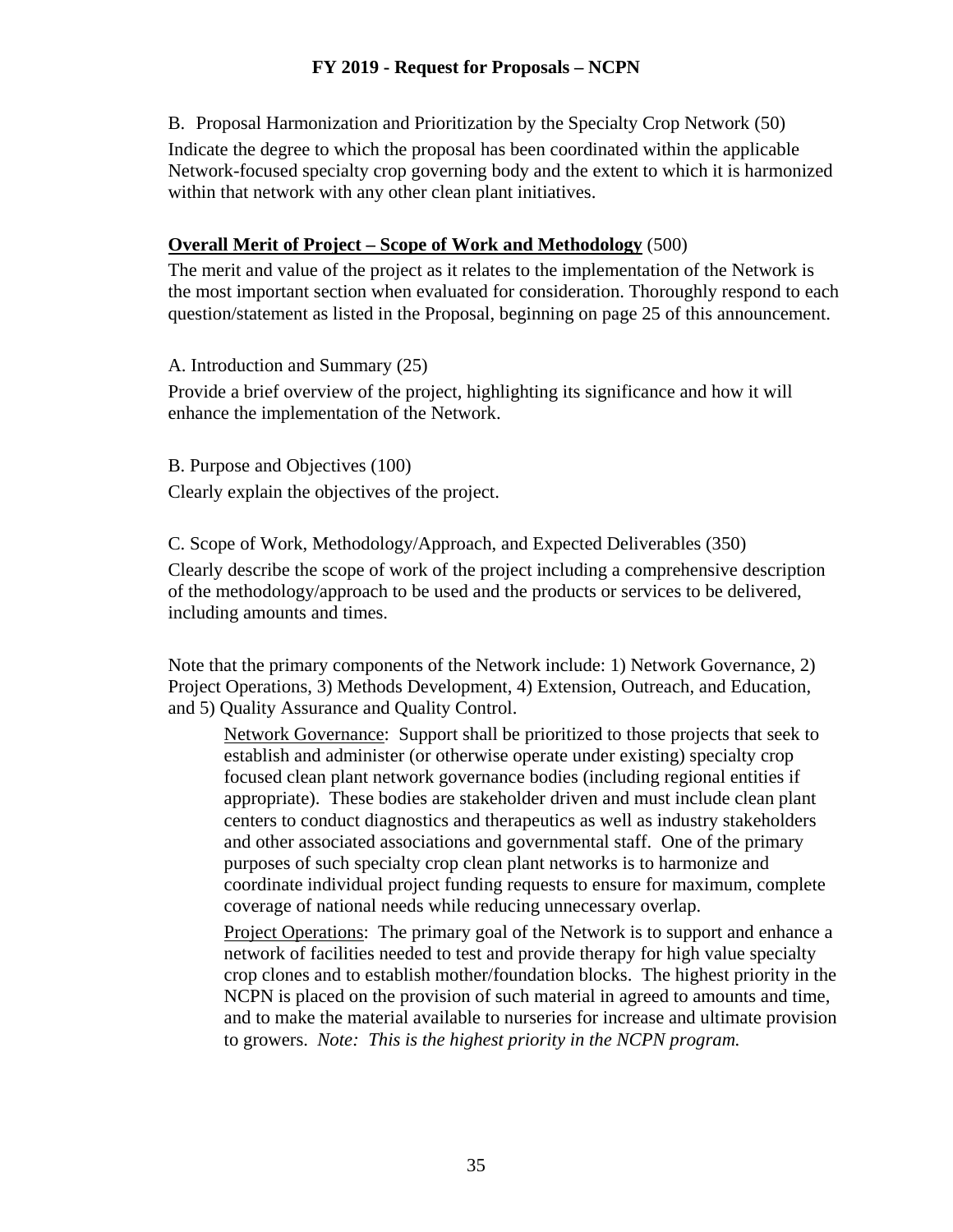B. Proposal Harmonization and Prioritization by the Specialty Crop Network (50) Indicate the degree to which the proposal has been coordinated within the applicable Network-focused specialty crop governing body and the extent to which it is harmonized within that network with any other clean plant initiatives.

#### **Overall Merit of Project – Scope of Work and Methodology** (500)

The merit and value of the project as it relates to the implementation of the Network is the most important section when evaluated for consideration. Thoroughly respond to each question/statement as listed in the Proposal, beginning on page 25 of this announcement.

A. Introduction and Summary (25)

Provide a brief overview of the project, highlighting its significance and how it will enhance the implementation of the Network.

B. Purpose and Objectives (100) Clearly explain the objectives of the project.

C. Scope of Work, Methodology/Approach, and Expected Deliverables (350) Clearly describe the scope of work of the project including a comprehensive description of the methodology/approach to be used and the products or services to be delivered, including amounts and times.

Note that the primary components of the Network include: 1) Network Governance, 2) Project Operations, 3) Methods Development, 4) Extension, Outreach, and Education, and 5) Quality Assurance and Quality Control.

Network Governance: Support shall be prioritized to those projects that seek to establish and administer (or otherwise operate under existing) specialty crop focused clean plant network governance bodies (including regional entities if appropriate). These bodies are stakeholder driven and must include clean plant centers to conduct diagnostics and therapeutics as well as industry stakeholders and other associated associations and governmental staff. One of the primary purposes of such specialty crop clean plant networks is to harmonize and coordinate individual project funding requests to ensure for maximum, complete coverage of national needs while reducing unnecessary overlap.

Project Operations: The primary goal of the Network is to support and enhance a network of facilities needed to test and provide therapy for high value specialty crop clones and to establish mother/foundation blocks. The highest priority in the NCPN is placed on the provision of such material in agreed to amounts and time, and to make the material available to nurseries for increase and ultimate provision to growers. *Note: This is the highest priority in the NCPN program.*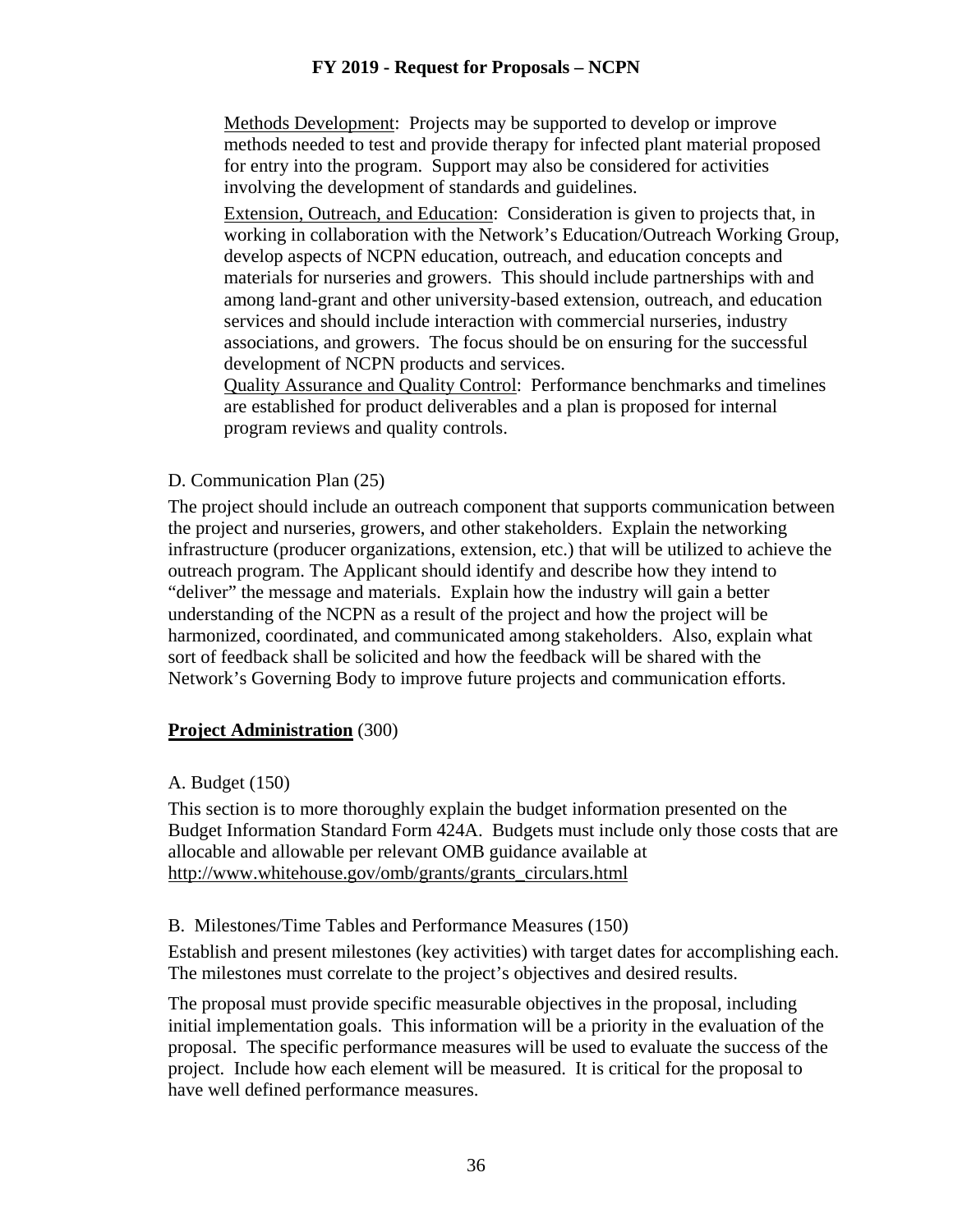Methods Development: Projects may be supported to develop or improve methods needed to test and provide therapy for infected plant material proposed for entry into the program. Support may also be considered for activities involving the development of standards and guidelines.

Extension, Outreach, and Education: Consideration is given to projects that, in working in collaboration with the Network's Education/Outreach Working Group, develop aspects of NCPN education, outreach, and education concepts and materials for nurseries and growers. This should include partnerships with and among land-grant and other university-based extension, outreach, and education services and should include interaction with commercial nurseries, industry associations, and growers. The focus should be on ensuring for the successful development of NCPN products and services.

Quality Assurance and Quality Control: Performance benchmarks and timelines are established for product deliverables and a plan is proposed for internal program reviews and quality controls.

## D. Communication Plan (25)

The project should include an outreach component that supports communication between the project and nurseries, growers, and other stakeholders. Explain the networking infrastructure (producer organizations, extension, etc.) that will be utilized to achieve the outreach program. The Applicant should identify and describe how they intend to "deliver" the message and materials. Explain how the industry will gain a better understanding of the NCPN as a result of the project and how the project will be harmonized, coordinated, and communicated among stakeholders. Also, explain what sort of feedback shall be solicited and how the feedback will be shared with the Network's Governing Body to improve future projects and communication efforts.

# **Project Administration** (300)

#### A. Budget (150)

This section is to more thoroughly explain the budget information presented on the Budget Information Standard Form 424A. Budgets must include only those costs that are allocable and allowable per relevant OMB guidance available at http://www.whitehouse.gov/omb/grants/grants\_circulars.html

#### B. Milestones/Time Tables and Performance Measures (150)

Establish and present milestones (key activities) with target dates for accomplishing each. The milestones must correlate to the project's objectives and desired results.

The proposal must provide specific measurable objectives in the proposal, including initial implementation goals. This information will be a priority in the evaluation of the proposal. The specific performance measures will be used to evaluate the success of the project. Include how each element will be measured. It is critical for the proposal to have well defined performance measures.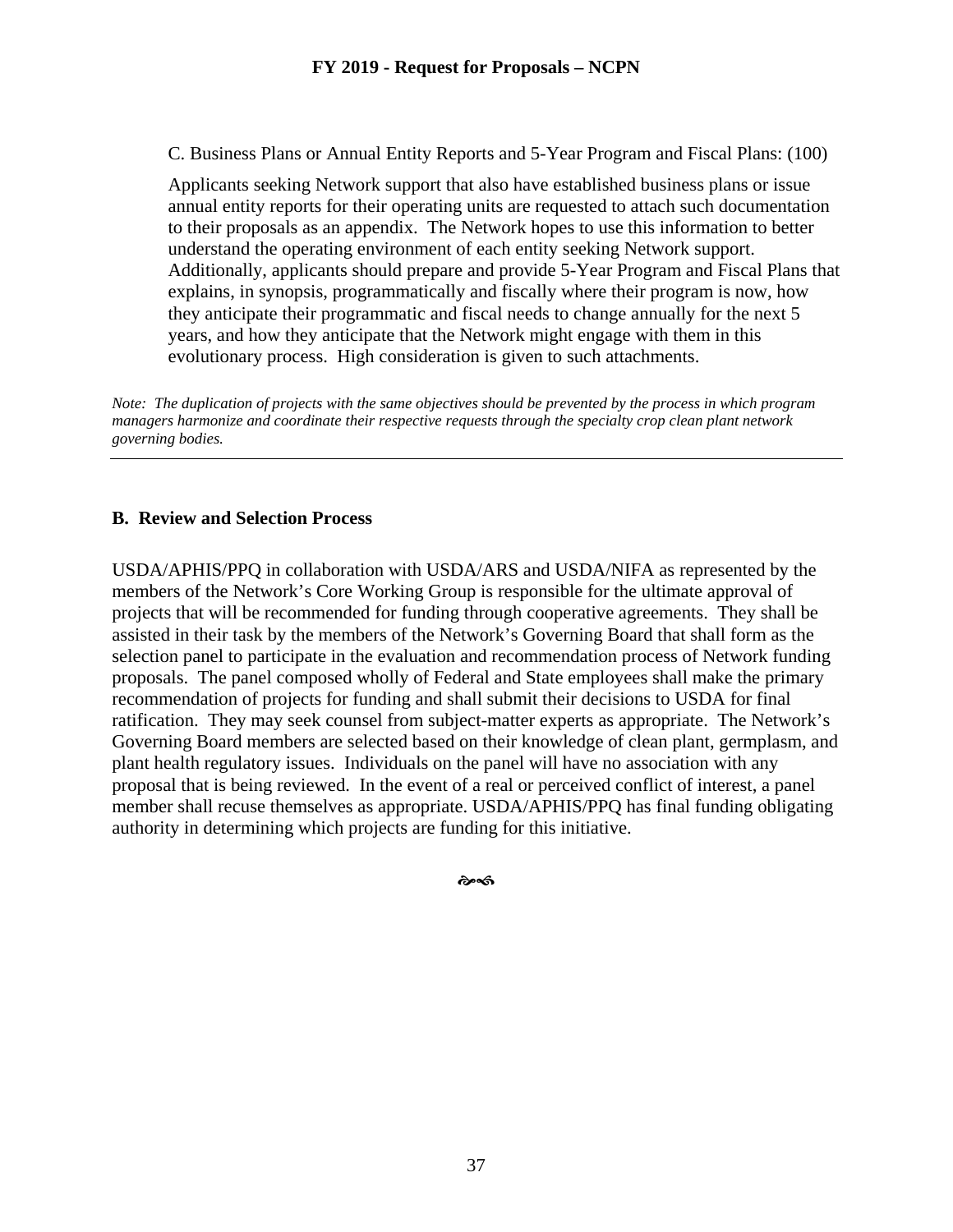C. Business Plans or Annual Entity Reports and 5-Year Program and Fiscal Plans: (100)

Applicants seeking Network support that also have established business plans or issue annual entity reports for their operating units are requested to attach such documentation to their proposals as an appendix. The Network hopes to use this information to better understand the operating environment of each entity seeking Network support. Additionally, applicants should prepare and provide 5-Year Program and Fiscal Plans that explains, in synopsis, programmatically and fiscally where their program is now, how they anticipate their programmatic and fiscal needs to change annually for the next 5 years, and how they anticipate that the Network might engage with them in this evolutionary process. High consideration is given to such attachments.

*Note: The duplication of projects with the same objectives should be prevented by the process in which program managers harmonize and coordinate their respective requests through the specialty crop clean plant network governing bodies.*

#### **B. Review and Selection Process**

USDA/APHIS/PPQ in collaboration with USDA/ARS and USDA/NIFA as represented by the members of the Network's Core Working Group is responsible for the ultimate approval of projects that will be recommended for funding through cooperative agreements. They shall be assisted in their task by the members of the Network's Governing Board that shall form as the selection panel to participate in the evaluation and recommendation process of Network funding proposals. The panel composed wholly of Federal and State employees shall make the primary recommendation of projects for funding and shall submit their decisions to USDA for final ratification. They may seek counsel from subject-matter experts as appropriate. The Network's Governing Board members are selected based on their knowledge of clean plant, germplasm, and plant health regulatory issues. Individuals on the panel will have no association with any proposal that is being reviewed. In the event of a real or perceived conflict of interest, a panel member shall recuse themselves as appropriate. USDA/APHIS/PPQ has final funding obligating authority in determining which projects are funding for this initiative.

సాంగ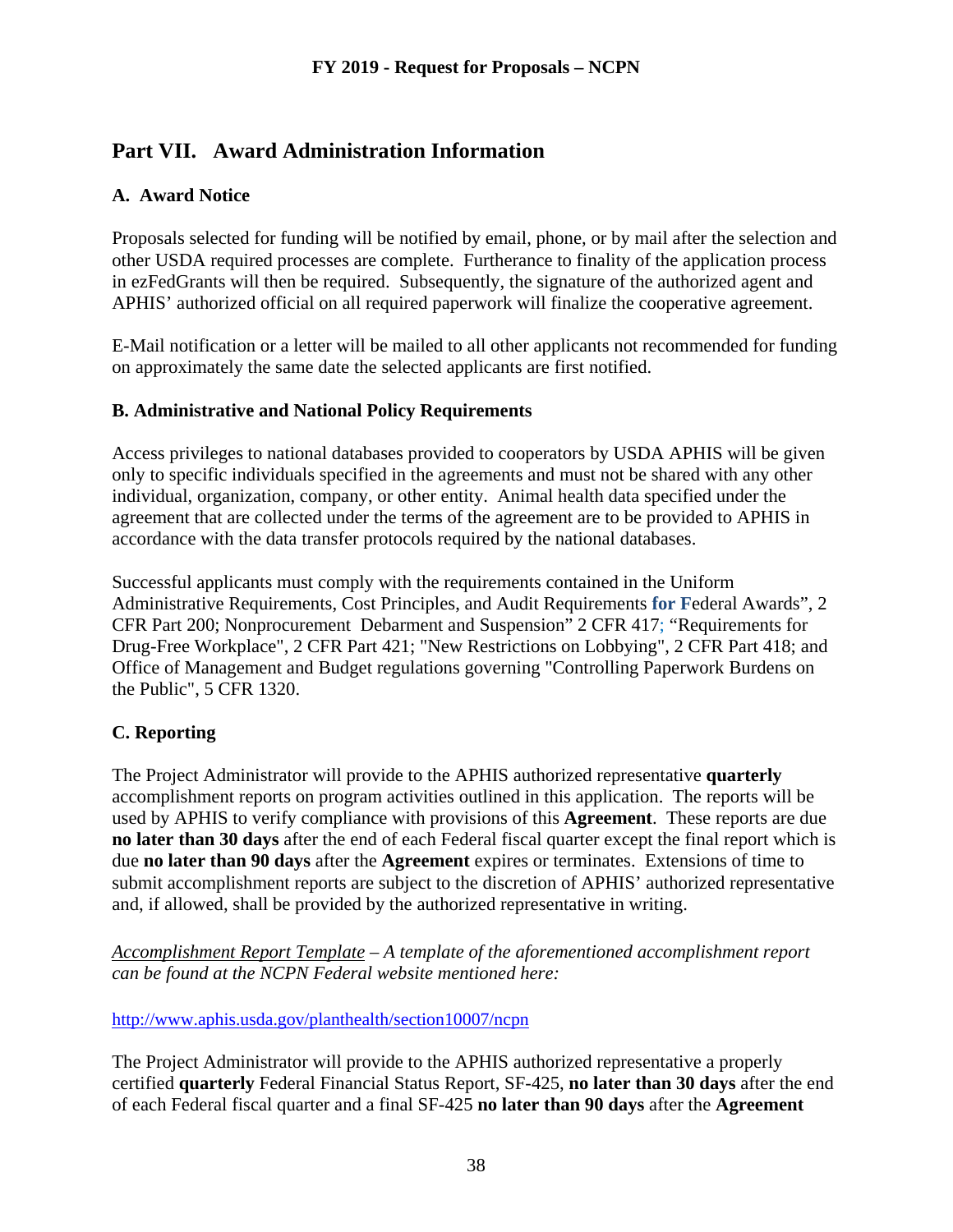# **Part VII. Award Administration Information**

# **A. Award Notice**

Proposals selected for funding will be notified by email, phone, or by mail after the selection and other USDA required processes are complete. Furtherance to finality of the application process in ezFedGrants will then be required. Subsequently, the signature of the authorized agent and APHIS' authorized official on all required paperwork will finalize the cooperative agreement.

E-Mail notification or a letter will be mailed to all other applicants not recommended for funding on approximately the same date the selected applicants are first notified.

#### **B. Administrative and National Policy Requirements**

Access privileges to national databases provided to cooperators by USDA APHIS will be given only to specific individuals specified in the agreements and must not be shared with any other individual, organization, company, or other entity. Animal health data specified under the agreement that are collected under the terms of the agreement are to be provided to APHIS in accordance with the data transfer protocols required by the national databases.

Successful applicants must comply with the requirements contained in the Uniform Administrative Requirements, Cost Principles, and Audit Requirements **for F**ederal Awards", 2 CFR Part 200; Nonprocurement Debarment and Suspension" 2 CFR 417; "Requirements for Drug-Free Workplace", 2 CFR Part 421; "New Restrictions on Lobbying", 2 CFR Part 418; and Office of Management and Budget regulations governing "Controlling Paperwork Burdens on the Public", 5 CFR 1320.

#### **C. Reporting**

The Project Administrator will provide to the APHIS authorized representative **quarterly** accomplishment reports on program activities outlined in this application. The reports will be used by APHIS to verify compliance with provisions of this **Agreement**. These reports are due **no later than 30 days** after the end of each Federal fiscal quarter except the final report which is due **no later than 90 days** after the **Agreement** expires or terminates. Extensions of time to submit accomplishment reports are subject to the discretion of APHIS' authorized representative and, if allowed, shall be provided by the authorized representative in writing.

*Accomplishment Report Template – A template of the aforementioned accomplishment report can be found at the NCPN Federal website mentioned here:*

<http://www.aphis.usda.gov/planthealth/section10007/ncpn>

The Project Administrator will provide to the APHIS authorized representative a properly certified **quarterly** Federal Financial Status Report, SF-425, **no later than 30 days** after the end of each Federal fiscal quarter and a final SF-425 **no later than 90 days** after the **Agreement**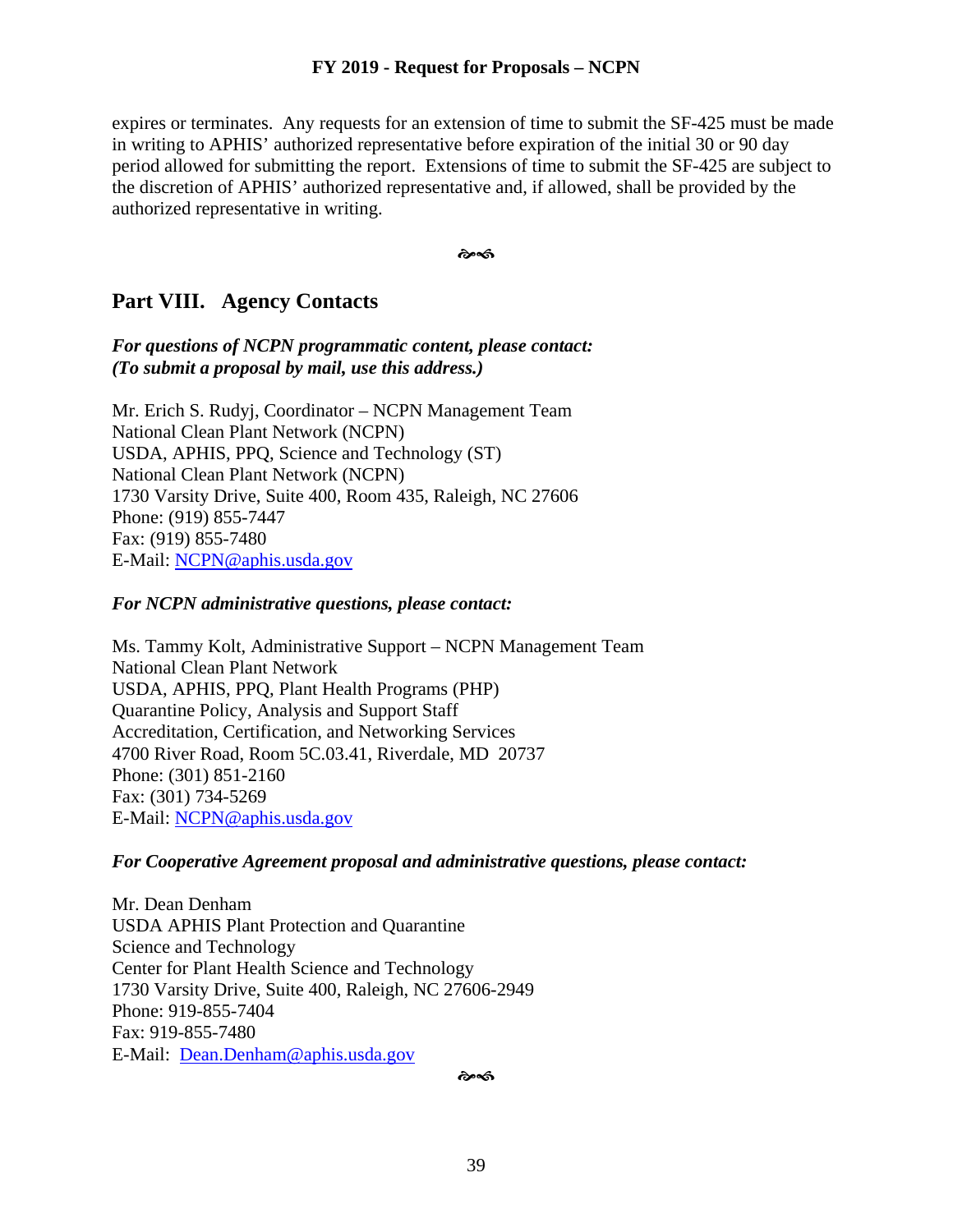expires or terminates. Any requests for an extension of time to submit the SF-425 must be made in writing to APHIS' authorized representative before expiration of the initial 30 or 90 day period allowed for submitting the report. Extensions of time to submit the SF-425 are subject to the discretion of APHIS' authorized representative and, if allowed, shall be provided by the authorized representative in writing.

๛๘

# **Part VIII. Agency Contacts**

*For questions of NCPN programmatic content, please contact: (To submit a proposal by mail, use this address.)*

Mr. Erich S. Rudyj, Coordinator – NCPN Management Team National Clean Plant Network (NCPN) USDA, APHIS, PPQ, Science and Technology (ST) National Clean Plant Network (NCPN) 1730 Varsity Drive, Suite 400, Room 435, Raleigh, NC 27606 Phone: (919) 855-7447 Fax: (919) 855-7480 E-Mail: [NCPN@aphis.usda.gov](mailto:NCPN@aphis.usda.gov)

#### *For NCPN administrative questions, please contact:*

Ms. Tammy Kolt, Administrative Support – NCPN Management Team National Clean Plant Network USDA, APHIS, PPQ, Plant Health Programs (PHP) Quarantine Policy, Analysis and Support Staff Accreditation, Certification, and Networking Services 4700 River Road, Room 5C.03.41, Riverdale, MD 20737 Phone: (301) 851-2160 Fax: (301) 734-5269 E-Mail: [NCPN@aphis.usda.gov](mailto:NCPN@aphis.usda.gov)

#### *For Cooperative Agreement proposal and administrative questions, please contact:*

Mr. Dean Denham USDA APHIS Plant Protection and Quarantine Science and Technology Center for Plant Health Science and Technology 1730 Varsity Drive, Suite 400, Raleigh, NC 27606-2949 Phone: 919-855-7404 Fax: 919-855-7480 E-Mail: [Dean.Denham@aphis.usda.gov](mailto:Dean.Denham@aphis.usda.gov)

��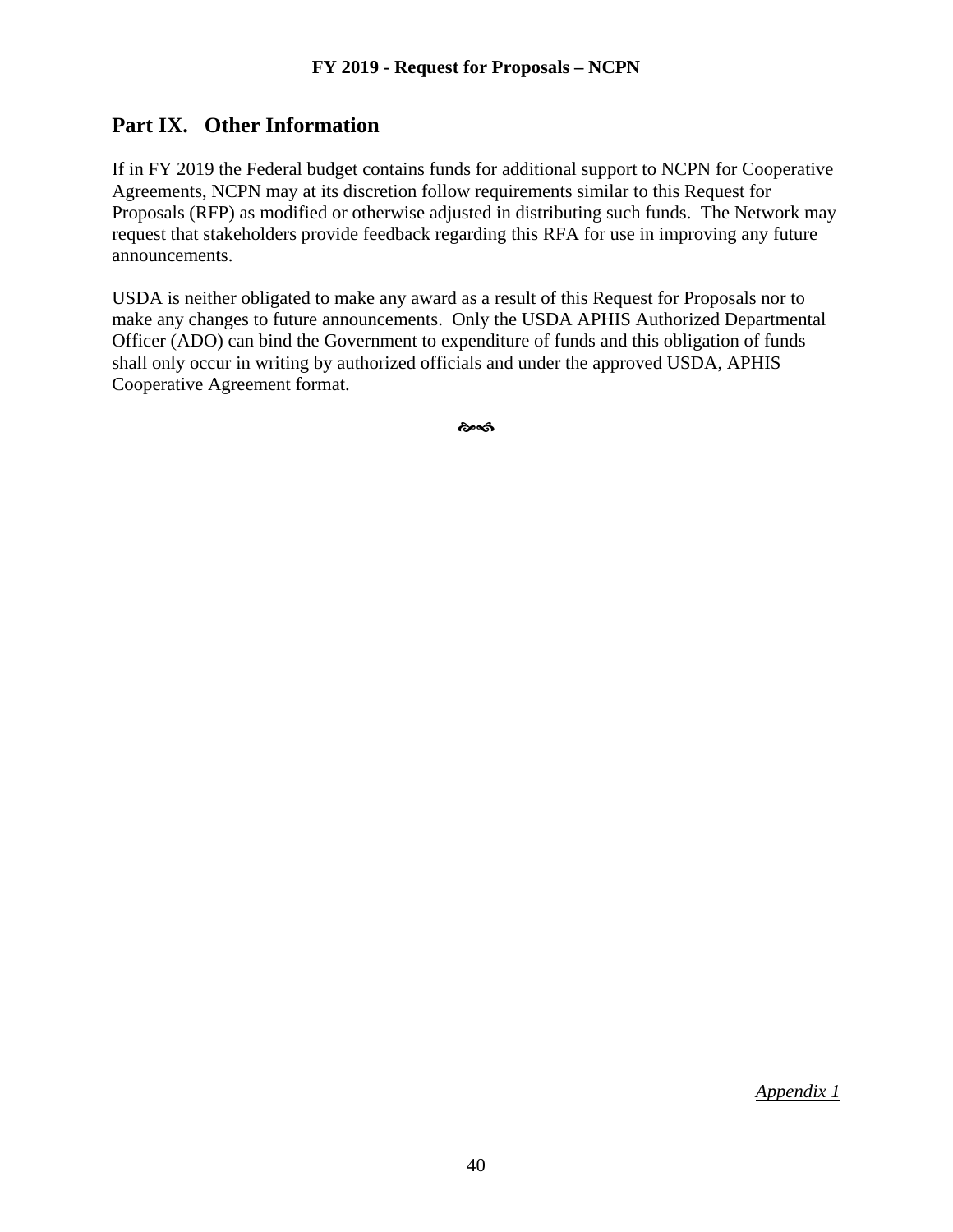# **Part IX. Other Information**

If in FY 2019 the Federal budget contains funds for additional support to NCPN for Cooperative Agreements, NCPN may at its discretion follow requirements similar to this Request for Proposals (RFP) as modified or otherwise adjusted in distributing such funds. The Network may request that stakeholders provide feedback regarding this RFA for use in improving any future announcements.

USDA is neither obligated to make any award as a result of this Request for Proposals nor to make any changes to future announcements. Only the USDA APHIS Authorized Departmental Officer (ADO) can bind the Government to expenditure of funds and this obligation of funds shall only occur in writing by authorized officials and under the approved USDA, APHIS Cooperative Agreement format.

��

*Appendix 1*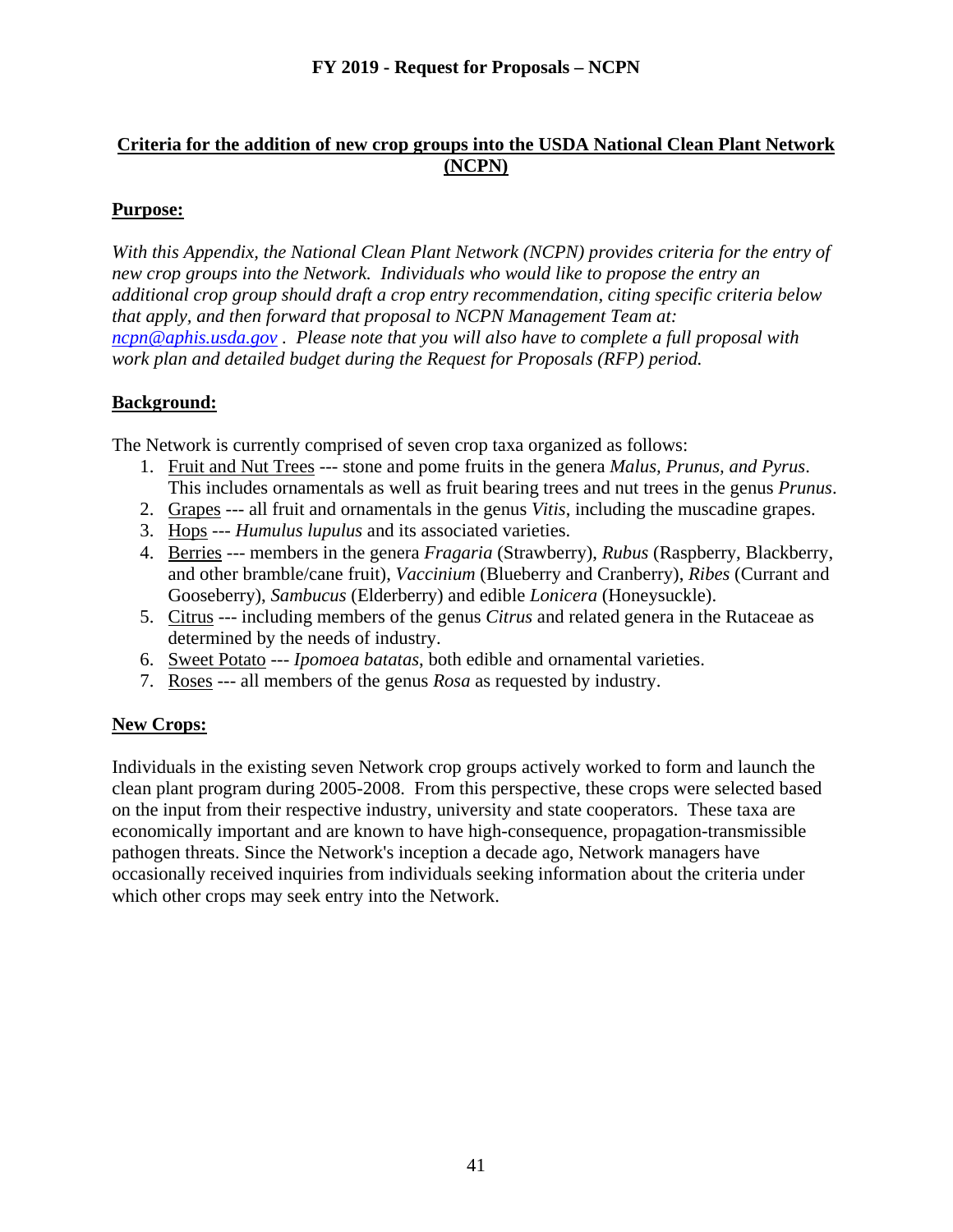## **Criteria for the addition of new crop groups into the USDA National Clean Plant Network (NCPN)**

# **Purpose:**

*With this Appendix, the National Clean Plant Network (NCPN) provides criteria for the entry of new crop groups into the Network. Individuals who would like to propose the entry an additional crop group should draft a crop entry recommendation, citing specific criteria below that apply, and then forward that proposal to NCPN Management Team at: [ncpn@aphis.usda.gov](mailto:ncpn@aphis.usda.gov) . Please note that you will also have to complete a full proposal with work plan and detailed budget during the Request for Proposals (RFP) period.*

## **Background:**

The Network is currently comprised of seven crop taxa organized as follows:

- 1. Fruit and Nut Trees --- stone and pome fruits in the genera *Malus, Prunus, and Pyrus*. This includes ornamentals as well as fruit bearing trees and nut trees in the genus *Prunus*.
- 2. Grapes --- all fruit and ornamentals in the genus *Vitis*, including the muscadine grapes.
- 3. Hops --- *Humulus lupulus* and its associated varieties.
- 4. Berries --- members in the genera *Fragaria* (Strawberry), *Rubus* (Raspberry, Blackberry, and other bramble/cane fruit), *Vaccinium* (Blueberry and Cranberry), *Ribes* (Currant and Gooseberry), *Sambucus* (Elderberry) and edible *Lonicera* (Honeysuckle).
- 5. Citrus --- including members of the genus *Citrus* and related genera in the Rutaceae as determined by the needs of industry.
- 6. Sweet Potato --- *Ipomoea batatas*, both edible and ornamental varieties.
- 7. Roses --- all members of the genus *Rosa* as requested by industry.

#### **New Crops:**

Individuals in the existing seven Network crop groups actively worked to form and launch the clean plant program during 2005-2008. From this perspective, these crops were selected based on the input from their respective industry, university and state cooperators. These taxa are economically important and are known to have high-consequence, propagation-transmissible pathogen threats. Since the Network's inception a decade ago, Network managers have occasionally received inquiries from individuals seeking information about the criteria under which other crops may seek entry into the Network.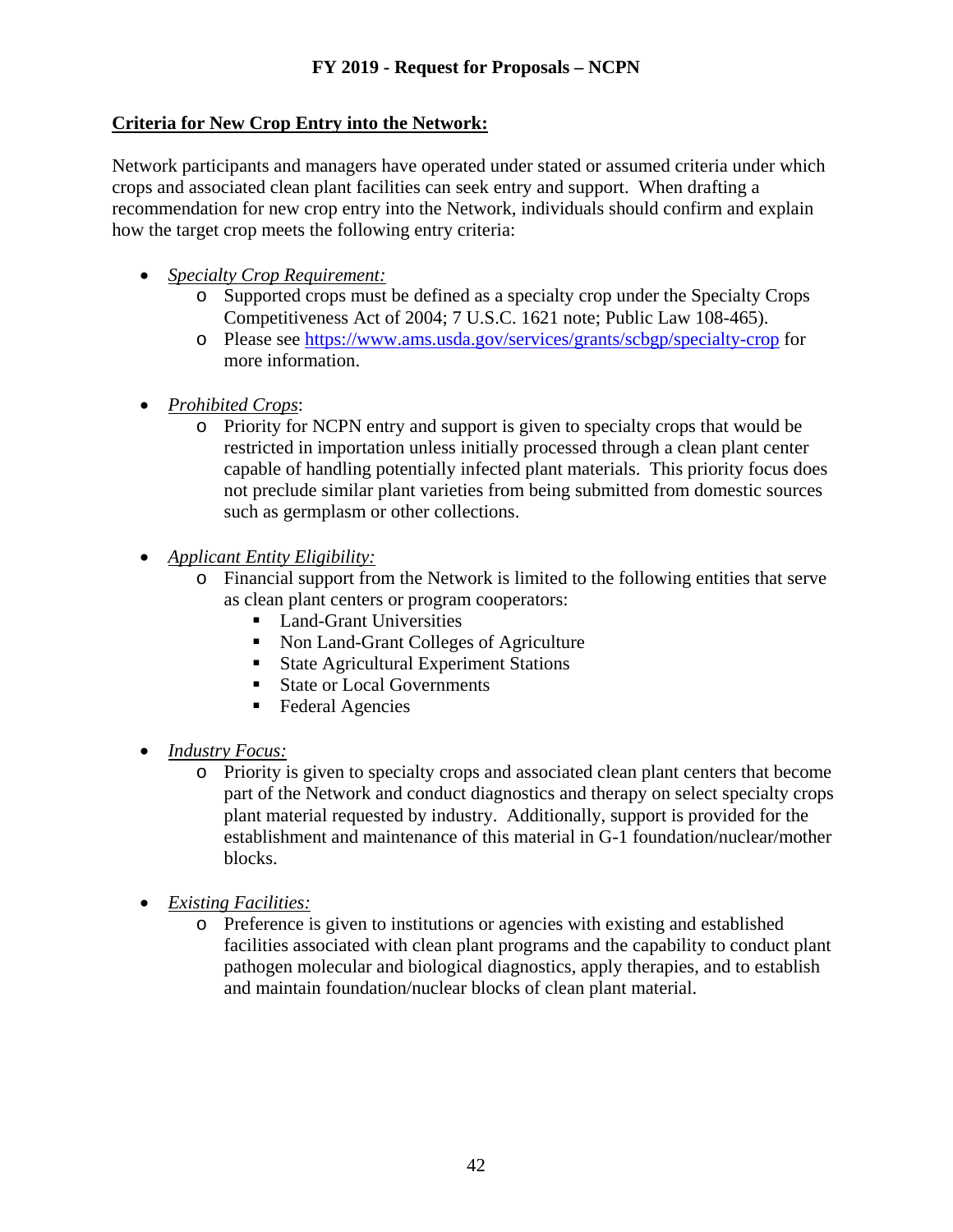# **Criteria for New Crop Entry into the Network:**

Network participants and managers have operated under stated or assumed criteria under which crops and associated clean plant facilities can seek entry and support. When drafting a recommendation for new crop entry into the Network, individuals should confirm and explain how the target crop meets the following entry criteria:

- *Specialty Crop Requirement:*
	- o Supported crops must be defined as a specialty crop under the Specialty Crops Competitiveness Act of 2004; 7 U.S.C. 1621 note; Public Law 108-465).
	- o Please see<https://www.ams.usda.gov/services/grants/scbgp/specialty-crop> for more information.
- *Prohibited Crops*:
	- o Priority for NCPN entry and support is given to specialty crops that would be restricted in importation unless initially processed through a clean plant center capable of handling potentially infected plant materials. This priority focus does not preclude similar plant varieties from being submitted from domestic sources such as germplasm or other collections.
- *Applicant Entity Eligibility:*
	- o Financial support from the Network is limited to the following entities that serve as clean plant centers or program cooperators:
		- **Land-Grant Universities**
		- Non Land-Grant Colleges of Agriculture
		- State Agricultural Experiment Stations
		- State or Local Governments
		- Federal Agencies
- *Industry Focus:*
	- o Priority is given to specialty crops and associated clean plant centers that become part of the Network and conduct diagnostics and therapy on select specialty crops plant material requested by industry. Additionally, support is provided for the establishment and maintenance of this material in G-1 foundation/nuclear/mother blocks.
- *Existing Facilities:*
	- o Preference is given to institutions or agencies with existing and established facilities associated with clean plant programs and the capability to conduct plant pathogen molecular and biological diagnostics, apply therapies, and to establish and maintain foundation/nuclear blocks of clean plant material.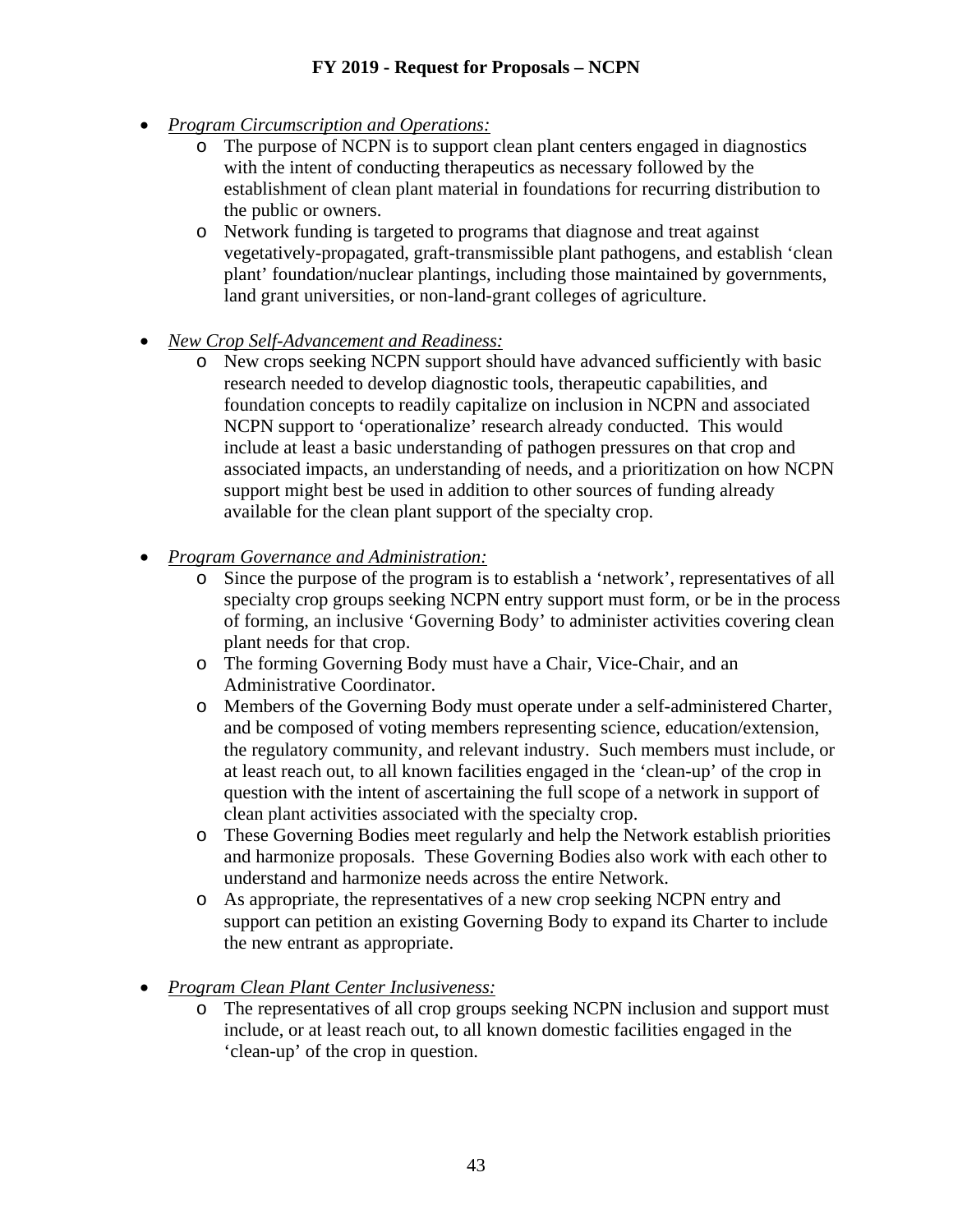- *Program Circumscription and Operations:*
	- o The purpose of NCPN is to support clean plant centers engaged in diagnostics with the intent of conducting therapeutics as necessary followed by the establishment of clean plant material in foundations for recurring distribution to the public or owners.
	- o Network funding is targeted to programs that diagnose and treat against vegetatively-propagated, graft-transmissible plant pathogens, and establish 'clean plant' foundation/nuclear plantings, including those maintained by governments, land grant universities, or non-land-grant colleges of agriculture.
- *New Crop Self-Advancement and Readiness:*
	- o New crops seeking NCPN support should have advanced sufficiently with basic research needed to develop diagnostic tools, therapeutic capabilities, and foundation concepts to readily capitalize on inclusion in NCPN and associated NCPN support to 'operationalize' research already conducted. This would include at least a basic understanding of pathogen pressures on that crop and associated impacts, an understanding of needs, and a prioritization on how NCPN support might best be used in addition to other sources of funding already available for the clean plant support of the specialty crop.
- *Program Governance and Administration:*
	- o Since the purpose of the program is to establish a 'network', representatives of all specialty crop groups seeking NCPN entry support must form, or be in the process of forming, an inclusive 'Governing Body' to administer activities covering clean plant needs for that crop.
	- o The forming Governing Body must have a Chair, Vice-Chair, and an Administrative Coordinator.
	- o Members of the Governing Body must operate under a self-administered Charter, and be composed of voting members representing science, education/extension, the regulatory community, and relevant industry. Such members must include, or at least reach out, to all known facilities engaged in the 'clean-up' of the crop in question with the intent of ascertaining the full scope of a network in support of clean plant activities associated with the specialty crop.
	- o These Governing Bodies meet regularly and help the Network establish priorities and harmonize proposals. These Governing Bodies also work with each other to understand and harmonize needs across the entire Network.
	- o As appropriate, the representatives of a new crop seeking NCPN entry and support can petition an existing Governing Body to expand its Charter to include the new entrant as appropriate.
- *Program Clean Plant Center Inclusiveness:*
	- o The representatives of all crop groups seeking NCPN inclusion and support must include, or at least reach out, to all known domestic facilities engaged in the 'clean-up' of the crop in question.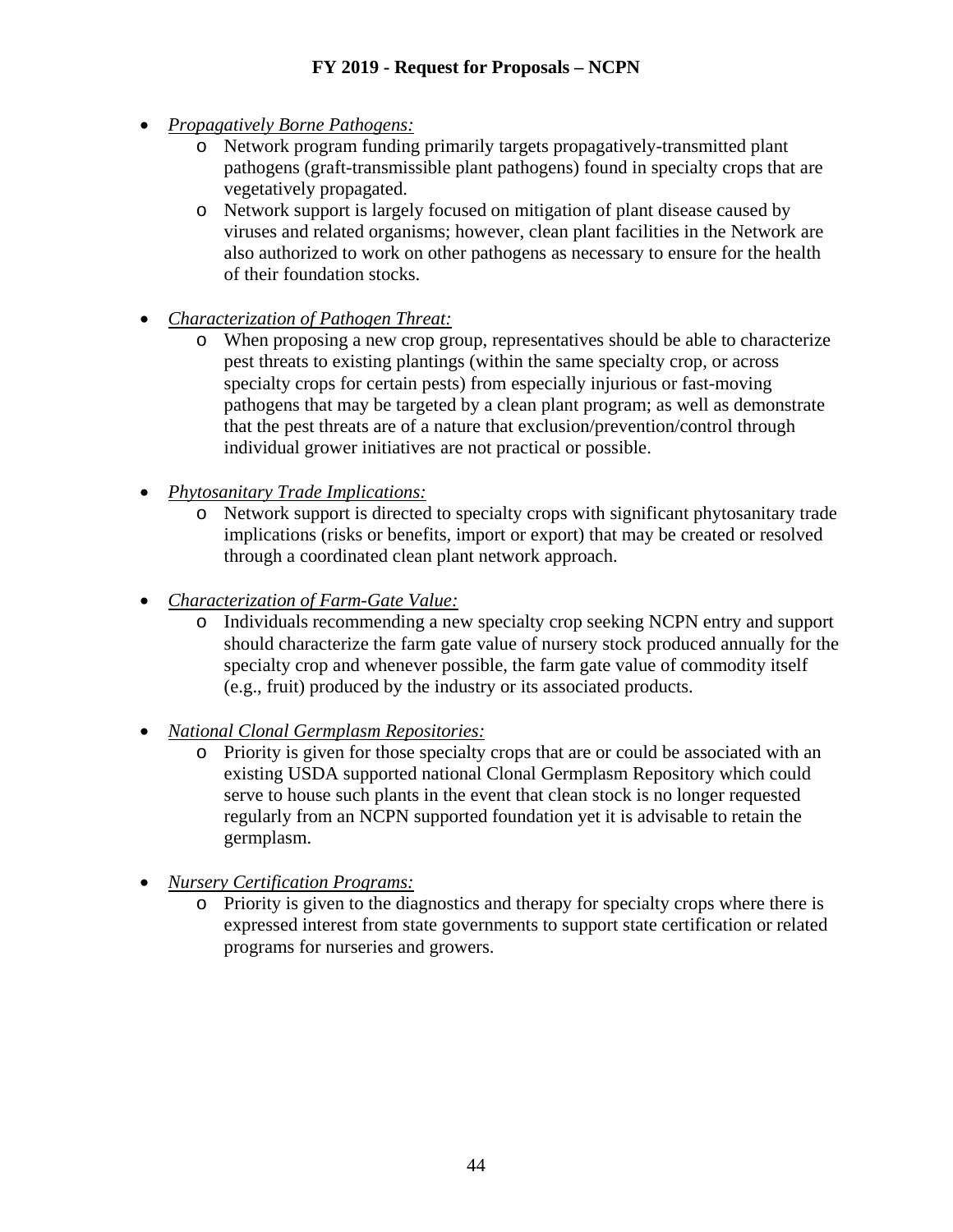- *Propagatively Borne Pathogens:*
	- o Network program funding primarily targets propagatively-transmitted plant pathogens (graft-transmissible plant pathogens) found in specialty crops that are vegetatively propagated.
	- o Network support is largely focused on mitigation of plant disease caused by viruses and related organisms; however, clean plant facilities in the Network are also authorized to work on other pathogens as necessary to ensure for the health of their foundation stocks.
- *Characterization of Pathogen Threat:*
	- o When proposing a new crop group, representatives should be able to characterize pest threats to existing plantings (within the same specialty crop, or across specialty crops for certain pests) from especially injurious or fast-moving pathogens that may be targeted by a clean plant program; as well as demonstrate that the pest threats are of a nature that exclusion/prevention/control through individual grower initiatives are not practical or possible.
- *Phytosanitary Trade Implications:*
	- o Network support is directed to specialty crops with significant phytosanitary trade implications (risks or benefits, import or export) that may be created or resolved through a coordinated clean plant network approach.
- *Characterization of Farm-Gate Value:*
	- o Individuals recommending a new specialty crop seeking NCPN entry and support should characterize the farm gate value of nursery stock produced annually for the specialty crop and whenever possible, the farm gate value of commodity itself (e.g., fruit) produced by the industry or its associated products.
- *National Clonal Germplasm Repositories:*
	- o Priority is given for those specialty crops that are or could be associated with an existing USDA supported national Clonal Germplasm Repository which could serve to house such plants in the event that clean stock is no longer requested regularly from an NCPN supported foundation yet it is advisable to retain the germplasm.
- *Nursery Certification Programs:*
	- o Priority is given to the diagnostics and therapy for specialty crops where there is expressed interest from state governments to support state certification or related programs for nurseries and growers.